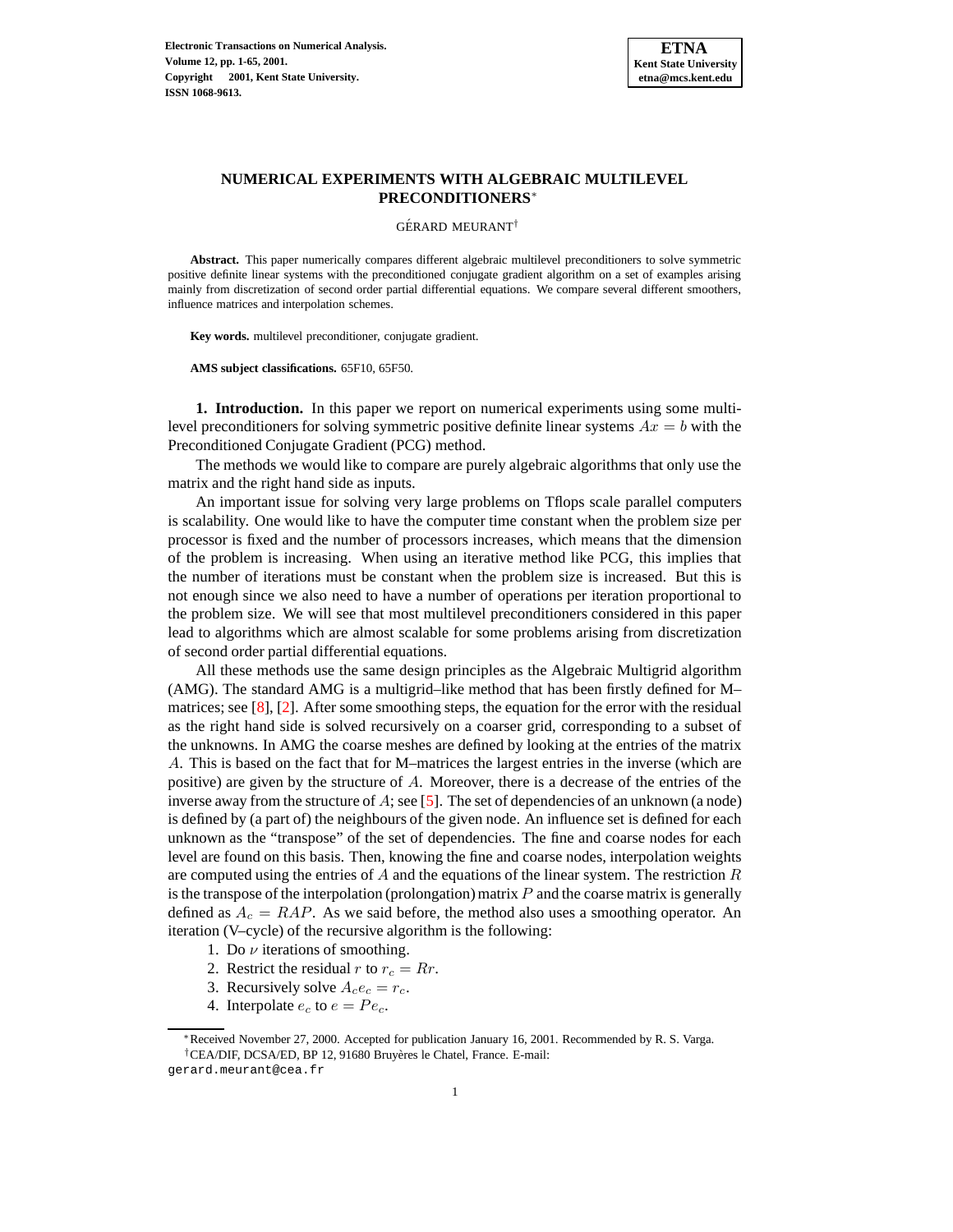

## **NUMERICAL EXPERIMENTS WITH ALGEBRAIC MULTILEVEL PRECONDITIONERS**<sup>∗</sup>

GÉRARD MEURANT<sup>†</sup>

**Abstract.** This paper numerically compares different algebraic multilevel preconditioners to solve symmetric positive definite linear systems with the preconditioned conjugate gradient algorithm on a set of examples arising mainly from discretization of second order partial differential equations. We compare several different smoothers, influence matrices and interpolation schemes.

**Key words.** multilevel preconditioner, conjugate gradient.

**AMS subject classifications.** 65F10, 65F50.

**1. Introduction.** In this paper we report on numerical experiments using some multilevel preconditioners for solving symmetric positive definite linear systems  $Ax = b$  with the Preconditioned Conjugate Gradient (PCG) method.

The methods we would like to compare are purely algebraic algorithms that only use the matrix and the right hand side as inputs.

An important issue for solving very large problems on Tflops scale parallel computers is scalability. One would like to have the computer time constant when the problem size per processor is fixed and the number of processors increases, which means that the dimension of the problem is increasing. When using an iterative method like PCG, this implies that the number of iterations must be constant when the problem size is increased. But this is not enough since we also need to have a number of operations per iteration proportional to the problem size. We will see that most multilevel preconditioners considered in this paper lead to algorithms which are almost scalable for some problems arising from discretization of second order partial differential equations.

All these methods use the same design principles as the Algebraic Multigrid algorithm (AMG). The standard AMG is a multigrid–like method that has been firstly defined for M– matrices; see [\[8\]](#page-64-0), [\[2\]](#page-63-0). After some smoothing steps, the equation for the error with the residual as the right hand side is solved recursively on a coarser grid, corresponding to a subset of the unknowns. In AMG the coarse meshes are defined by looking at the entries of the matrix A. This is based on the fact that for M–matrices the largest entries in the inverse (which are positive) are given by the structure of  $A$ . Moreover, there is a decrease of the entries of the inverse away from the structure of A; see [\[5\]](#page-64-1). The set of dependencies of an unknown (a node) is defined by (a part of) the neighbours of the given node. An influence set is defined for each unknown as the "transpose" of the set of dependencies. The fine and coarse nodes for each level are found on this basis. Then, knowing the fine and coarse nodes, interpolation weights are computed using the entries of A and the equations of the linear system. The restriction  $R$ is the transpose of the interpolation (prolongation) matrix  $P$  and the coarse matrix is generally defined as  $A_c = RAP$ . As we said before, the method also uses a smoothing operator. An iteration (V–cycle) of the recursive algorithm is the following:

- 1. Do  $\nu$  iterations of smoothing.
- 2. Restrict the residual r to  $r_c = Rr$ .
- 3. Recursively solve  $A_c e_c = r_c$ .
- 4. Interpolate  $e_c$  to  $e = Pe_c$ .

<sup>∗</sup>Received November 27, 2000. Accepted for publication January 16, 2001. Recommended by R. S. Varga. <sup>†</sup>CEA/DIF, DCSA/ED, BP 12, 91680 Bruyères le Chatel, France. E-mail:

gerard.meurant@cea.fr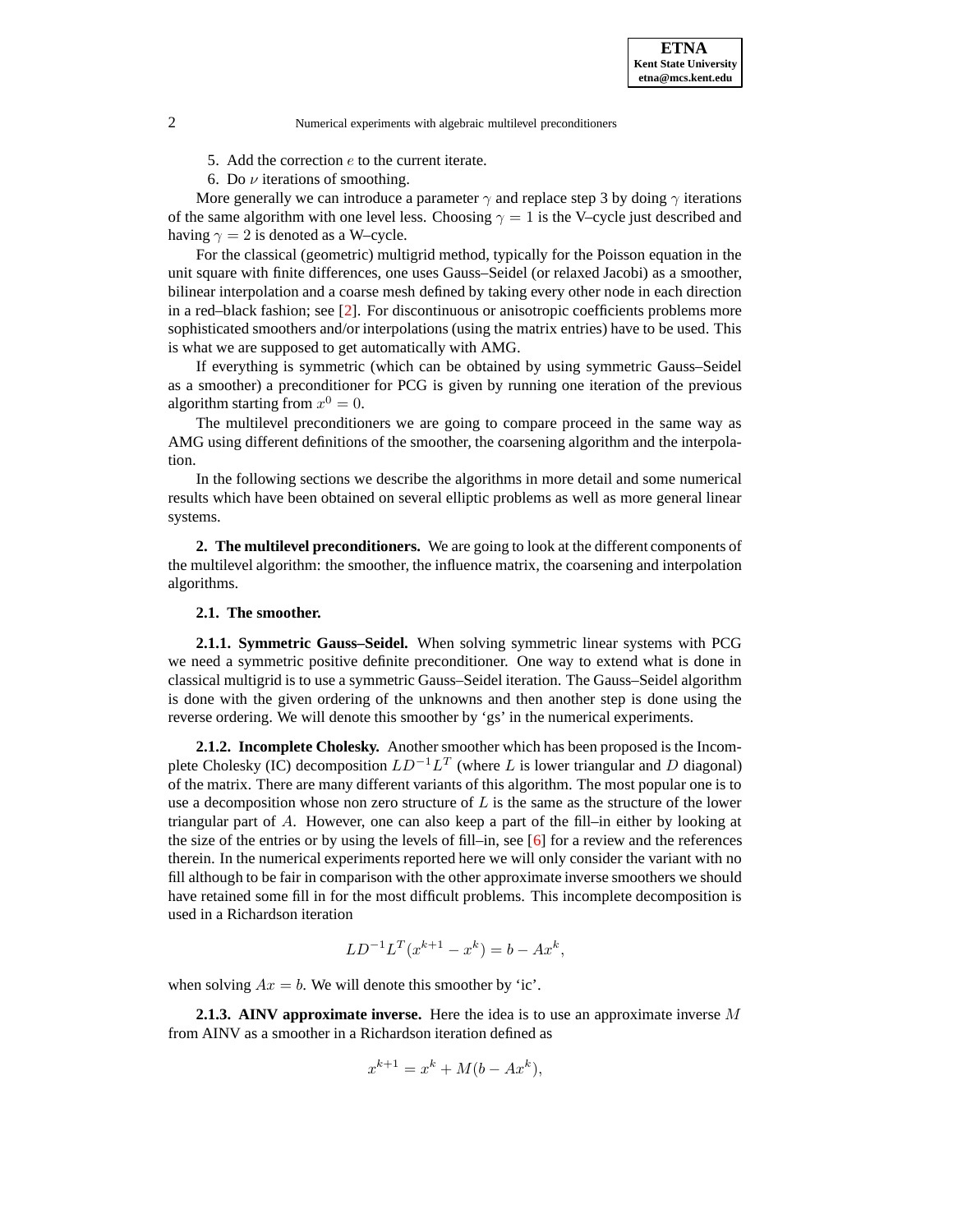

5. Add the correction  $e$  to the current iterate.

6. Do  $\nu$  iterations of smoothing.

More generally we can introduce a parameter  $\gamma$  and replace step 3 by doing  $\gamma$  iterations of the same algorithm with one level less. Choosing  $\gamma = 1$  is the V–cycle just described and having  $\gamma = 2$  is denoted as a W–cycle.

For the classical (geometric) multigrid method, typically for the Poisson equation in the unit square with finite differences, one uses Gauss–Seidel (or relaxed Jacobi) as a smoother, bilinear interpolation and a coarse mesh defined by taking every other node in each direction in a red–black fashion; see [\[2\]](#page-63-0). For discontinuous or anisotropic coefficients problems more sophisticated smoothers and/or interpolations (using the matrix entries) have to be used. This is what we are supposed to get automatically with AMG.

If everything is symmetric (which can be obtained by using symmetric Gauss–Seidel as a smoother) a preconditioner for PCG is given by running one iteration of the previous algorithm starting from  $x^0 = 0$ .

The multilevel preconditioners we are going to compare proceed in the same way as AMG using different definitions of the smoother, the coarsening algorithm and the interpolation.

In the following sections we describe the algorithms in more detail and some numerical results which have been obtained on several elliptic problems as well as more general linear systems.

**2. The multilevel preconditioners.** We are going to look at the different components of the multilevel algorithm: the smoother, the influence matrix, the coarsening and interpolation algorithms.

### **2.1. The smoother.**

**2.1.1. Symmetric Gauss–Seidel.** When solving symmetric linear systems with PCG we need a symmetric positive definite preconditioner. One way to extend what is done in classical multigrid is to use a symmetric Gauss–Seidel iteration. The Gauss–Seidel algorithm is done with the given ordering of the unknowns and then another step is done using the reverse ordering. We will denote this smoother by 'gs' in the numerical experiments.

**2.1.2. Incomplete Cholesky.** Another smoother which has been proposed is the Incomplete Cholesky (IC) decomposition  $LD^{-1}L^T$  (where L is lower triangular and D diagonal) of the matrix. There are many different variants of this algorithm. The most popular one is to use a decomposition whose non zero structure of  $L$  is the same as the structure of the lower triangular part of A. However, one can also keep a part of the fill–in either by looking at the size of the entries or by using the levels of fill–in, see  $[6]$  for a review and the references therein. In the numerical experiments reported here we will only consider the variant with no fill although to be fair in comparison with the other approximate inverse smoothers we should have retained some fill in for the most difficult problems. This incomplete decomposition is used in a Richardson iteration

$$
LD^{-1}L^{T}(x^{k+1} - x^{k}) = b - Ax^{k},
$$

when solving  $Ax = b$ . We will denote this smoother by 'ic'.

**2.1.3. AINV approximate inverse.** Here the idea is to use an approximate inverse M from AINV as a smoother in a Richardson iteration defined as

$$
x^{k+1} = x^k + M(b - Ax^k),
$$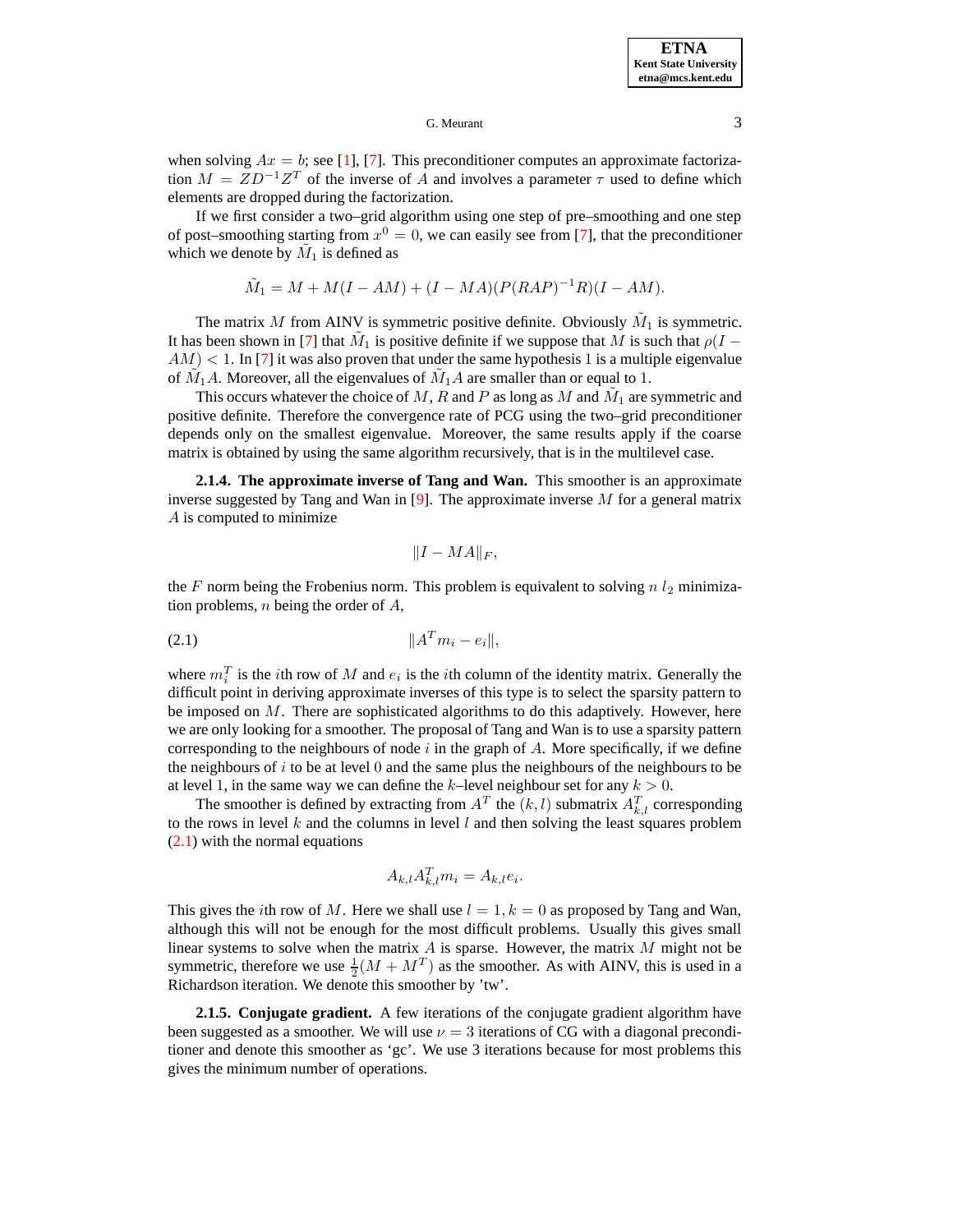when solving  $Ax = b$ ; see [\[1\]](#page-63-1), [\[7\]](#page-64-3). This preconditioner computes an approximate factorization  $M = ZD^{-1}Z^{T}$  of the inverse of A and involves a parameter  $\tau$  used to define which elements are dropped during the factorization.

If we first consider a two–grid algorithm using one step of pre–smoothing and one step of post–smoothing starting from  $x^0 = 0$ , we can easily see from [\[7\]](#page-64-3), that the preconditioner which we denote by  $\tilde{M}_1$  is defined as

$$
\tilde{M}_1 = M + M(I - AM) + (I - MA)(P(RAP)^{-1}R)(I - AM).
$$

The matrix M from AINV is symmetric positive definite. Obviously  $\tilde{M}_1$  is symmetric. It has been shown in [\[7\]](#page-64-3) that  $\tilde{M}_1$  is positive definite if we suppose that  $M$  is such that  $\rho(I AM$ ) < 1. In [\[7\]](#page-64-3) it was also proven that under the same hypothesis 1 is a multiple eigenvalue of  $\tilde{M}_1 A$ . Moreover, all the eigenvalues of  $\tilde{M}_1 A$  are smaller than or equal to 1.

This occurs whatever the choice of M, R and P as long as M and  $\tilde{M}_1$  are symmetric and positive definite. Therefore the convergence rate of PCG using the two–grid preconditioner depends only on the smallest eigenvalue. Moreover, the same results apply if the coarse matrix is obtained by using the same algorithm recursively, that is in the multilevel case.

**2.1.4. The approximate inverse of Tang and Wan.** This smoother is an approximate inverse suggested by Tang and Wan in [\[9\]](#page-64-4). The approximate inverse  $M$  for a general matrix A is computed to minimize

$$
||I - MA||_F,
$$

the F norm being the Frobenius norm. This problem is equivalent to solving  $n l_2$  minimization problems,  $n$  being the order of  $A$ ,

<span id="page-2-0"></span><sup>k</sup><sup>A</sup> (2.1) <sup>T</sup> <sup>m</sup><sup>i</sup> <sup>−</sup> <sup>e</sup>ik,

where  $m_i^T$  is the *i*th row of M and  $e_i$  is the *i*th column of the identity matrix. Generally the difficult point in deriving approximate inverses of this type is to select the sparsity pattern to be imposed on  $M$ . There are sophisticated algorithms to do this adaptively. However, here we are only looking for a smoother. The proposal of Tang and Wan is to use a sparsity pattern corresponding to the neighbours of node  $i$  in the graph of  $A$ . More specifically, if we define the neighbours of i to be at level  $\theta$  and the same plus the neighbours of the neighbours to be at level 1, in the same way we can define the k–level neighbour set for any  $k > 0$ .

The smoother is defined by extracting from  $A<sup>T</sup>$  the  $(k, l)$  submatrix  $A<sup>T</sup><sub>k,l</sub>$  corresponding to the rows in level  $k$  and the columns in level  $l$  and then solving the least squares problem [\(2.1\)](#page-2-0) with the normal equations

$$
A_{k,l} A_{k,l}^T m_i = A_{k,l} e_i.
$$

This gives the *i*th row of M. Here we shall use  $l = 1, k = 0$  as proposed by Tang and Wan, although this will not be enough for the most difficult problems. Usually this gives small linear systems to solve when the matrix  $A$  is sparse. However, the matrix  $M$  might not be symmetric, therefore we use  $\frac{1}{2}(M + M^T)$  as the smoother. As with AINV, this is used in a Richardson iteration. We denote this smoother by 'tw'.

**2.1.5. Conjugate gradient.** A few iterations of the conjugate gradient algorithm have been suggested as a smoother. We will use  $\nu = 3$  iterations of CG with a diagonal preconditioner and denote this smoother as 'gc'. We use 3 iterations because for most problems this gives the minimum number of operations.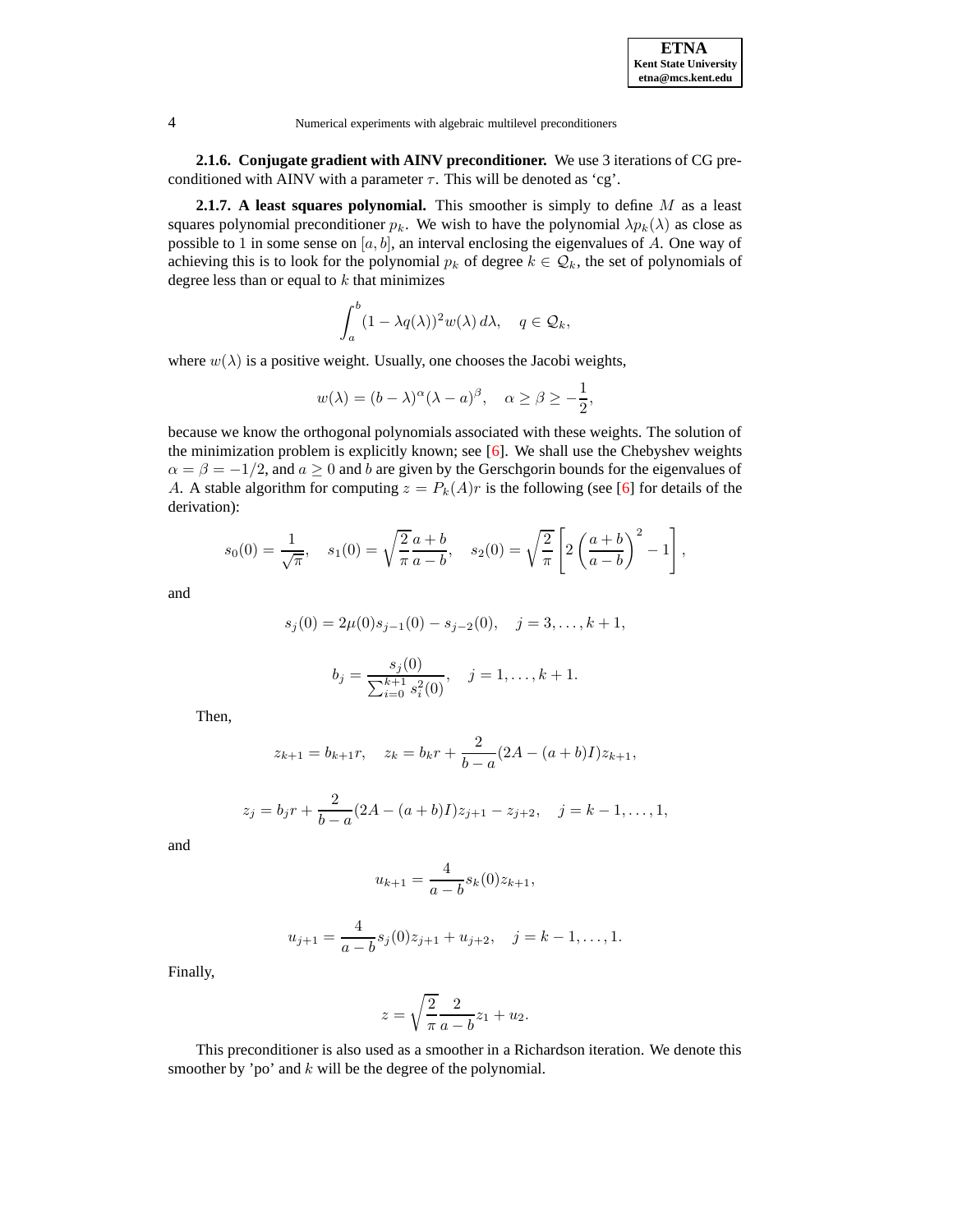**2.1.6. Conjugate gradient with AINV preconditioner.** We use 3 iterations of CG preconditioned with AINV with a parameter  $\tau$ . This will be denoted as 'cg'.

**2.1.7. A least squares polynomial.** This smoother is simply to define M as a least squares polynomial preconditioner  $p_k$ . We wish to have the polynomial  $\lambda p_k(\lambda)$  as close as possible to 1 in some sense on  $[a, b]$ , an interval enclosing the eigenvalues of A. One way of achieving this is to look for the polynomial  $p_k$  of degree  $k \in \mathcal{Q}_k$ , the set of polynomials of degree less than or equal to  $k$  that minimizes

$$
\int_a^b (1 - \lambda q(\lambda))^2 w(\lambda) d\lambda, \quad q \in \mathcal{Q}_k,
$$

where  $w(\lambda)$  is a positive weight. Usually, one chooses the Jacobi weights,

$$
w(\lambda) = (b - \lambda)^{\alpha} (\lambda - a)^{\beta}, \quad \alpha \ge \beta \ge -\frac{1}{2},
$$

because we know the orthogonal polynomials associated with these weights. The solution of the minimization problem is explicitly known; see  $[6]$ . We shall use the Chebyshev weights  $\alpha = \beta = -1/2$ , and  $a \ge 0$  and b are given by the Gerschgorin bounds for the eigenvalues of A. A stable algorithm for computing  $z = P_k(A)r$  is the following (see [\[6\]](#page-64-2) for details of the derivation):

$$
s_0(0) = \frac{1}{\sqrt{\pi}}, \quad s_1(0) = \sqrt{\frac{2}{\pi}} \frac{a+b}{a-b}, \quad s_2(0) = \sqrt{\frac{2}{\pi}} \left[ 2 \left( \frac{a+b}{a-b} \right)^2 - 1 \right],
$$

and

$$
s_j(0) = 2\mu(0)s_{j-1}(0) - s_{j-2}(0), \quad j = 3, ..., k+1,
$$

$$
b_j = \frac{s_j(0)}{\sum_{i=0}^{k+1} s_i^2(0)}, \quad j = 1, \dots, k+1.
$$

Then,

$$
z_{k+1} = b_{k+1}r, \quad z_k = b_kr + \frac{2}{b-a}(2A - (a+b)I)z_{k+1},
$$

$$
z_j = b_j r + \frac{2}{b-a} (2A - (a+b)I) z_{j+1} - z_{j+2}, \quad j = k-1, \dots, 1,
$$

and

$$
u_{k+1} = \frac{4}{a-b} s_k(0) z_{k+1},
$$

$$
u_{j+1} = \frac{4}{a-b} s_j(0) z_{j+1} + u_{j+2}, \quad j = k-1, \dots, 1.
$$

Finally,

$$
z = \sqrt{\frac{2}{\pi}} \frac{2}{a - b} z_1 + u_2.
$$

This preconditioner is also used as a smoother in a Richardson iteration. We denote this smoother by 'po' and  $k$  will be the degree of the polynomial.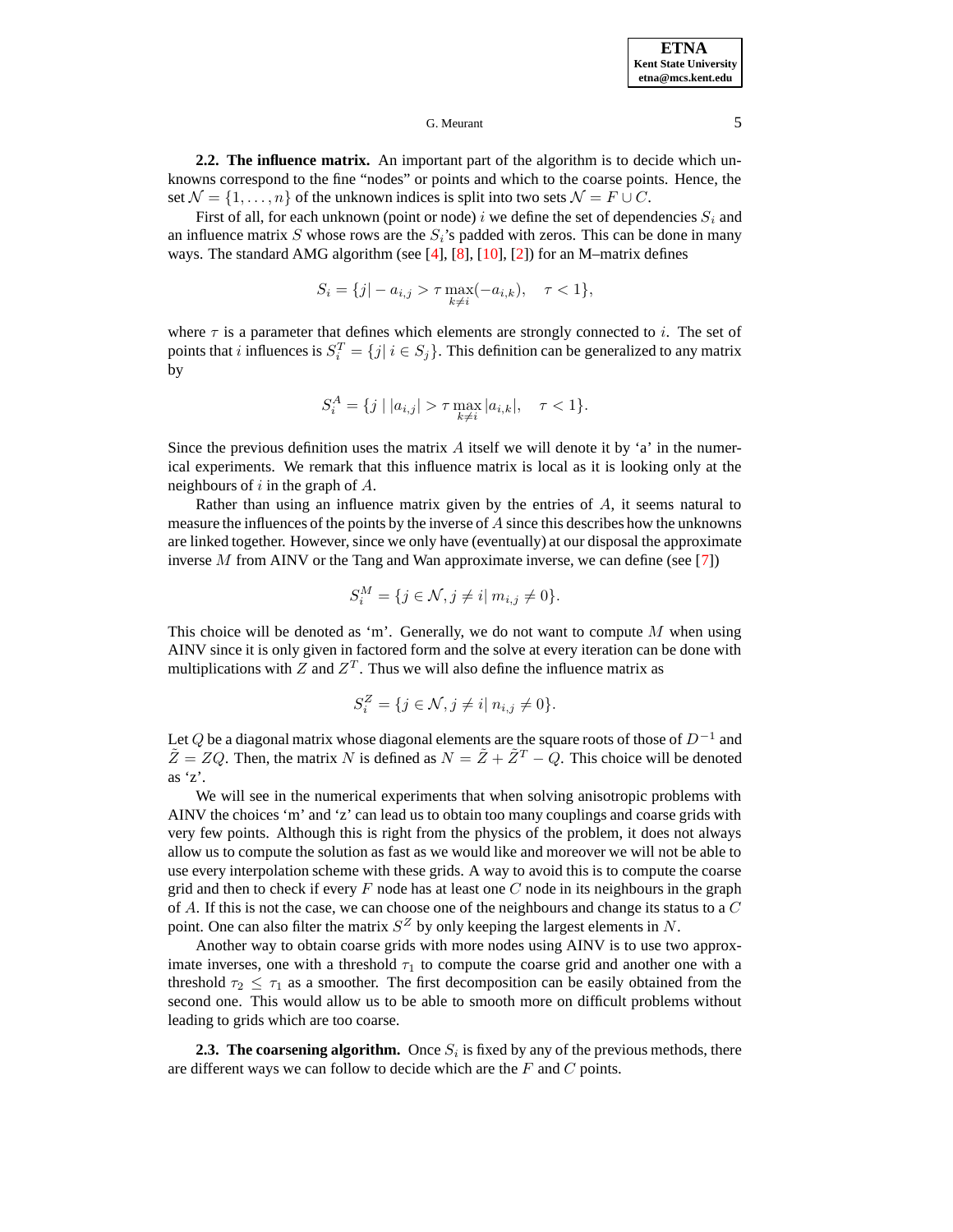**ETNA Kent State University etna@mcs.kent.edu**

## G. Meurant 5

**2.2. The influence matrix.** An important part of the algorithm is to decide which unknowns correspond to the fine "nodes" or points and which to the coarse points. Hence, the set  $\mathcal{N} = \{1, \ldots, n\}$  of the unknown indices is split into two sets  $\mathcal{N} = F \cup C$ .

First of all, for each unknown (point or node) i we define the set of dependencies  $S_i$  and an influence matrix S whose rows are the  $S_i$ 's padded with zeros. This can be done in many ways. The standard AMG algorithm (see  $[4]$ ,  $[8]$ ,  $[10]$ ,  $[2]$ ) for an M–matrix defines

$$
S_i = \{j | -a_{i,j} > \tau \max_{k \neq i} (-a_{i,k}), \quad \tau < 1\},\
$$

where  $\tau$  is a parameter that defines which elements are strongly connected to i. The set of points that *i* influences is  $S_i^T = \{j | i \in S_j\}$ . This definition can be generalized to any matrix by

$$
S_i^A = \{ j \mid |a_{i,j}| > \tau \max_{k \neq i} |a_{i,k}|, \quad \tau < 1 \}.
$$

Since the previous definition uses the matrix  $\vec{A}$  itself we will denote it by 'a' in the numerical experiments. We remark that this influence matrix is local as it is looking only at the neighbours of  $i$  in the graph of  $A$ .

Rather than using an influence matrix given by the entries of A, it seems natural to measure the influences of the points by the inverse of  $A$  since this describes how the unknowns are linked together. However, since we only have (eventually) at our disposal the approximate inverse M from AINV or the Tang and Wan approximate inverse, we can define (see [\[7\]](#page-64-3))

$$
S_i^M = \{ j \in \mathcal{N}, j \neq i \mid m_{i,j} \neq 0 \}.
$$

This choice will be denoted as 'm'. Generally, we do not want to compute  $M$  when using AINV since it is only given in factored form and the solve at every iteration can be done with multiplications with Z and  $Z<sup>T</sup>$ . Thus we will also define the influence matrix as

$$
S_i^Z = \{ j \in \mathcal{N}, j \neq i | n_{i,j} \neq 0 \}.
$$

Let  $Q$  be a diagonal matrix whose diagonal elements are the square roots of those of  $D^{-1}$  and  $\tilde{Z} = ZQ$ . Then, the matrix N is defined as  $N = \tilde{Z} + \tilde{Z}^T - Q$ . This choice will be denoted as 'z'.

We will see in the numerical experiments that when solving anisotropic problems with AINV the choices 'm' and 'z' can lead us to obtain too many couplings and coarse grids with very few points. Although this is right from the physics of the problem, it does not always allow us to compute the solution as fast as we would like and moreover we will not be able to use every interpolation scheme with these grids. A way to avoid this is to compute the coarse grid and then to check if every  $F$  node has at least one  $C$  node in its neighbours in the graph of A. If this is not the case, we can choose one of the neighbours and change its status to a  $C$ point. One can also filter the matrix  $S^Z$  by only keeping the largest elements in N.

Another way to obtain coarse grids with more nodes using AINV is to use two approximate inverses, one with a threshold  $\tau_1$  to compute the coarse grid and another one with a threshold  $\tau_2 \leq \tau_1$  as a smoother. The first decomposition can be easily obtained from the second one. This would allow us to be able to smooth more on difficult problems without leading to grids which are too coarse.

**2.3. The coarsening algorithm.** Once  $S_i$  is fixed by any of the previous methods, there are different ways we can follow to decide which are the  $F$  and  $C$  points.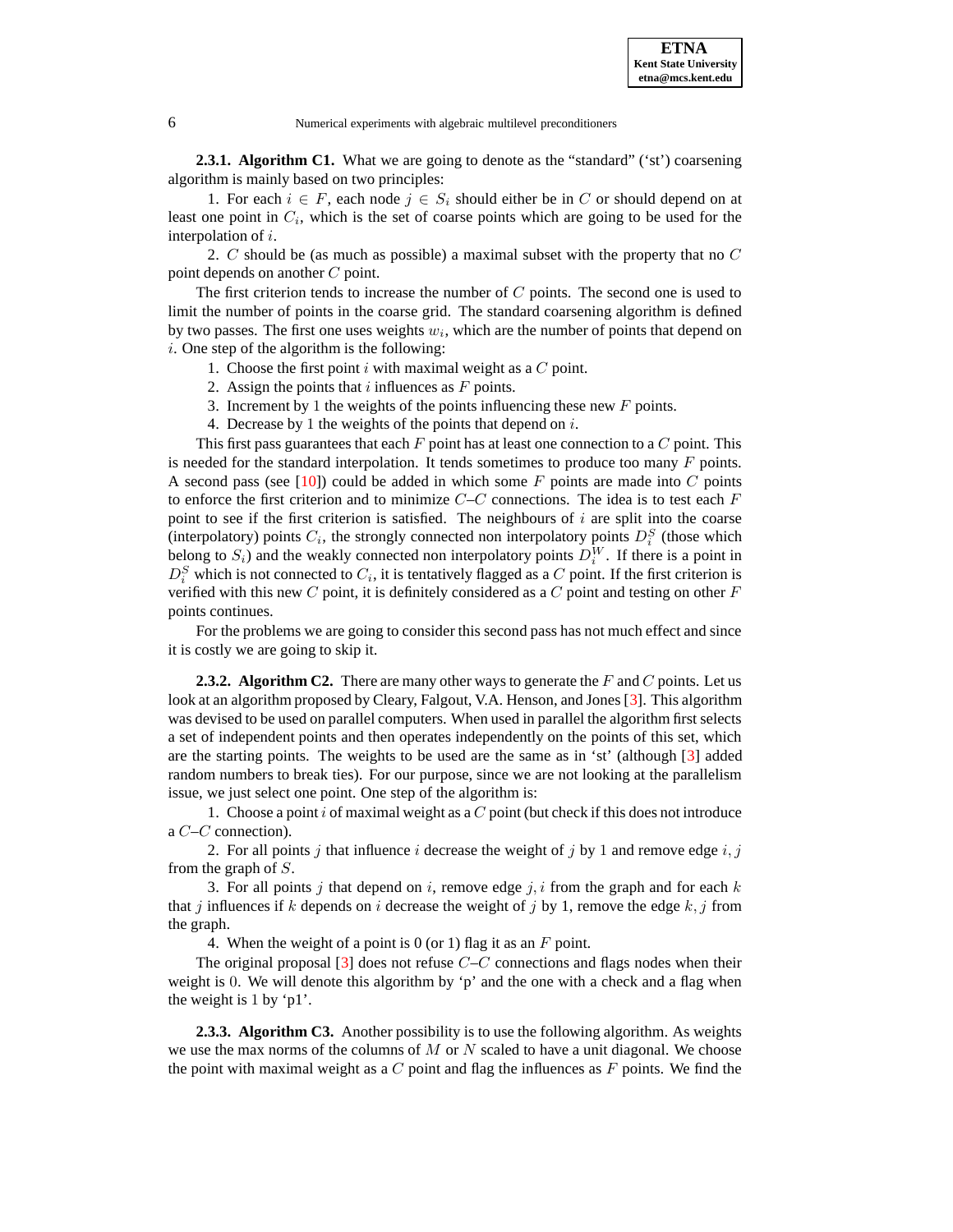

**2.3.1. Algorithm C1.** What we are going to denote as the "standard" ('st') coarsening algorithm is mainly based on two principles:

1. For each  $i \in F$ , each node  $j \in S_i$  should either be in C or should depend on at least one point in  $C_i$ , which is the set of coarse points which are going to be used for the interpolation of i.

2.  $C$  should be (as much as possible) a maximal subset with the property that no  $C$ point depends on another C point.

The first criterion tends to increase the number of  $C$  points. The second one is used to limit the number of points in the coarse grid. The standard coarsening algorithm is defined by two passes. The first one uses weights  $w_i$ , which are the number of points that depend on  $i.$  One step of the algorithm is the following:

- 1. Choose the first point  $i$  with maximal weight as a  $C$  point.
- 2. Assign the points that  $i$  influences as  $F$  points.
- 3. Increment by 1 the weights of the points influencing these new  $F$  points.
- 4. Decrease by 1 the weights of the points that depend on  $i$ .

This first pass guarantees that each  $F$  point has at least one connection to a  $C$  point. This is needed for the standard interpolation. It tends sometimes to produce too many  $F$  points. A second pass (see [\[10\]](#page-64-6)) could be added in which some  $F$  points are made into  $C$  points to enforce the first criterion and to minimize  $C-C$  connections. The idea is to test each F point to see if the first criterion is satisfied. The neighbours of  $i$  are split into the coarse (interpolatory) points  $C_i$ , the strongly connected non interpolatory points  $D_i^S$  (those which belong to  $S_i$ ) and the weakly connected non interpolatory points  $D_i^W$ . If there is a point in  $D_i^S$  which is not connected to  $C_i$ , it is tentatively flagged as a C point. If the first criterion is verified with this new  $C$  point, it is definitely considered as a  $C$  point and testing on other  $F$ points continues.

For the problems we are going to consider this second pass has not much effect and since it is costly we are going to skip it.

**2.3.2. Algorithm C2.** There are many other ways to generate the F and C points. Let us look at an algorithm proposed by Cleary, Falgout, V.A. Henson, and Jones [\[3\]](#page-64-7). This algorithm was devised to be used on parallel computers. When used in parallel the algorithm first selects a set of independent points and then operates independently on the points of this set, which are the starting points. The weights to be used are the same as in 'st' (although [\[3\]](#page-64-7) added random numbers to break ties). For our purpose, since we are not looking at the parallelism issue, we just select one point. One step of the algorithm is:

1. Choose a point i of maximal weight as a  $C$  point (but check if this does not introduce a C–C connection).

2. For all points j that influence i decrease the weight of j by 1 and remove edge i, j from the graph of S.

3. For all points j that depend on i, remove edge j, i from the graph and for each k that j influences if k depends on i decrease the weight of j by 1, remove the edge  $k, j$  from the graph.

4. When the weight of a point is 0 (or 1) flag it as an  $F$  point.

The original proposal  $\lceil 3 \rceil$  does not refuse  $C-C$  connections and flags nodes when their weight is 0. We will denote this algorithm by 'p' and the one with a check and a flag when the weight is 1 by 'p1'.

**2.3.3. Algorithm C3.** Another possibility is to use the following algorithm. As weights we use the max norms of the columns of  $M$  or  $N$  scaled to have a unit diagonal. We choose the point with maximal weight as a  $C$  point and flag the influences as  $F$  points. We find the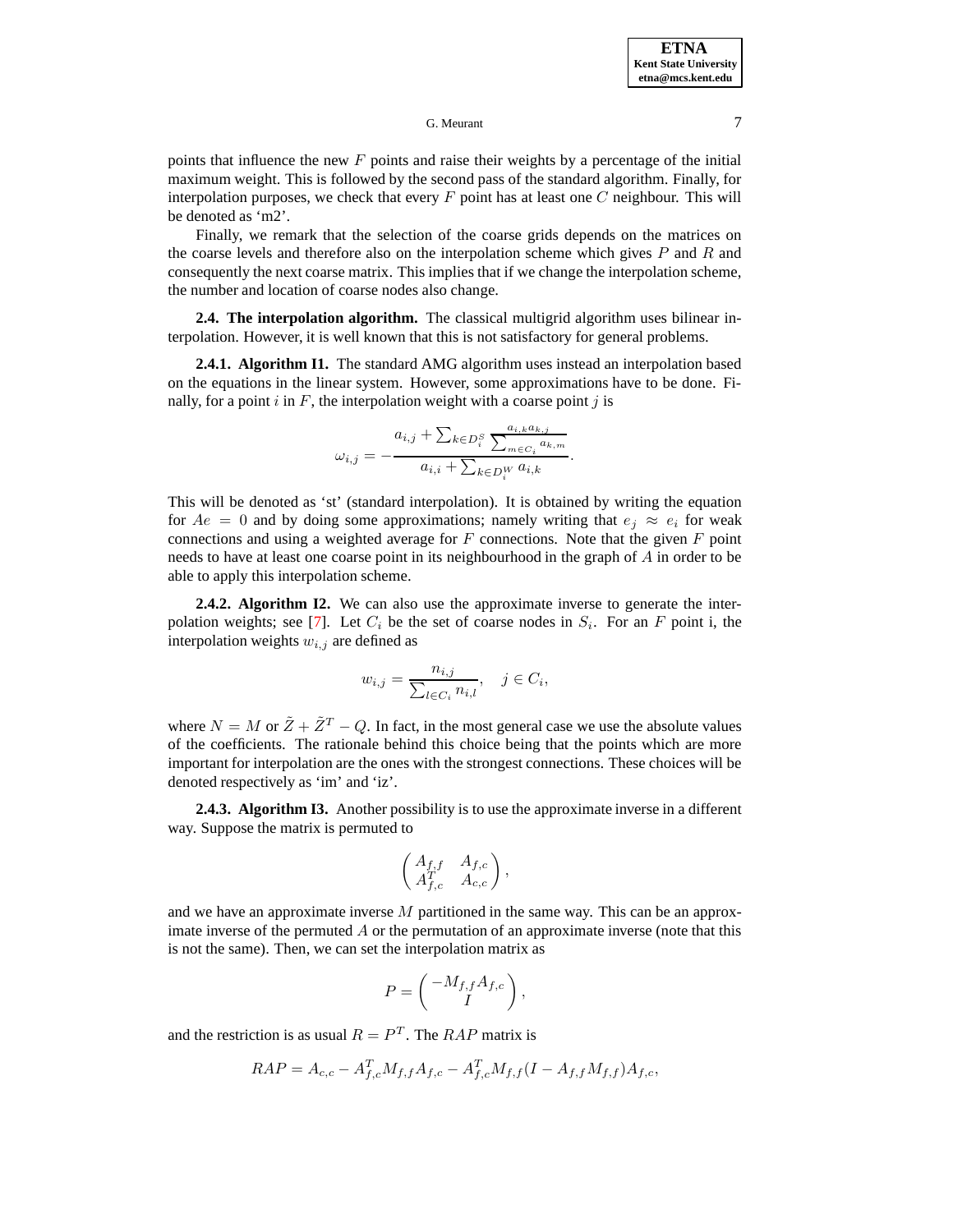points that influence the new  $F$  points and raise their weights by a percentage of the initial maximum weight. This is followed by the second pass of the standard algorithm. Finally, for interpolation purposes, we check that every  $F$  point has at least one  $C$  neighbour. This will be denoted as 'm2'.

Finally, we remark that the selection of the coarse grids depends on the matrices on the coarse levels and therefore also on the interpolation scheme which gives  $P$  and  $R$  and consequently the next coarse matrix. This implies that if we change the interpolation scheme, the number and location of coarse nodes also change.

**2.4. The interpolation algorithm.** The classical multigrid algorithm uses bilinear interpolation. However, it is well known that this is not satisfactory for general problems.

**2.4.1. Algorithm I1.** The standard AMG algorithm uses instead an interpolation based on the equations in the linear system. However, some approximations have to be done. Finally, for a point  $i$  in  $F$ , the interpolation weight with a coarse point  $j$  is

$$
\omega_{i,j} = -\frac{a_{i,j} + \sum_{k \in D_i^S} \frac{a_{i,k}a_{k,j}}{\sum_{m \in C_i} a_{k,m}}}{a_{i,i} + \sum_{k \in D_i^W} a_{i,k}}.
$$

This will be denoted as 'st' (standard interpolation). It is obtained by writing the equation for  $Ae = 0$  and by doing some approximations; namely writing that  $e_i \approx e_i$  for weak connections and using a weighted average for  $F$  connections. Note that the given  $F$  point needs to have at least one coarse point in its neighbourhood in the graph of A in order to be able to apply this interpolation scheme.

**2.4.2. Algorithm I2.** We can also use the approximate inverse to generate the inter-polation weights; see [\[7\]](#page-64-3). Let  $C_i$  be the set of coarse nodes in  $S_i$ . For an F point i, the interpolation weights  $w_{i,j}$  are defined as

$$
w_{i,j} = \frac{n_{i,j}}{\sum_{l \in C_i} n_{i,l}}, \quad j \in C_i,
$$

where  $N = M$  or  $\tilde{Z} + \tilde{Z}^T - Q$ . In fact, in the most general case we use the absolute values of the coefficients. The rationale behind this choice being that the points which are more important for interpolation are the ones with the strongest connections. These choices will be denoted respectively as 'im' and 'iz'.

**2.4.3. Algorithm I3.** Another possibility is to use the approximate inverse in a different way. Suppose the matrix is permuted to

$$
\begin{pmatrix} A_{f,f} & A_{f,c} \\ A_{f,c}^T & A_{c,c} \end{pmatrix},
$$

and we have an approximate inverse M partitioned in the same way. This can be an approximate inverse of the permuted  $A$  or the permutation of an approximate inverse (note that this is not the same). Then, we can set the interpolation matrix as

$$
P = \begin{pmatrix} -M_{f,f}A_{f,c} \\ I \end{pmatrix},
$$

and the restriction is as usual  $R = P<sup>T</sup>$ . The  $RAP$  matrix is

$$
RAP = A_{c,c} - A_{f,c}^T M_{f,f} A_{f,c} - A_{f,c}^T M_{f,f} (I - A_{f,f} M_{f,f}) A_{f,c},
$$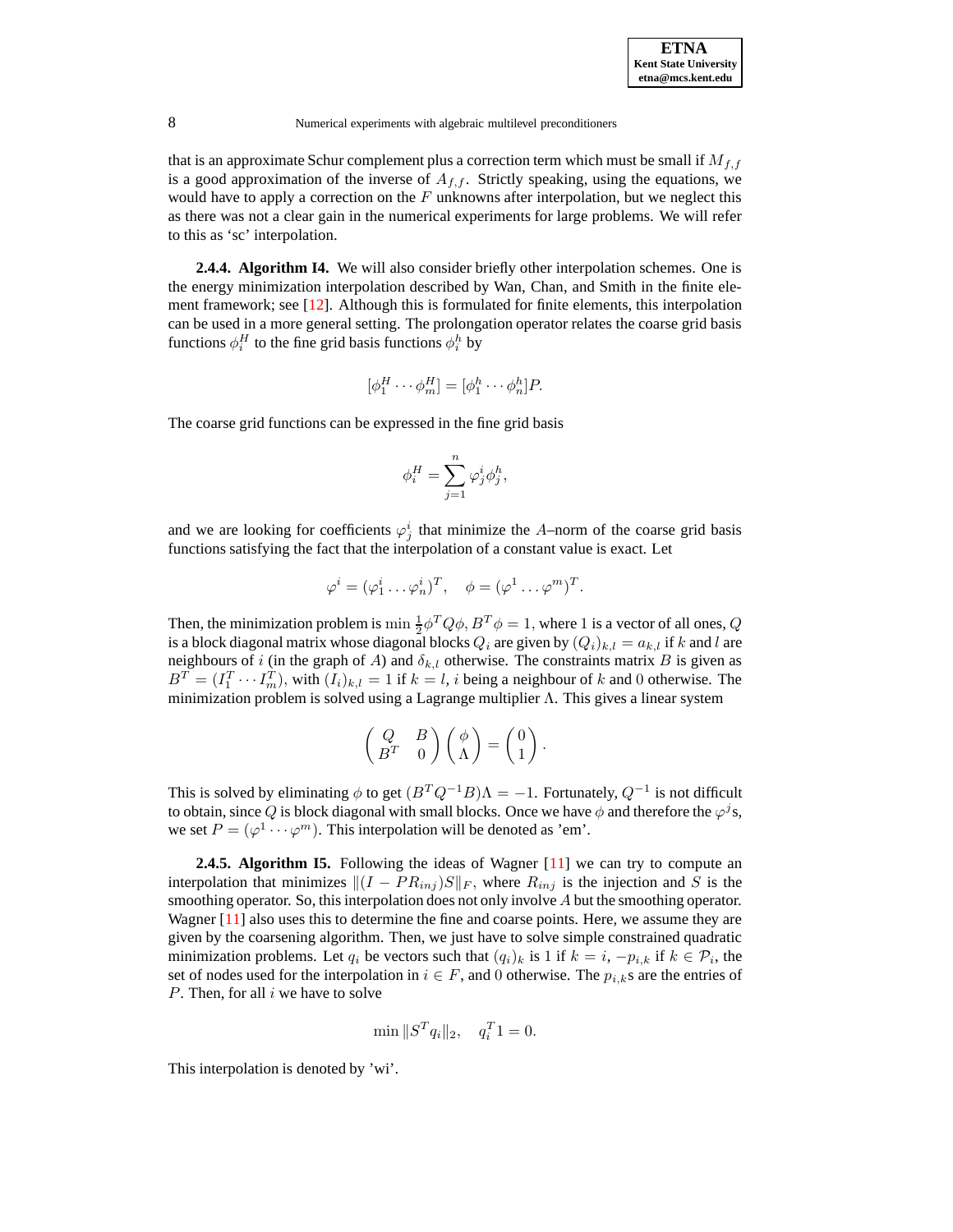that is an approximate Schur complement plus a correction term which must be small if  $M_{f,f}$ is a good approximation of the inverse of  $A_{f,f}$ . Strictly speaking, using the equations, we would have to apply a correction on the  $F$  unknowns after interpolation, but we neglect this as there was not a clear gain in the numerical experiments for large problems. We will refer to this as 'sc' interpolation.

**2.4.4. Algorithm I4.** We will also consider briefly other interpolation schemes. One is the energy minimization interpolation described by Wan, Chan, and Smith in the finite element framework; see [\[12\]](#page-64-8). Although this is formulated for finite elements, this interpolation can be used in a more general setting. The prolongation operator relates the coarse grid basis functions  $\phi_i^H$  to the fine grid basis functions  $\phi_i^h$  by

$$
[\phi_1^H \cdots \phi_m^H] = [\phi_1^h \cdots \phi_n^h]P.
$$

The coarse grid functions can be expressed in the fine grid basis

$$
\phi_i^H = \sum_{j=1}^n \varphi_j^i \phi_j^h,
$$

and we are looking for coefficients  $\varphi_j^i$  that minimize the A–norm of the coarse grid basis functions satisfying the fact that the interpolation of a constant value is exact. Let

$$
\varphi^i = (\varphi_1^i \dots \varphi_n^i)^T, \quad \phi = (\varphi^1 \dots \varphi^m)^T.
$$

Then, the minimization problem is  $\min \frac{1}{2} \phi^T Q \phi$ ,  $B^T \phi = 1$ , where 1 is a vector of all ones, Q is a block diagonal matrix whose diagonal blocks  $Q_i$  are given by  $(Q_i)_{k,l} = a_{k,l}$  if k and l are neighbours of i (in the graph of A) and  $\delta_{k,l}$  otherwise. The constraints matrix B is given as  $B^T = (I_1^T \cdots I_m^T)$ , with  $(I_i)_{k,l} = 1$  if  $k = l$ , *i* being a neighbour of *k* and 0 otherwise. The minimization problem is solved using a Lagrange multiplier Λ. This gives a linear system

$$
\begin{pmatrix} Q & B \\ B^T & 0 \end{pmatrix} \begin{pmatrix} \phi \\ \Lambda \end{pmatrix} = \begin{pmatrix} 0 \\ 1 \end{pmatrix}
$$

.

This is solved by eliminating  $\phi$  to get  $(B^T Q^{-1} B)\Lambda = -1$ . Fortunately,  $Q^{-1}$  is not difficult to obtain, since Q is block diagonal with small blocks. Once we have  $\phi$  and therefore the  $\varphi^j$ s, we set  $P = (\varphi^1 \cdots \varphi^m)$ . This interpolation will be denoted as 'em'.

**2.4.5. Algorithm I5.** Following the ideas of Wagner [\[11\]](#page-64-9) we can try to compute an interpolation that minimizes  $\|(I - PR_{inj})S\|_F$ , where  $R_{inj}$  is the injection and S is the smoothing operator. So, this interpolation does not only involve  $A$  but the smoothing operator. Wagner [\[11\]](#page-64-9) also uses this to determine the fine and coarse points. Here, we assume they are given by the coarsening algorithm. Then, we just have to solve simple constrained quadratic minimization problems. Let  $q_i$  be vectors such that  $(q_i)_k$  is 1 if  $k = i, -p_{i,k}$  if  $k \in \mathcal{P}_i$ , the set of nodes used for the interpolation in  $i \in F$ , and 0 otherwise. The  $p_{i,k}$ s are the entries of  $P$ . Then, for all  $i$  we have to solve

$$
\min \|S^T q_i\|_2, \quad q_i^T 1 = 0.
$$

This interpolation is denoted by 'wi'.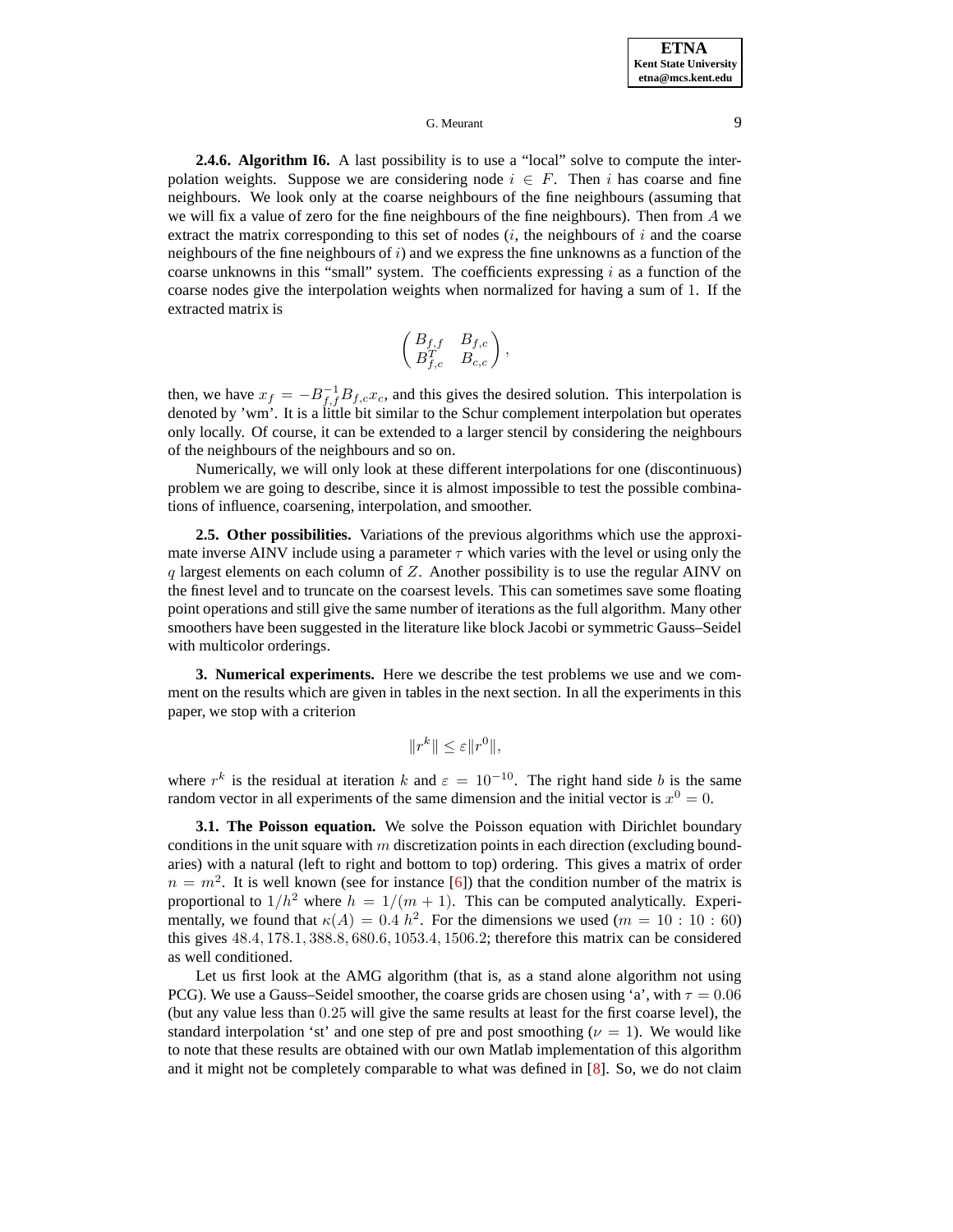**2.4.6. Algorithm I6.** A last possibility is to use a "local" solve to compute the interpolation weights. Suppose we are considering node  $i \in F$ . Then i has coarse and fine neighbours. We look only at the coarse neighbours of the fine neighbours (assuming that we will fix a value of zero for the fine neighbours of the fine neighbours). Then from A we extract the matrix corresponding to this set of nodes  $(i,$  the neighbours of i and the coarse neighbours of the fine neighbours of  $i$ ) and we express the fine unknowns as a function of the coarse unknowns in this "small" system. The coefficients expressing  $i$  as a function of the coarse nodes give the interpolation weights when normalized for having a sum of 1. If the extracted matrix is

$$
\begin{pmatrix} B_{f,f} & B_{f,c} \\ B_{f,c}^T & B_{c,c} \end{pmatrix},
$$

then, we have  $x_f = -B_{f,f}^{-1}B_{f,c}x_c$ , and this gives the desired solution. This interpolation is denoted by 'wm'. It is a little bit similar to the Schur complement interpolation but operates only locally. Of course, it can be extended to a larger stencil by considering the neighbours of the neighbours of the neighbours and so on.

Numerically, we will only look at these different interpolations for one (discontinuous) problem we are going to describe, since it is almost impossible to test the possible combinations of influence, coarsening, interpolation, and smoother.

**2.5. Other possibilities.** Variations of the previous algorithms which use the approximate inverse AINV include using a parameter  $\tau$  which varies with the level or using only the  $q$  largest elements on each column of  $Z$ . Another possibility is to use the regular AINV on the finest level and to truncate on the coarsest levels. This can sometimes save some floating point operations and still give the same number of iterations as the full algorithm. Many other smoothers have been suggested in the literature like block Jacobi or symmetric Gauss–Seidel with multicolor orderings.

**3. Numerical experiments.** Here we describe the test problems we use and we comment on the results which are given in tables in the next section. In all the experiments in this paper, we stop with a criterion

$$
||r^k|| \le \varepsilon ||r^0||,
$$

where  $r^k$  is the residual at iteration k and  $\varepsilon = 10^{-10}$ . The right hand side b is the same random vector in all experiments of the same dimension and the initial vector is  $x^0 = 0$ .

**3.1. The Poisson equation.** We solve the Poisson equation with Dirichlet boundary conditions in the unit square with  $m$  discretization points in each direction (excluding boundaries) with a natural (left to right and bottom to top) ordering. This gives a matrix of order  $n = m<sup>2</sup>$ . It is well known (see for instance [\[6\]](#page-64-2)) that the condition number of the matrix is proportional to  $1/h^2$  where  $h = 1/(m + 1)$ . This can be computed analytically. Experimentally, we found that  $\kappa(A) = 0.4 h^2$ . For the dimensions we used ( $m = 10 : 10 : 60$ ) this gives 48.4, 178.1, 388.8, 680.6, 1053.4, 1506.2; therefore this matrix can be considered as well conditioned.

Let us first look at the AMG algorithm (that is, as a stand alone algorithm not using PCG). We use a Gauss–Seidel smoother, the coarse grids are chosen using 'a', with  $\tau = 0.06$ (but any value less than 0.25 will give the same results at least for the first coarse level), the standard interpolation 'st' and one step of pre and post smoothing ( $\nu = 1$ ). We would like to note that these results are obtained with our own Matlab implementation of this algorithm and it might not be completely comparable to what was defined in [\[8\]](#page-64-0). So, we do not claim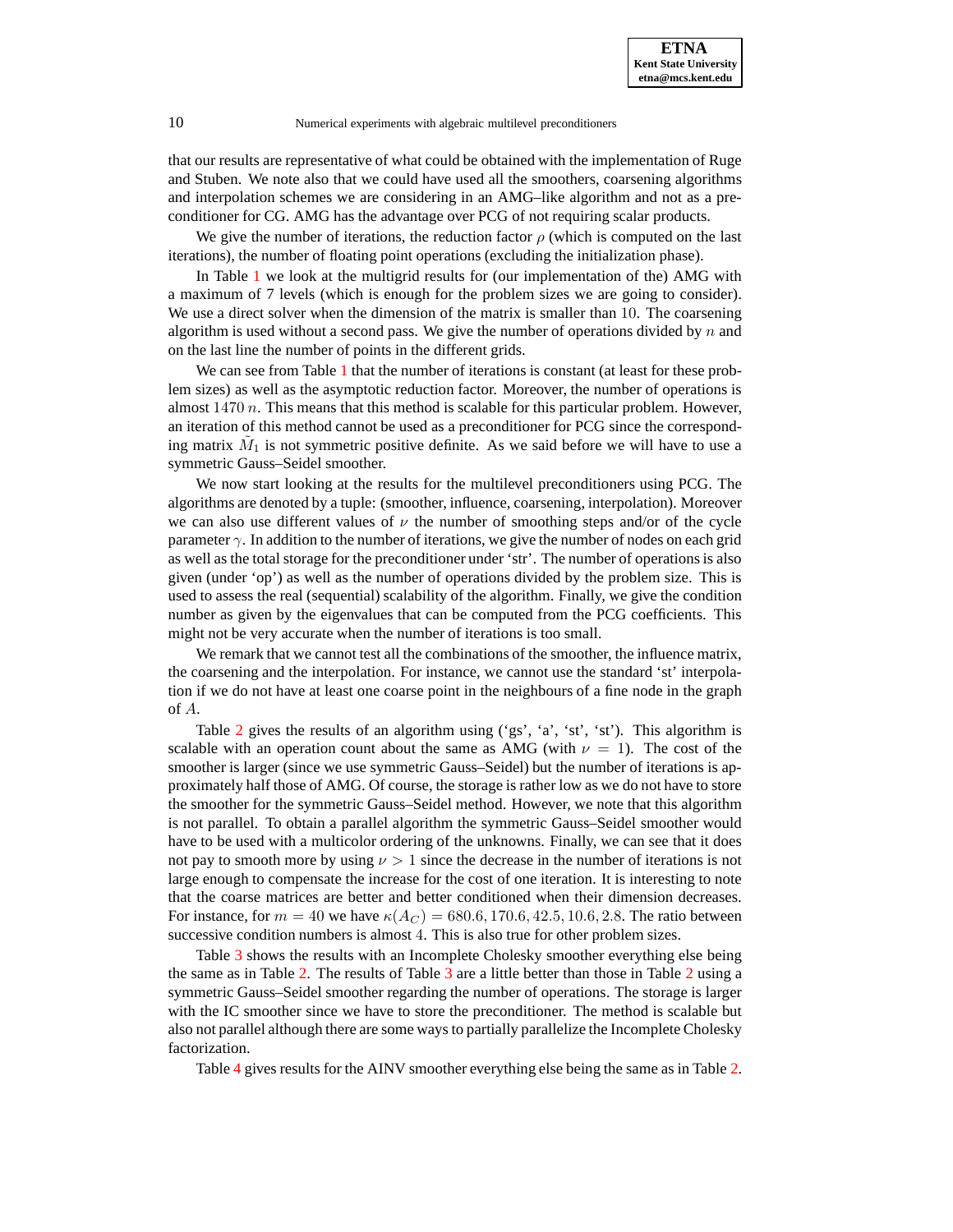that our results are representative of what could be obtained with the implementation of Ruge and Stuben. We note also that we could have used all the smoothers, coarsening algorithms and interpolation schemes we are considering in an AMG–like algorithm and not as a preconditioner for CG. AMG has the advantage over PCG of not requiring scalar products.

We give the number of iterations, the reduction factor  $\rho$  (which is computed on the last iterations), the number of floating point operations (excluding the initialization phase).

In Table [1](#page-15-0) we look at the multigrid results for (our implementation of the) AMG with a maximum of 7 levels (which is enough for the problem sizes we are going to consider). We use a direct solver when the dimension of the matrix is smaller than 10. The coarsening algorithm is used without a second pass. We give the number of operations divided by  $n$  and on the last line the number of points in the different grids.

We can see from Table [1](#page-15-0) that the number of iterations is constant (at least for these problem sizes) as well as the asymptotic reduction factor. Moreover, the number of operations is almost  $1470 n$ . This means that this method is scalable for this particular problem. However, an iteration of this method cannot be used as a preconditioner for PCG since the corresponding matrix  $\tilde{M}_1$  is not symmetric positive definite. As we said before we will have to use a symmetric Gauss–Seidel smoother.

We now start looking at the results for the multilevel preconditioners using PCG. The algorithms are denoted by a tuple: (smoother, influence, coarsening, interpolation). Moreover we can also use different values of  $\nu$  the number of smoothing steps and/or of the cycle parameter  $\gamma$ . In addition to the number of iterations, we give the number of nodes on each grid as well as the total storage for the preconditioner under 'str'. The number of operationsis also given (under 'op') as well as the number of operations divided by the problem size. This is used to assess the real (sequential) scalability of the algorithm. Finally, we give the condition number as given by the eigenvalues that can be computed from the PCG coefficients. This might not be very accurate when the number of iterations is too small.

We remark that we cannot test all the combinations of the smoother, the influence matrix, the coarsening and the interpolation. For instance, we cannot use the standard 'st' interpolation if we do not have at least one coarse point in the neighbours of a fine node in the graph of A.

Table [2](#page-16-0) gives the results of an algorithm using  $('gs', 'a', 'st', 'st').$  This algorithm is scalable with an operation count about the same as AMG (with  $\nu = 1$ ). The cost of the smoother is larger (since we use symmetric Gauss–Seidel) but the number of iterations is approximately half those of AMG. Of course, the storage is rather low as we do not have to store the smoother for the symmetric Gauss–Seidel method. However, we note that this algorithm is not parallel. To obtain a parallel algorithm the symmetric Gauss–Seidel smoother would have to be used with a multicolor ordering of the unknowns. Finally, we can see that it does not pay to smooth more by using  $\nu > 1$  since the decrease in the number of iterations is not large enough to compensate the increase for the cost of one iteration. It is interesting to note that the coarse matrices are better and better conditioned when their dimension decreases. For instance, for  $m = 40$  we have  $\kappa(A_C) = 680.6, 170.6, 42.5, 10.6, 2.8$ . The ratio between successive condition numbers is almost 4. This is also true for other problem sizes.

Table [3](#page-17-0) shows the results with an Incomplete Cholesky smoother everything else being the same as in Table [2.](#page-16-0) The results of Table [3](#page-17-0) are a little better than those in Table [2](#page-16-0) using a symmetric Gauss–Seidel smoother regarding the number of operations. The storage is larger with the IC smoother since we have to store the preconditioner. The method is scalable but also not parallel although there are some ways to partially parallelize the Incomplete Cholesky factorization.

Table [4](#page-18-0) gives results for the AINV smoother everything else being the same as in Table [2.](#page-16-0)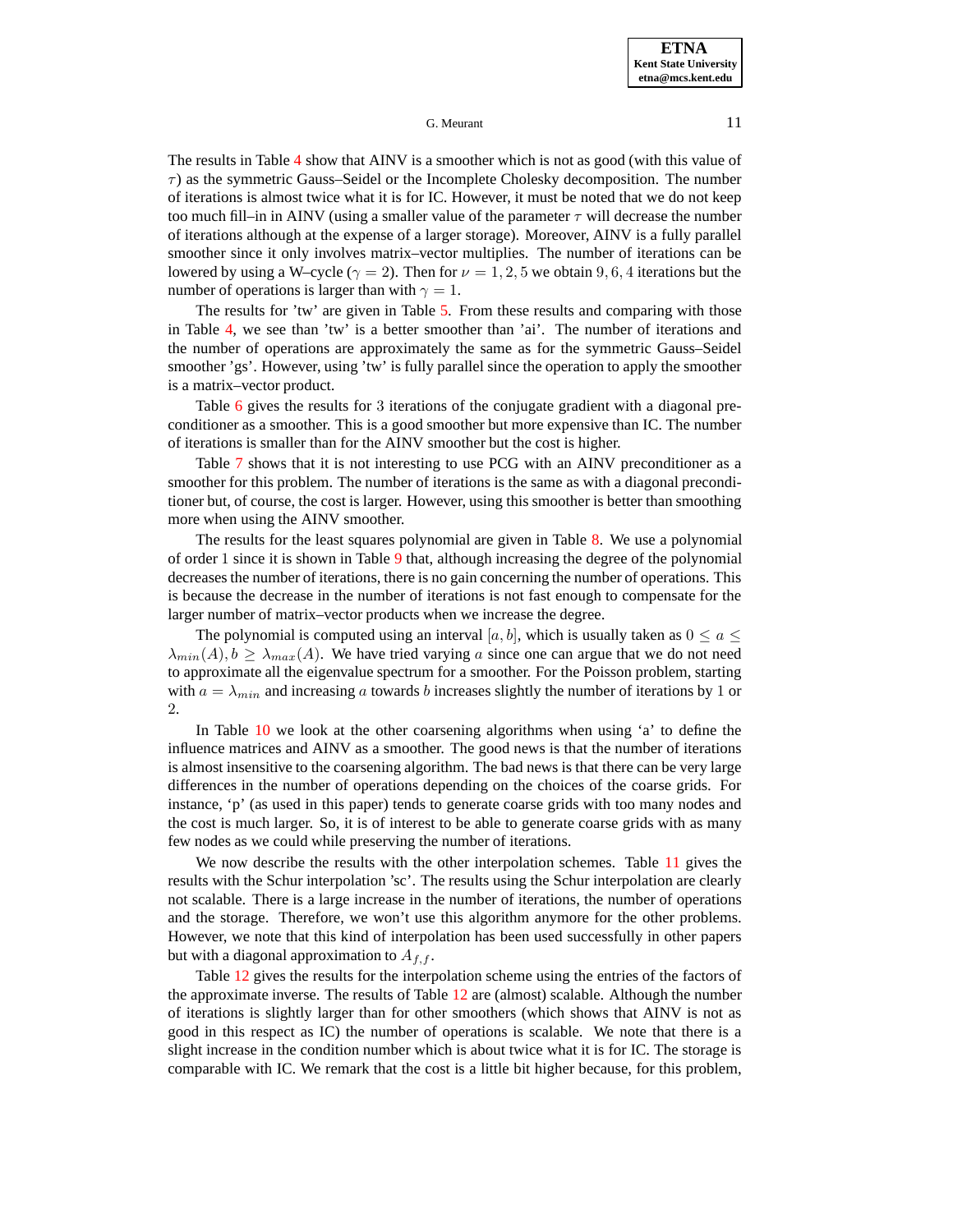The results in Table [4](#page-18-0) show that AINV is a smoother which is not as good (with this value of  $\tau$ ) as the symmetric Gauss–Seidel or the Incomplete Cholesky decomposition. The number of iterations is almost twice what it is for IC. However, it must be noted that we do not keep too much fill–in in AINV (using a smaller value of the parameter  $\tau$  will decrease the number of iterations although at the expense of a larger storage). Moreover, AINV is a fully parallel smoother since it only involves matrix–vector multiplies. The number of iterations can be lowered by using a W–cycle ( $\gamma = 2$ ). Then for  $\nu = 1, 2, 5$  we obtain 9, 6, 4 iterations but the number of operations is larger than with  $\gamma = 1$ .

The results for 'tw' are given in Table [5.](#page-19-0) From these results and comparing with those in Table [4,](#page-18-0) we see than 'tw' is a better smoother than 'ai'. The number of iterations and the number of operations are approximately the same as for the symmetric Gauss–Seidel smoother 'gs'. However, using 'tw' is fully parallel since the operation to apply the smoother is a matrix–vector product.

Table [6](#page-20-0) gives the results for 3 iterations of the conjugate gradient with a diagonal preconditioner as a smoother. This is a good smoother but more expensive than IC. The number of iterations is smaller than for the AINV smoother but the cost is higher.

Table [7](#page-21-0) shows that it is not interesting to use PCG with an AINV preconditioner as a smoother for this problem. The number of iterations is the same as with a diagonal preconditioner but, of course, the cost is larger. However, using this smoother is better than smoothing more when using the AINV smoother.

The results for the least squares polynomial are given in Table [8.](#page-22-0) We use a polynomial of order 1 since it is shown in Table [9](#page-23-0) that, although increasing the degree of the polynomial decreases the number of iterations, there is no gain concerning the number of operations. This is because the decrease in the number of iterations is not fast enough to compensate for the larger number of matrix–vector products when we increase the degree.

The polynomial is computed using an interval [a, b], which is usually taken as  $0 \le a \le$  $\lambda_{min}(A), b \geq \lambda_{max}(A)$ . We have tried varying a since one can argue that we do not need to approximate all the eigenvalue spectrum for a smoother. For the Poisson problem, starting with  $a = \lambda_{min}$  and increasing a towards b increases slightly the number of iterations by 1 or 2.

In Table [10](#page-23-1) we look at the other coarsening algorithms when using 'a' to define the influence matrices and AINV as a smoother. The good news is that the number of iterations is almost insensitive to the coarsening algorithm. The bad news is that there can be very large differences in the number of operations depending on the choices of the coarse grids. For instance, 'p' (as used in this paper) tends to generate coarse grids with too many nodes and the cost is much larger. So, it is of interest to be able to generate coarse grids with as many few nodes as we could while preserving the number of iterations.

We now describe the results with the other interpolation schemes. Table [11](#page-24-0) gives the results with the Schur interpolation 'sc'. The results using the Schur interpolation are clearly not scalable. There is a large increase in the number of iterations, the number of operations and the storage. Therefore, we won't use this algorithm anymore for the other problems. However, we note that this kind of interpolation has been used successfully in other papers but with a diagonal approximation to  $A_{f,f}$ .

Table [12](#page-25-0) gives the results for the interpolation scheme using the entries of the factors of the approximate inverse. The results of Table [12](#page-25-0) are (almost) scalable. Although the number of iterations is slightly larger than for other smoothers (which shows that AINV is not as good in this respect as IC) the number of operations is scalable. We note that there is a slight increase in the condition number which is about twice what it is for IC. The storage is comparable with IC. We remark that the cost is a little bit higher because, for this problem,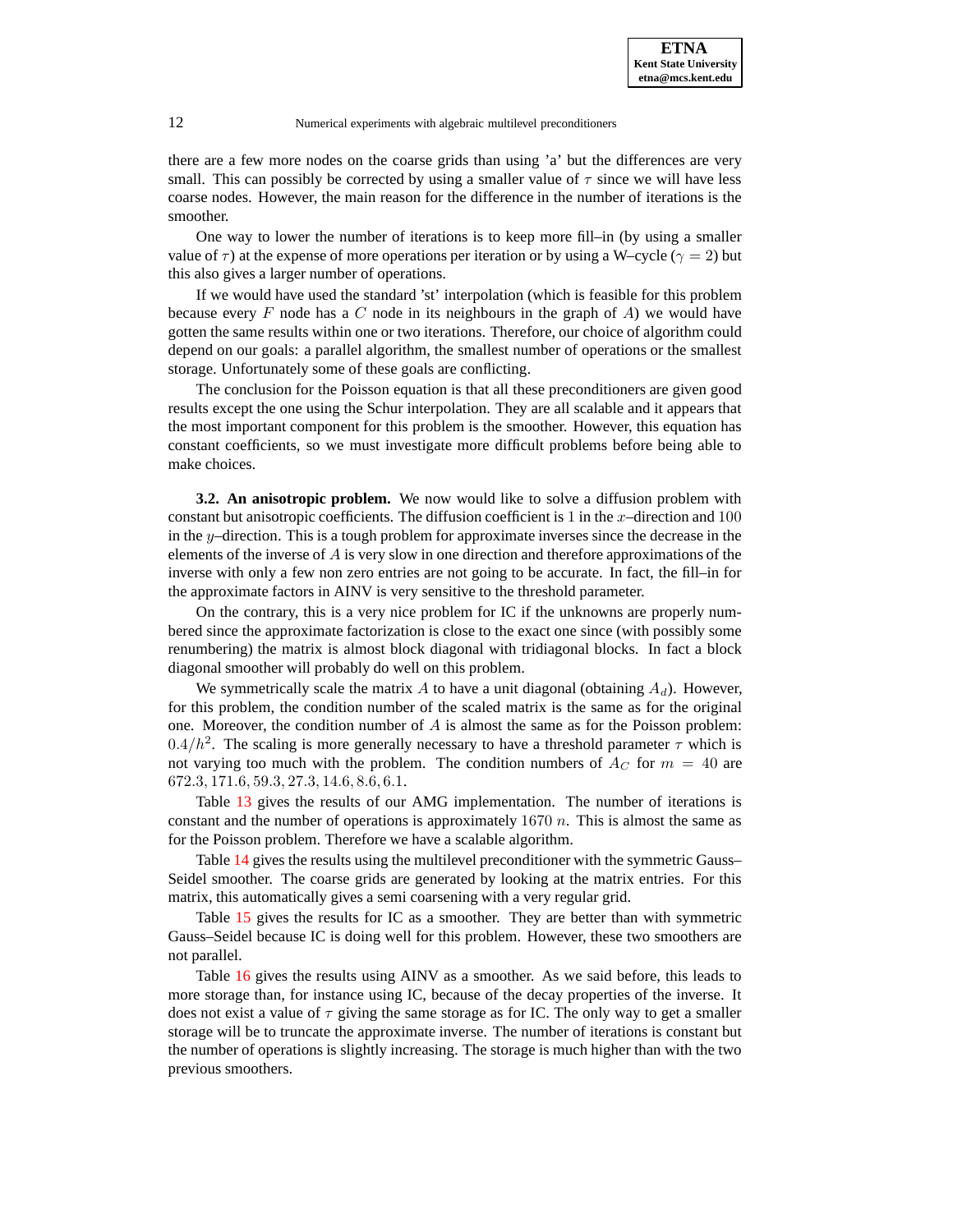there are a few more nodes on the coarse grids than using 'a' but the differences are very small. This can possibly be corrected by using a smaller value of  $\tau$  since we will have less coarse nodes. However, the main reason for the difference in the number of iterations is the smoother.

One way to lower the number of iterations is to keep more fill–in (by using a smaller value of  $\tau$ ) at the expense of more operations per iteration or by using a W–cycle ( $\gamma = 2$ ) but this also gives a larger number of operations.

If we would have used the standard 'st' interpolation (which is feasible for this problem because every  $F$  node has a  $C$  node in its neighbours in the graph of  $A$ ) we would have gotten the same results within one or two iterations. Therefore, our choice of algorithm could depend on our goals: a parallel algorithm, the smallest number of operations or the smallest storage. Unfortunately some of these goals are conflicting.

The conclusion for the Poisson equation is that all these preconditioners are given good results except the one using the Schur interpolation. They are all scalable and it appears that the most important component for this problem is the smoother. However, this equation has constant coefficients, so we must investigate more difficult problems before being able to make choices.

**3.2. An anisotropic problem.** We now would like to solve a diffusion problem with constant but anisotropic coefficients. The diffusion coefficient is 1 in the  $x$ -direction and 100 in the y–direction. This is a tough problem for approximate inverses since the decrease in the elements of the inverse of  $A$  is very slow in one direction and therefore approximations of the inverse with only a few non zero entries are not going to be accurate. In fact, the fill–in for the approximate factors in AINV is very sensitive to the threshold parameter.

On the contrary, this is a very nice problem for IC if the unknowns are properly numbered since the approximate factorization is close to the exact one since (with possibly some renumbering) the matrix is almost block diagonal with tridiagonal blocks. In fact a block diagonal smoother will probably do well on this problem.

We symmetrically scale the matrix A to have a unit diagonal (obtaining  $A_d$ ). However, for this problem, the condition number of the scaled matrix is the same as for the original one. Moreover, the condition number of  $A$  is almost the same as for the Poisson problem: 0.4/ $h^2$ . The scaling is more generally necessary to have a threshold parameter  $\tau$  which is not varying too much with the problem. The condition numbers of  $A_C$  for  $m = 40$  are 672.3, 171.6, 59.3, 27.3, 14.6, 8.6, 6.1.

Table [13](#page-26-0) gives the results of our AMG implementation. The number of iterations is constant and the number of operations is approximately  $1670 n$ . This is almost the same as for the Poisson problem. Therefore we have a scalable algorithm.

Table [14](#page-26-1) gives the results using the multilevel preconditioner with the symmetric Gauss– Seidel smoother. The coarse grids are generated by looking at the matrix entries. For this matrix, this automatically gives a semi coarsening with a very regular grid.

Table [15](#page-27-0) gives the results for IC as a smoother. They are better than with symmetric Gauss–Seidel because IC is doing well for this problem. However, these two smoothers are not parallel.

Table [16](#page-28-0) gives the results using AINV as a smoother. As we said before, this leads to more storage than, for instance using IC, because of the decay properties of the inverse. It does not exist a value of  $\tau$  giving the same storage as for IC. The only way to get a smaller storage will be to truncate the approximate inverse. The number of iterations is constant but the number of operations is slightly increasing. The storage is much higher than with the two previous smoothers.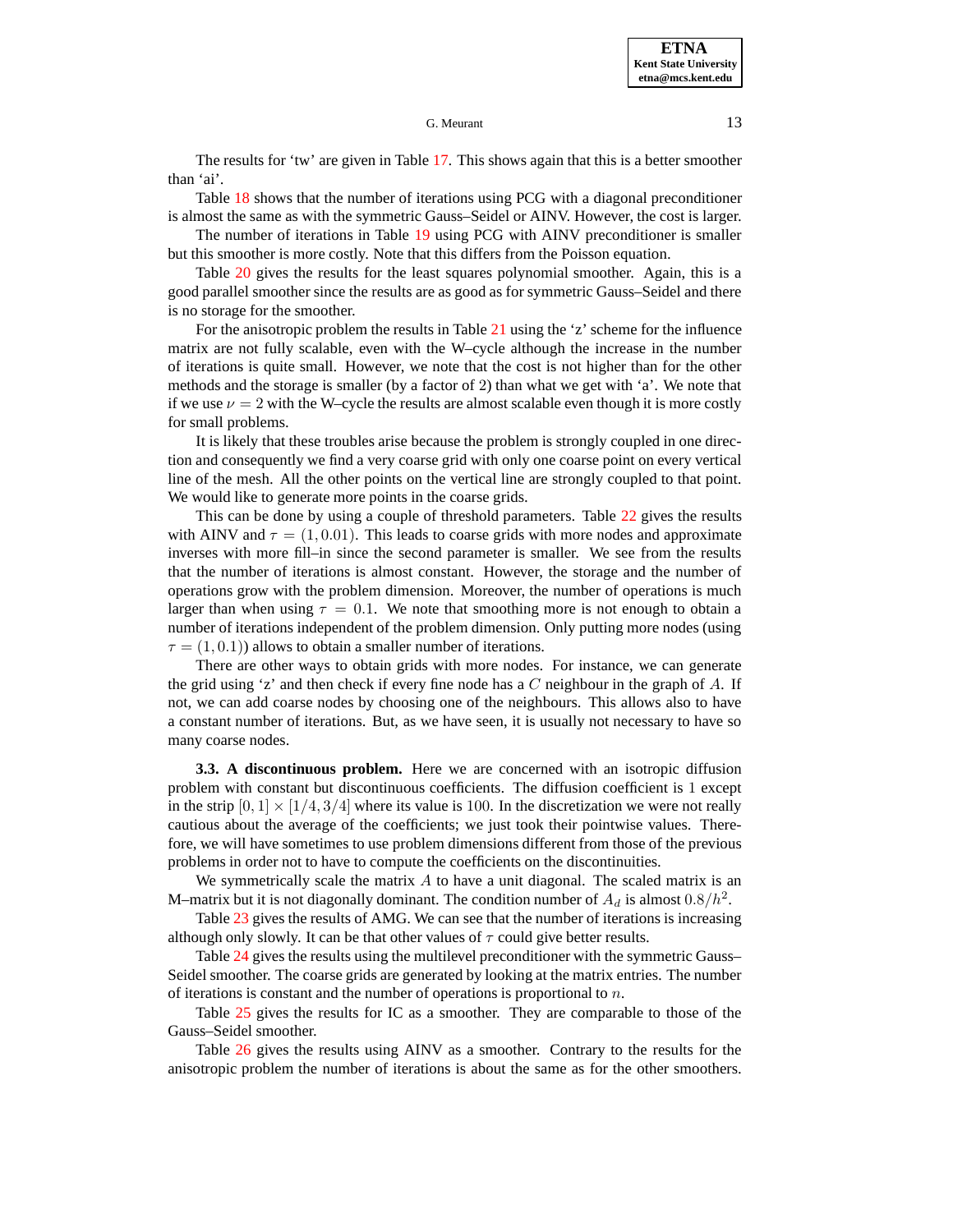The results for 'tw' are given in Table [17.](#page-29-0) This shows again that this is a better smoother than 'ai'.

Table [18](#page-30-0) shows that the number of iterations using PCG with a diagonal preconditioner is almost the same as with the symmetric Gauss–Seidel or AINV. However, the cost is larger.

The number of iterations in Table [19](#page-31-0) using PCG with AINV preconditioner is smaller but this smoother is more costly. Note that this differs from the Poisson equation.

Table [20](#page-32-0) gives the results for the least squares polynomial smoother. Again, this is a good parallel smoother since the results are as good as for symmetric Gauss–Seidel and there is no storage for the smoother.

For the anisotropic problem the results in Table [21](#page-33-0) using the 'z' scheme for the influence matrix are not fully scalable, even with the W–cycle although the increase in the number of iterations is quite small. However, we note that the cost is not higher than for the other methods and the storage is smaller (by a factor of 2) than what we get with 'a'. We note that if we use  $\nu = 2$  with the W–cycle the results are almost scalable even though it is more costly for small problems.

It is likely that these troubles arise because the problem is strongly coupled in one direction and consequently we find a very coarse grid with only one coarse point on every vertical line of the mesh. All the other points on the vertical line are strongly coupled to that point. We would like to generate more points in the coarse grids.

This can be done by using a couple of threshold parameters. Table [22](#page-34-0) gives the results with AINV and  $\tau = (1, 0.01)$ . This leads to coarse grids with more nodes and approximate inverses with more fill–in since the second parameter is smaller. We see from the results that the number of iterations is almost constant. However, the storage and the number of operations grow with the problem dimension. Moreover, the number of operations is much larger than when using  $\tau = 0.1$ . We note that smoothing more is not enough to obtain a number of iterations independent of the problem dimension. Only putting more nodes (using  $\tau = (1, 0.1)$ ) allows to obtain a smaller number of iterations.

There are other ways to obtain grids with more nodes. For instance, we can generate the grid using 'z' and then check if every fine node has a  $C$  neighbour in the graph of  $A$ . If not, we can add coarse nodes by choosing one of the neighbours. This allows also to have a constant number of iterations. But, as we have seen, it is usually not necessary to have so many coarse nodes.

**3.3. A discontinuous problem.** Here we are concerned with an isotropic diffusion problem with constant but discontinuous coefficients. The diffusion coefficient is 1 except in the strip  $[0, 1] \times [1/4, 3/4]$  where its value is 100. In the discretization we were not really cautious about the average of the coefficients; we just took their pointwise values. Therefore, we will have sometimes to use problem dimensions different from those of the previous problems in order not to have to compute the coefficients on the discontinuities.

We symmetrically scale the matrix  $A$  to have a unit diagonal. The scaled matrix is an M–matrix but it is not diagonally dominant. The condition number of  $A_d$  is almost  $0.8/h^2$ .

Table [23](#page-35-0) gives the results of AMG. We can see that the number of iterations is increasing although only slowly. It can be that other values of  $\tau$  could give better results.

Table [24](#page-35-1) gives the results using the multilevel preconditioner with the symmetric Gauss– Seidel smoother. The coarse grids are generated by looking at the matrix entries. The number of iterations is constant and the number of operations is proportional to  $n$ .

Table [25](#page-36-0) gives the results for IC as a smoother. They are comparable to those of the Gauss–Seidel smoother.

Table [26](#page-37-0) gives the results using AINV as a smoother. Contrary to the results for the anisotropic problem the number of iterations is about the same as for the other smoothers.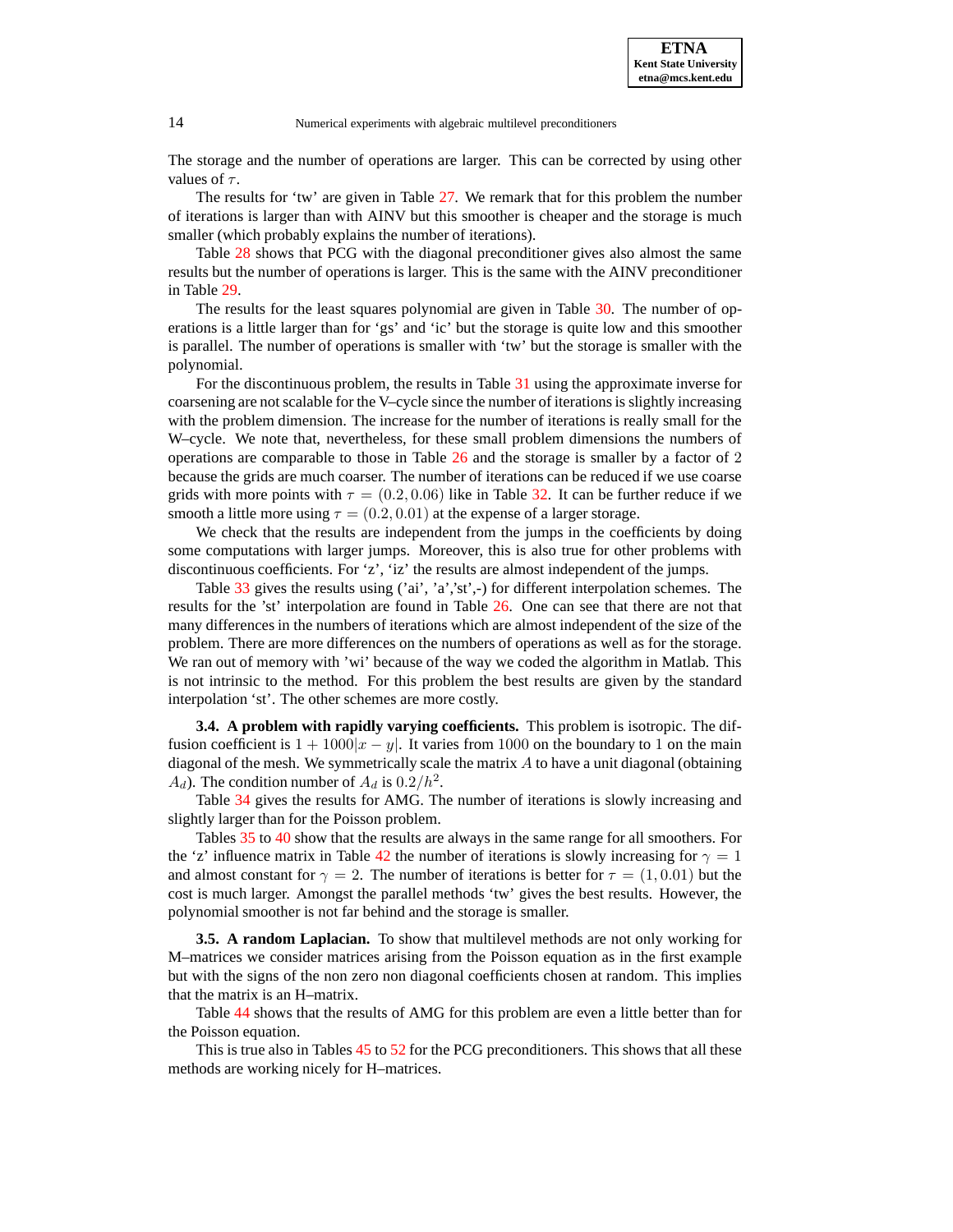The storage and the number of operations are larger. This can be corrected by using other values of  $\tau$ .

The results for 'tw' are given in Table [27.](#page-38-0) We remark that for this problem the number of iterations is larger than with AINV but this smoother is cheaper and the storage is much smaller (which probably explains the number of iterations).

Table [28](#page-39-0) shows that PCG with the diagonal preconditioner gives also almost the same results but the number of operations is larger. This is the same with the AINV preconditioner in Table [29.](#page-40-0)

The results for the least squares polynomial are given in Table [30.](#page-41-0) The number of operations is a little larger than for 'gs' and 'ic' but the storage is quite low and this smoother is parallel. The number of operations is smaller with 'tw' but the storage is smaller with the polynomial.

For the discontinuous problem, the results in Table [31](#page-42-0) using the approximate inverse for coarsening are notscalable for the V–cycle since the number of iterationsis slightly increasing with the problem dimension. The increase for the number of iterations is really small for the W–cycle. We note that, nevertheless, for these small problem dimensions the numbers of operations are comparable to those in Table [26](#page-37-0) and the storage is smaller by a factor of 2 because the grids are much coarser. The number of iterations can be reduced if we use coarse grids with more points with  $\tau = (0.2, 0.06)$  like in Table [32.](#page-43-0) It can be further reduce if we smooth a little more using  $\tau = (0.2, 0.01)$  at the expense of a larger storage.

We check that the results are independent from the jumps in the coefficients by doing some computations with larger jumps. Moreover, this is also true for other problems with discontinuous coefficients. For 'z', 'iz' the results are almost independent of the jumps.

Table [33](#page-44-0) gives the results using ('ai', 'a','st',-) for different interpolation schemes. The results for the 'st' interpolation are found in Table [26.](#page-37-0) One can see that there are not that many differences in the numbers of iterations which are almost independent of the size of the problem. There are more differences on the numbers of operations as well as for the storage. We ran out of memory with 'wi' because of the way we coded the algorithm in Matlab. This is not intrinsic to the method. For this problem the best results are given by the standard interpolation 'st'. The other schemes are more costly.

**3.4. A problem with rapidly varying coefficients.** This problem is isotropic. The diffusion coefficient is  $1 + 1000|x - y|$ . It varies from 1000 on the boundary to 1 on the main diagonal of the mesh. We symmetrically scale the matrix  $A$  to have a unit diagonal (obtaining  $A_d$ ). The condition number of  $A_d$  is  $0.2/h^2$ .

Table [34](#page-44-1) gives the results for AMG. The number of iterations is slowly increasing and slightly larger than for the Poisson problem.

Tables [35](#page-45-0) to [40](#page-50-0) show that the results are always in the same range for all smoothers. For the 'z' influence matrix in Table [42](#page-52-0) the number of iterations is slowly increasing for  $\gamma = 1$ and almost constant for  $\gamma = 2$ . The number of iterations is better for  $\tau = (1, 0.01)$  but the cost is much larger. Amongst the parallel methods 'tw' gives the best results. However, the polynomial smoother is not far behind and the storage is smaller.

**3.5. A random Laplacian.** To show that multilevel methods are not only working for M–matrices we consider matrices arising from the Poisson equation as in the first example but with the signs of the non zero non diagonal coefficients chosen at random. This implies that the matrix is an H–matrix.

Table [44](#page-54-0) shows that the results of AMG for this problem are even a little better than for the Poisson equation.

This is true also in Tables [45](#page-54-1) to [52](#page-58-0) for the PCG preconditioners. This shows that all these methods are working nicely for H–matrices.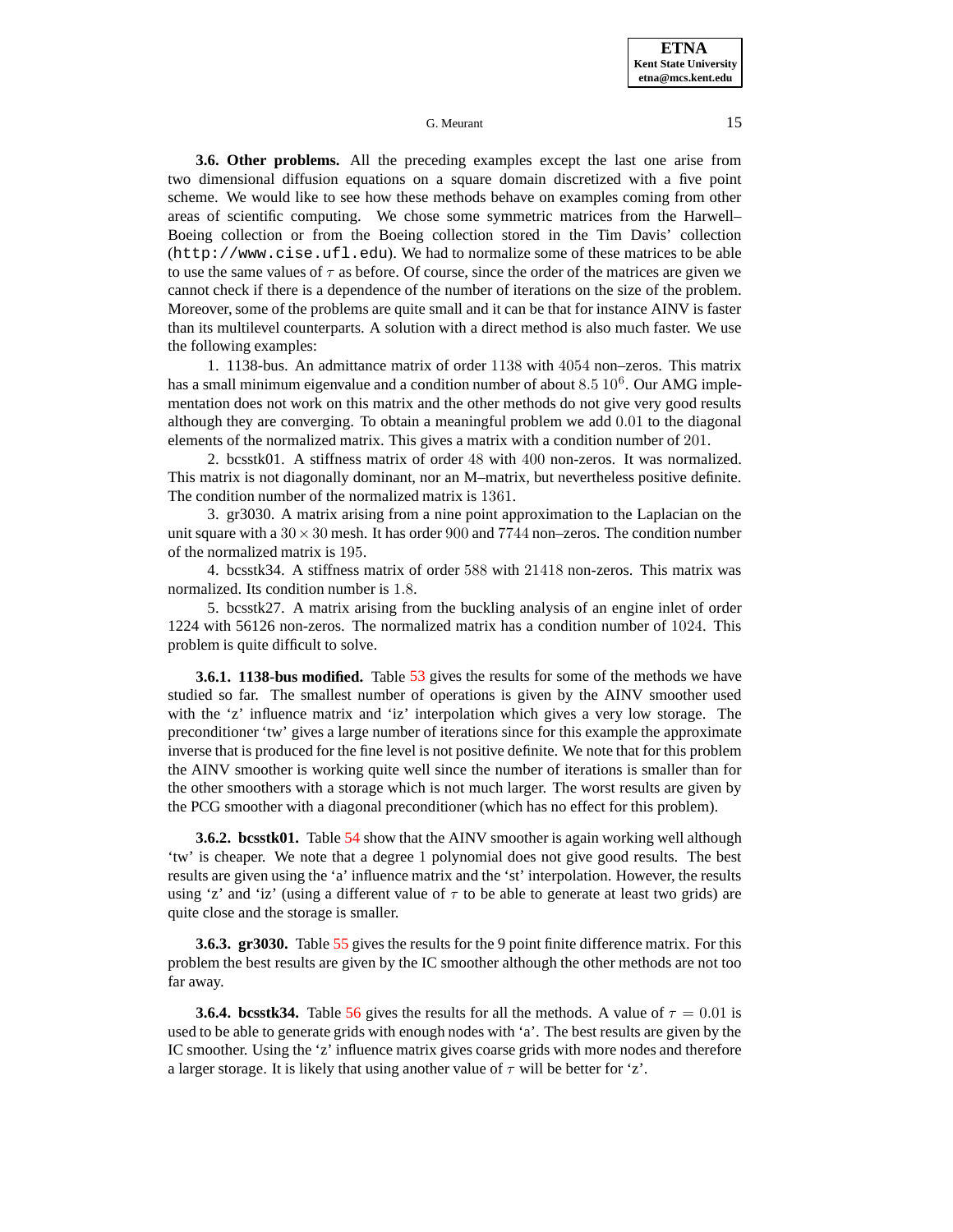**3.6. Other problems.** All the preceding examples except the last one arise from two dimensional diffusion equations on a square domain discretized with a five point scheme. We would like to see how these methods behave on examples coming from other areas of scientific computing. We chose some symmetric matrices from the Harwell– Boeing collection or from the Boeing collection stored in the Tim Davis' collection (http://www.cise.ufl.edu). We had to normalize some of these matrices to be able to use the same values of  $\tau$  as before. Of course, since the order of the matrices are given we cannot check if there is a dependence of the number of iterations on the size of the problem. Moreover, some of the problems are quite small and it can be that for instance AINV is faster than its multilevel counterparts. A solution with a direct method is also much faster. We use the following examples:

1. 1138-bus. An admittance matrix of order 1138 with 4054 non–zeros. This matrix has a small minimum eigenvalue and a condition number of about  $8.5\ 10^6$ . Our AMG implementation does not work on this matrix and the other methods do not give very good results although they are converging. To obtain a meaningful problem we add 0.01 to the diagonal elements of the normalized matrix. This gives a matrix with a condition number of 201.

2. bcsstk01. A stiffness matrix of order 48 with 400 non-zeros. It was normalized. This matrix is not diagonally dominant, nor an M–matrix, but nevertheless positive definite. The condition number of the normalized matrix is 1361.

3. gr3030. A matrix arising from a nine point approximation to the Laplacian on the unit square with a  $30 \times 30$  mesh. It has order 900 and 7744 non–zeros. The condition number of the normalized matrix is 195.

4. bcsstk34. A stiffness matrix of order 588 with 21418 non-zeros. This matrix was normalized. Its condition number is 1.8.

5. bcsstk27. A matrix arising from the buckling analysis of an engine inlet of order 1224 with 56126 non-zeros. The normalized matrix has a condition number of 1024. This problem is quite difficult to solve.

**3.6.1. 1138-bus modified.** Table [53](#page-59-0) gives the results for some of the methods we have studied so far. The smallest number of operations is given by the AINV smoother used with the 'z' influence matrix and 'iz' interpolation which gives a very low storage. The preconditioner 'tw' gives a large number of iterations since for this example the approximate inverse that is produced for the fine level is not positive definite. We note that for this problem the AINV smoother is working quite well since the number of iterations is smaller than for the other smoothers with a storage which is not much larger. The worst results are given by the PCG smoother with a diagonal preconditioner (which has no effect for this problem).

**3.6.2. bcsstk01.** Table [54](#page-60-0) show that the AINV smoother is again working well although 'tw' is cheaper. We note that a degree 1 polynomial does not give good results. The best results are given using the 'a' influence matrix and the 'st' interpolation. However, the results using 'z' and 'iz' (using a different value of  $\tau$  to be able to generate at least two grids) are quite close and the storage is smaller.

**3.6.3. gr3030.** Table [55](#page-61-0) gives the results for the 9 point finite difference matrix. For this problem the best results are given by the IC smoother although the other methods are not too far away.

**3.6.4. bcsstk34.** Table [56](#page-62-0) gives the results for all the methods. A value of  $\tau = 0.01$  is used to be able to generate grids with enough nodes with 'a'. The best results are given by the IC smoother. Using the 'z' influence matrix gives coarse grids with more nodes and therefore a larger storage. It is likely that using another value of  $\tau$  will be better for 'z'.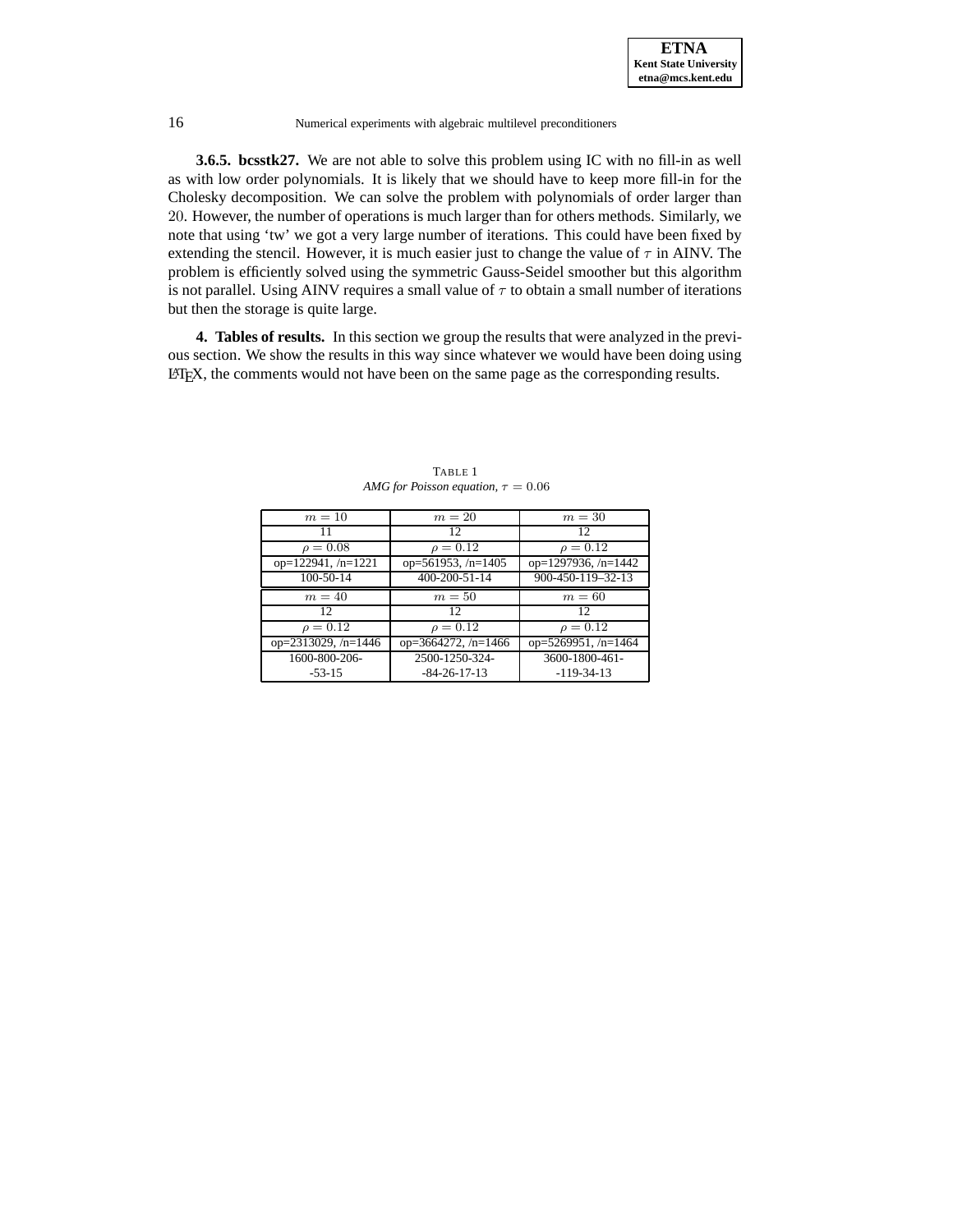

**3.6.5. bcsstk27.** We are not able to solve this problem using IC with no fill-in as well as with low order polynomials. It is likely that we should have to keep more fill-in for the Cholesky decomposition. We can solve the problem with polynomials of order larger than 20. However, the number of operations is much larger than for others methods. Similarly, we note that using 'tw' we got a very large number of iterations. This could have been fixed by extending the stencil. However, it is much easier just to change the value of  $\tau$  in AINV. The problem is efficiently solved using the symmetric Gauss-Seidel smoother but this algorithm is not parallel. Using AINV requires a small value of  $\tau$  to obtain a small number of iterations but then the storage is quite large.

**4. Tables of results.** In this section we group the results that were analyzed in the previous section. We show the results in this way since whatever we would have been doing using LATEX, the comments would not have been on the same page as the corresponding results.

<span id="page-15-0"></span>

| $m=10$              | $m=20$                | $m=30$              |
|---------------------|-----------------------|---------------------|
|                     | 12                    | 12                  |
| $\rho = 0.08$       | $\rho = 0.12$         | $\rho = 0.12$       |
| $op=122941, n=1221$ | op=561953, /n=1405    | op=1297936, /n=1442 |
| 100-50-14           | 400-200-51-14         | 900-450-119-32-13   |
| $m=40$              | $m=50$                | $m=60$              |
| 12.                 | 12                    | 12                  |
| $\rho = 0.12$       | $\rho = 0.12$         | $\rho = 0.12$       |
| op=2313029, /n=1446 | op=3664272, $/n=1466$ | op=5269951, /n=1464 |
| 1600-800-206-       | 2500-1250-324-        | 3600-1800-461-      |
| $-53-15$            | $-84-26-17-13$        | $-119-34-13$        |

TABLE 1 *AMG* for *Poisson equation*,  $\tau = 0.06$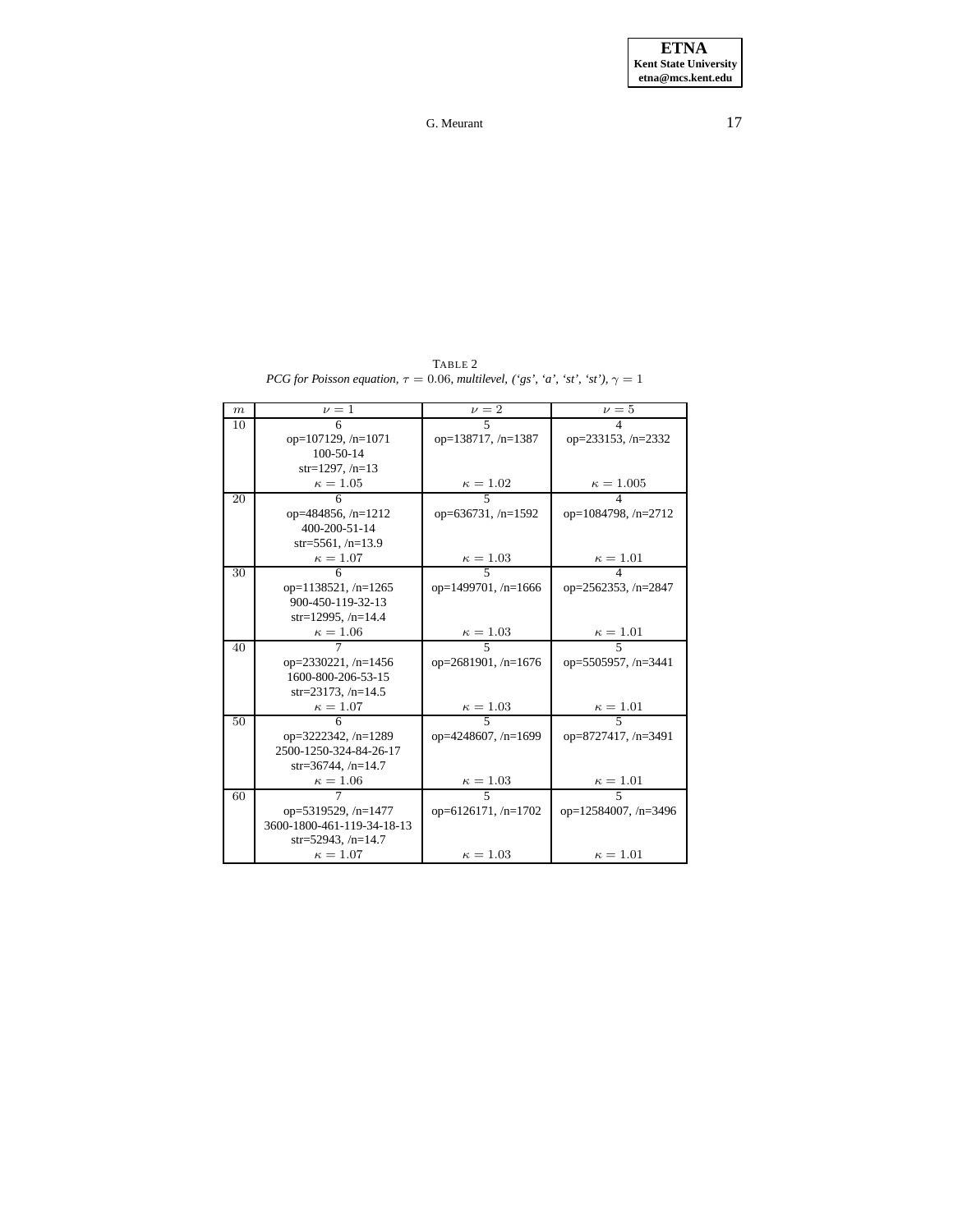<span id="page-16-0"></span>

| $\boldsymbol{m}$ | $\nu = 1$                  | $\nu=2$                   | $\nu = 5$                  |
|------------------|----------------------------|---------------------------|----------------------------|
| 10               |                            |                           |                            |
|                  | op= $107129$ , /n= $1071$  | op= $138717$ , /n= $1387$ | op= $233153$ , /n= $2332$  |
|                  | $100 - 50 - 14$            |                           |                            |
|                  | $str=1297, /n=13$          |                           |                            |
|                  | $\kappa = 1.05$            | $\frac{\kappa = 1.02}{5}$ | $\frac{\kappa = 1.005}{4}$ |
| 20               |                            |                           |                            |
|                  | op=484856, /n=1212         | op=636731, $/n=1592$      | op= $1084798$ , /n= $2712$ |
|                  | 400-200-51-14              |                           |                            |
|                  | str=5561, $/n=13.9$        |                           |                            |
|                  | $\kappa = 1.07$            | $\frac{\kappa = 1.03}{5}$ | $\frac{\kappa = 1.01}{4}$  |
| 30               |                            |                           |                            |
|                  | op=1138521, /n=1265        | op=1499701, /n=1666       | op=2562353, /n=2847        |
|                  | 900-450-119-32-13          |                           |                            |
|                  | str=12995, $/n=14.4$       |                           |                            |
|                  | $\frac{\kappa = 1.06}{7}$  | $\frac{\kappa = 1.03}{5}$ | $\frac{\kappa = 1.01}{5}$  |
| 40               |                            |                           |                            |
|                  | op=2330221, /n=1456        | op=2681901, /n=1676       | op=5505957, /n=3441        |
|                  | 1600-800-206-53-15         |                           |                            |
|                  | $str=23173, /n=14.5$       |                           |                            |
|                  | $\frac{\kappa = 1.07}{6}$  | $\frac{\kappa = 1.03}{5}$ | $\frac{\kappa = 1.01}{5}$  |
| 50               |                            |                           |                            |
|                  | op=3222342, /n=1289        | op=4248607, /n=1699       | op=8727417, /n=3491        |
|                  | 2500-1250-324-84-26-17     |                           |                            |
|                  | $str=36744, /n=14.7$       |                           |                            |
|                  | $\kappa = 1.06$            | $\frac{\kappa = 1.03}{5}$ | $\frac{\kappa = 1.01}{5}$  |
| 60               | 7                          |                           |                            |
|                  | op=5319529, /n=1477        | op=6126171, /n=1702       | op=12584007, /n=3496       |
|                  | 3600-1800-461-119-34-18-13 |                           |                            |
|                  | str=52943, $/n=14.7$       |                           |                            |
|                  | $\kappa = 1.07$            | $\kappa=1.03$             | $\kappa = 1.01$            |

TABLE 2 *PCG for Poisson equation,*  $\tau = 0.06$ *, multilevel, ('gs', 'a', 'st', 'st'),*  $\gamma = 1$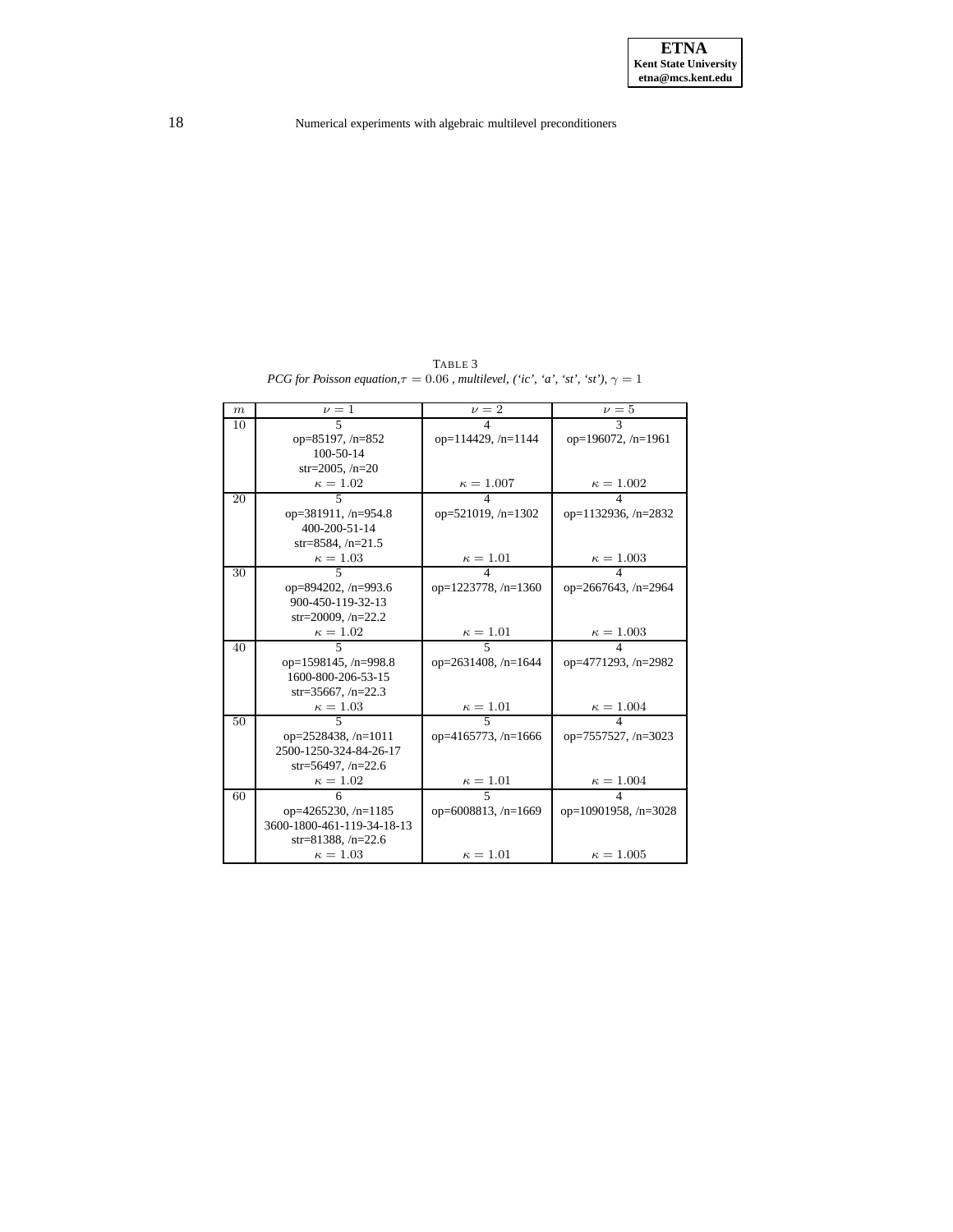TABLE 3 *PCG for Poisson equation,* $\tau = 0.06$  *, multilevel, ('ic', 'a', 'st', 'st'),*  $\gamma = 1$ 

<span id="page-17-0"></span>

| $\boldsymbol{m}$ | $\nu = 1$                  | $\nu = \overline{2}$       | $\nu = 5$                  |
|------------------|----------------------------|----------------------------|----------------------------|
| 10               | $\overline{\phantom{1}}$   | 4                          | 3                          |
|                  | op=85197, /n=852           | op= $114429$ , /n= $1144$  | op=196072, $/n=1961$       |
|                  | 100-50-14                  |                            |                            |
|                  | $str=2005, /n=20$          |                            |                            |
|                  | $\kappa = 1.02$            | $\kappa = 1.007$           | $\kappa = 1.002$           |
| 20               | 5                          |                            |                            |
|                  | op=381911, $/n=954.8$      | op= $521019$ , /n= $1302$  | op=1132936, $/n=2832$      |
|                  | 400-200-51-14              |                            |                            |
|                  | str=8584, $/n=21.5$        |                            |                            |
|                  | $\kappa = 1.03$            | $\kappa = 1.01$            | $\kappa = 1.003$           |
| 30               | $\overline{\phantom{0}}$   |                            |                            |
|                  | op=894202, $/n=993.6$      | op= $1223778$ , /n= $1360$ | op= $2667643$ , /n= $2964$ |
|                  | 900-450-119-32-13          |                            |                            |
|                  | str=20009, $/n=22.2$       |                            |                            |
|                  | $\kappa = 1.02$            | $\frac{\kappa = 1.01}{5}$  | $\kappa = 1.003$           |
| 40               | $\overline{\mathbf{5}}$    |                            | $\Delta$                   |
|                  | op=1598145, $/n=998.8$     | op= $2631408$ , /n= $1644$ | op=4771293, /n=2982        |
|                  | 1600-800-206-53-15         |                            |                            |
|                  | $str=35667, /n=22.3$       |                            |                            |
|                  | $\kappa = 1.03$            | $\kappa = 1.01$            | $\kappa = 1.004$           |
| 50               | $\overline{\phantom{1}}$   | $\overline{\mathbf{5}}$    | 4                          |
|                  | op= $2528438$ , /n= $1011$ | op= $4165773$ , /n= $1666$ | op=7557527, $/n=3023$      |
|                  | 2500-1250-324-84-26-17     |                            |                            |
|                  | $str=56497, /n=22.6$       |                            |                            |
|                  | $\kappa=1.02$              | $\kappa = 1.01$            | $\kappa = 1.004$           |
| 60               | 6                          | $\overline{\mathbf{5}}$    |                            |
|                  | op= $4265230, n=1185$      | op=6008813, $/n=1669$      | op=10901958, $/n=3028$     |
|                  | 3600-1800-461-119-34-18-13 |                            |                            |
|                  | str=81388, $/n=22.6$       |                            |                            |
|                  | $\kappa = 1.03$            | $\kappa=1.01$              | $\kappa = 1.005$           |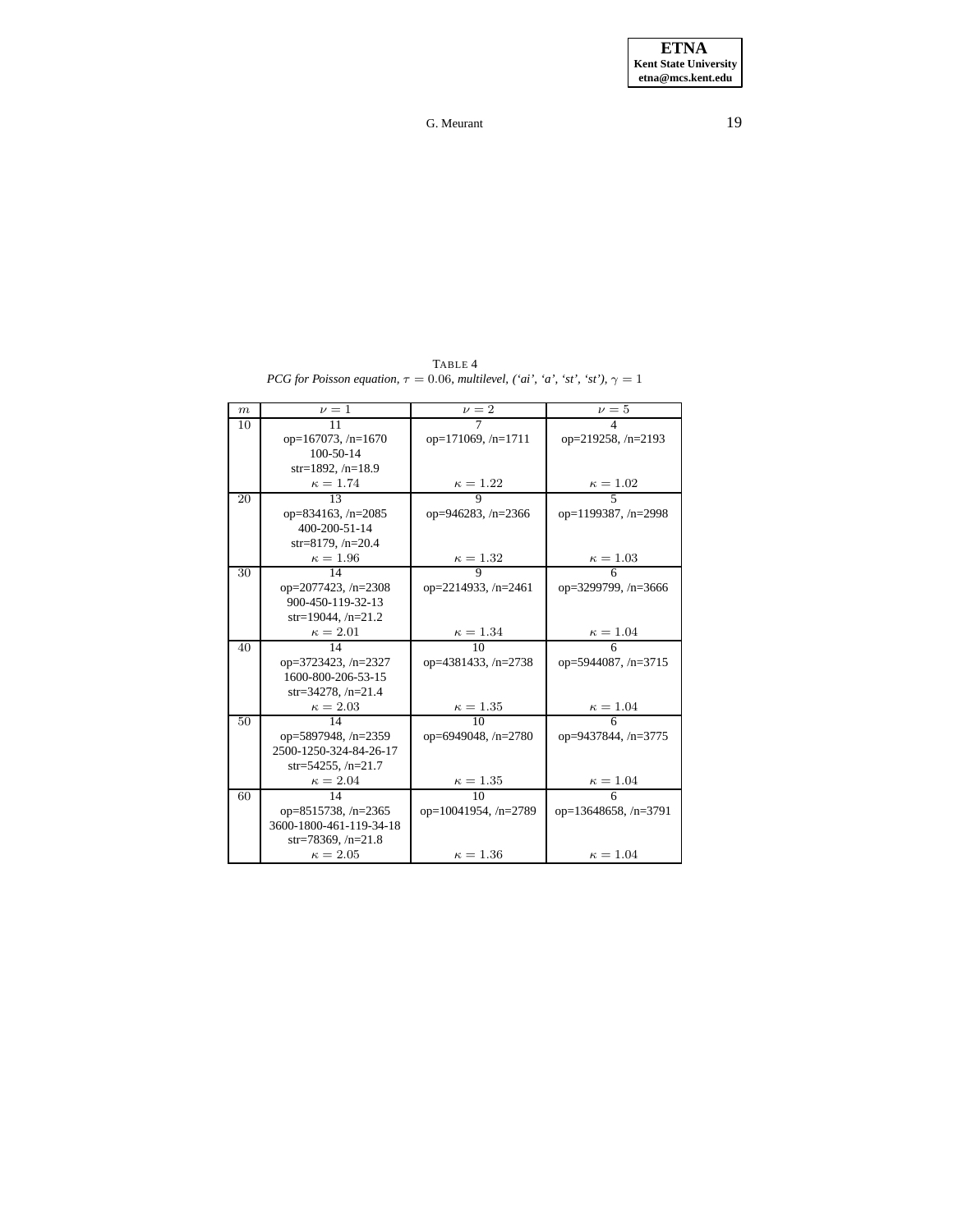<span id="page-18-0"></span>

| $\boldsymbol{m}$ | $\nu = 1$                  | $\nu = 2$                  | $\nu=5$                   |
|------------------|----------------------------|----------------------------|---------------------------|
| 10               | 11                         | 7                          | $\overline{4}$            |
|                  | op=167073, $/n=1670$       | op=171069, /n=1711         | op= $219258$ , /n= $2193$ |
|                  | $100 - 50 - 14$            |                            |                           |
|                  | $str=1892, /n=18.9$        |                            |                           |
|                  | $\kappa = 1.74$            | $\frac{\kappa = 1.22}{9}$  | $\frac{\kappa = 1.02}{5}$ |
| 20               | $\overline{13}$            |                            |                           |
|                  | op=834163, $/n=2085$       | op=946283, $/n=2366$       | op=1199387, /n=2998       |
|                  | 400-200-51-14              |                            |                           |
|                  | $str=8179, /n=20.4$        |                            |                           |
|                  | $\kappa = 1.96$            | $\frac{\kappa = 1.32}{9}$  | $\frac{\kappa = 1.03}{6}$ |
| 30               | 14                         |                            |                           |
|                  | op= $2077423$ , /n= $2308$ | op=2214933, /n=2461        | op=3299799, /n=3666       |
|                  | 900-450-119-32-13          |                            |                           |
|                  | $str=19044, /n=21.2$       |                            |                           |
|                  | $\kappa = 2.01$            | $\frac{\kappa = 1.34}{10}$ | $\frac{\kappa = 1.04}{6}$ |
| 40               | 14                         |                            |                           |
|                  | op=3723423, /n=2327        | op=4381433, /n=2738        | op=5944087, /n=3715       |
|                  | 1600-800-206-53-15         |                            |                           |
|                  | str=34278, $/n=21.4$       |                            |                           |
|                  | $\kappa = 2.03$            | $\frac{\kappa = 1.35}{10}$ | $\frac{\kappa = 1.04}{6}$ |
| 50               | 14                         |                            |                           |
|                  | op=5897948, /n=2359        | op=6949048, /n=2780        | op=9437844, /n=3775       |
|                  | 2500-1250-324-84-26-17     |                            |                           |
|                  | str=54255, $/n=21.7$       |                            |                           |
|                  | $\kappa = 2.04$            | $\kappa = 1.35$            | $\kappa = 1.04$           |
| 60               | 14                         | $\overline{10}$            |                           |
|                  | op=8515738, /n=2365        | op=10041954, /n=2789       | op=13648658, /n=3791      |
|                  | 3600-1800-461-119-34-18    |                            |                           |
|                  | str=78369, $/n=21.8$       |                            |                           |
|                  | $\kappa = 2.05$            | $\kappa = 1.36$            | $\kappa = 1.04$           |

TABLE 4 *PCG for Poisson equation,*  $\tau = 0.06$ *, multilevel, ('ai', 'a', 'st', 'st'),*  $\gamma = 1$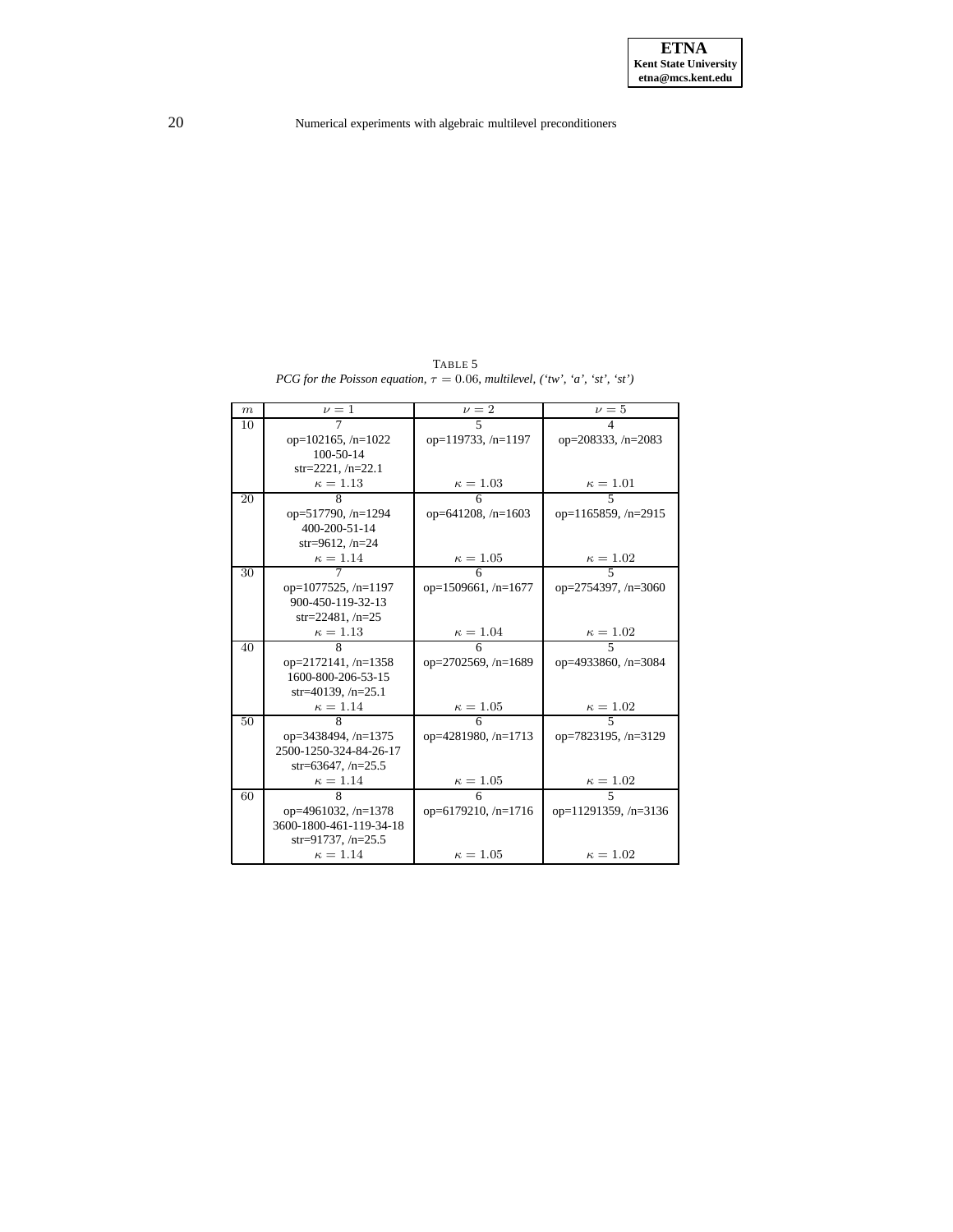TABLE 5 *PCG for the Poisson equation*,  $\tau = 0.06$ *, multilevel,* ('tw', 'a', 'st', 'st')

<span id="page-19-0"></span>

| $\boldsymbol{m}$ | $\nu=1$                   | $\nu = 2$                  | $\nu = 5$                  |
|------------------|---------------------------|----------------------------|----------------------------|
| 10               | 7                         | 5                          | 4                          |
|                  | op= $102165$ , /n= $1022$ | op= $119733, n=1197$       | op=208333, /n=2083         |
|                  | 100-50-14                 |                            |                            |
|                  | $str=2221, /n=22.1$       |                            |                            |
|                  | $\kappa = 1.13$           | $\frac{\kappa = 1.03}{6}$  | $\frac{\kappa = 1.01}{5}$  |
| 20               |                           |                            |                            |
|                  | op=517790, /n=1294        | op=641208, $/n=1603$       | op= $1165859$ , /n= $2915$ |
|                  | 400-200-51-14             |                            |                            |
|                  | $str=9612, /n=24$         |                            |                            |
|                  | $\kappa = 1.14$           | $\frac{\kappa = 1.05}{6}$  | $\frac{\kappa = 1.02}{5}$  |
| 30               |                           |                            |                            |
|                  | $op=1077525, n=1197$      | op= $1509661$ , /n= $1677$ | op=2754397, /n=3060        |
|                  | 900-450-119-32-13         |                            |                            |
|                  | $str=22481, n=25$         |                            |                            |
|                  | $\kappa=1.13$             | $\kappa = 1.04$            | $\frac{\kappa = 1.02}{5}$  |
| 40               | $\overline{\mathbf{g}}$   |                            |                            |
|                  | op=2172141, /n=1358       | op= $2702569$ , /n= $1689$ | op=4933860, /n=3084        |
|                  | 1600-800-206-53-15        |                            |                            |
|                  | str=40139, $/n=25.1$      |                            |                            |
|                  | $\kappa=1.14$             | $\kappa = 1.05$            | $\frac{\kappa = 1.02}{5}$  |
| 50               | 8                         | 6                          |                            |
|                  | op=3438494, $/n=1375$     | op= $4281980, /n=1713$     | op=7823195, /n=3129        |
|                  | 2500-1250-324-84-26-17    |                            |                            |
|                  | str=63647, $/n=25.5$      |                            |                            |
|                  | $\kappa = 1.14$           | $\kappa = 1.05$            | $\frac{\kappa = 1.02}{5}$  |
| 60               | 8                         | 6                          |                            |
|                  | op=4961032, $/n=1378$     | op=6179210, $/n=1716$      | op=11291359, /n=3136       |
|                  | 3600-1800-461-119-34-18   |                            |                            |
|                  | str=91737, $/n=25.5$      |                            |                            |
|                  | $\kappa = 1.14$           | $\kappa = 1.05$            | $\kappa=1.02$              |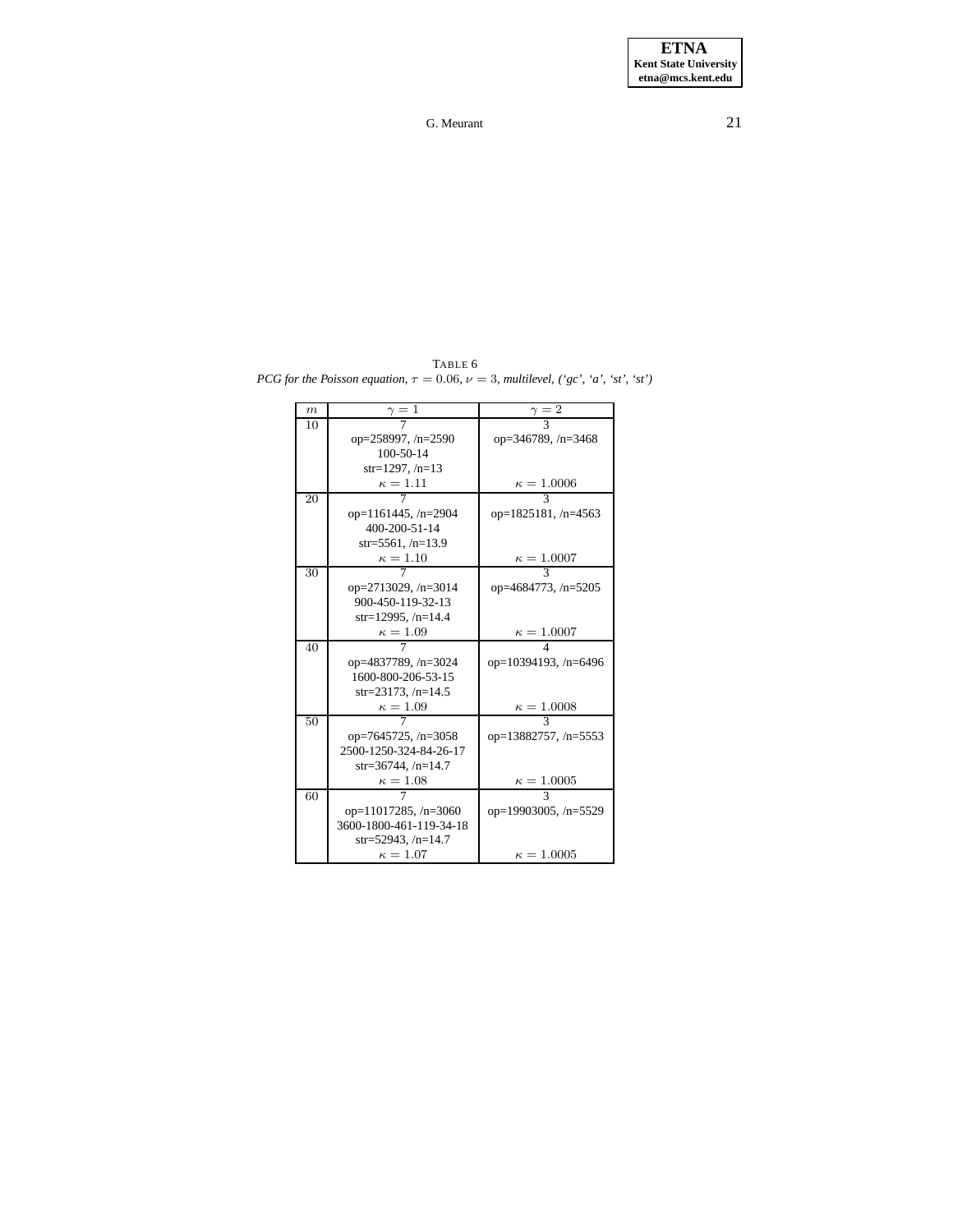<span id="page-20-0"></span>TABLE 6 *PCG for the Poisson equation*,  $\tau = 0.06$ ,  $\nu = 3$ , *multilevel*,  $({}^{s}gc, {}^{s}a', {}^{s}st', {}^{s}st')$ 

| $\boldsymbol{m}$ | $\gamma=1$                  | $\frac{\gamma}{\sqrt{2}}$  |
|------------------|-----------------------------|----------------------------|
| 10               |                             |                            |
|                  | op= $258997, n=2590$        | op=346789, $/n=3468$       |
|                  | 100-50-14                   |                            |
|                  | $str=1297, /n=13$           |                            |
|                  | $\kappa=1.11$               | $\kappa = 1.0006$          |
| 20               |                             |                            |
|                  | op=1161445, /n=2904         | op= $1825181, n=4563$      |
|                  | 400-200-51-14               |                            |
|                  | $str=5561, /n=13.9$         |                            |
|                  | $\kappa=1.10$               | $\kappa = 1.0007$          |
| 30               |                             | $\mathbf{3}$               |
|                  | op=2713029, $/n=3014$       | op= $4684773$ , /n= $5205$ |
|                  | 900-450-119-32-13           |                            |
|                  | str=12995, $/n=14.4$        |                            |
|                  | $\kappa = 1.09$             | $\kappa = 1.0007$          |
| 40               |                             | 4                          |
|                  | op=4837789, /n=3024         | op=10394193, $/n=6496$     |
|                  | 1600-800-206-53-15          |                            |
|                  | $str=23173, /n=14.5$        |                            |
|                  | $\kappa=1.09$               | $\kappa = 1.0008$          |
| 50               |                             | 3                          |
|                  | op=7645725, /n=3058         | op=13882757, /n=5553       |
|                  | 2500-1250-324-84-26-17      |                            |
|                  | $str=36744, /n=14.7$        |                            |
|                  | $\kappa=1.08$               | $\kappa = 1.0005$          |
| 60               |                             | $\mathbf{3}$               |
|                  | op= $11017285$ , /n= $3060$ | op=19903005, /n=5529       |
|                  | 3600-1800-461-119-34-18     |                            |
|                  | str=52943, /n=14.7          |                            |
|                  | $\kappa = 1.07$             | $\kappa = 1.0005$          |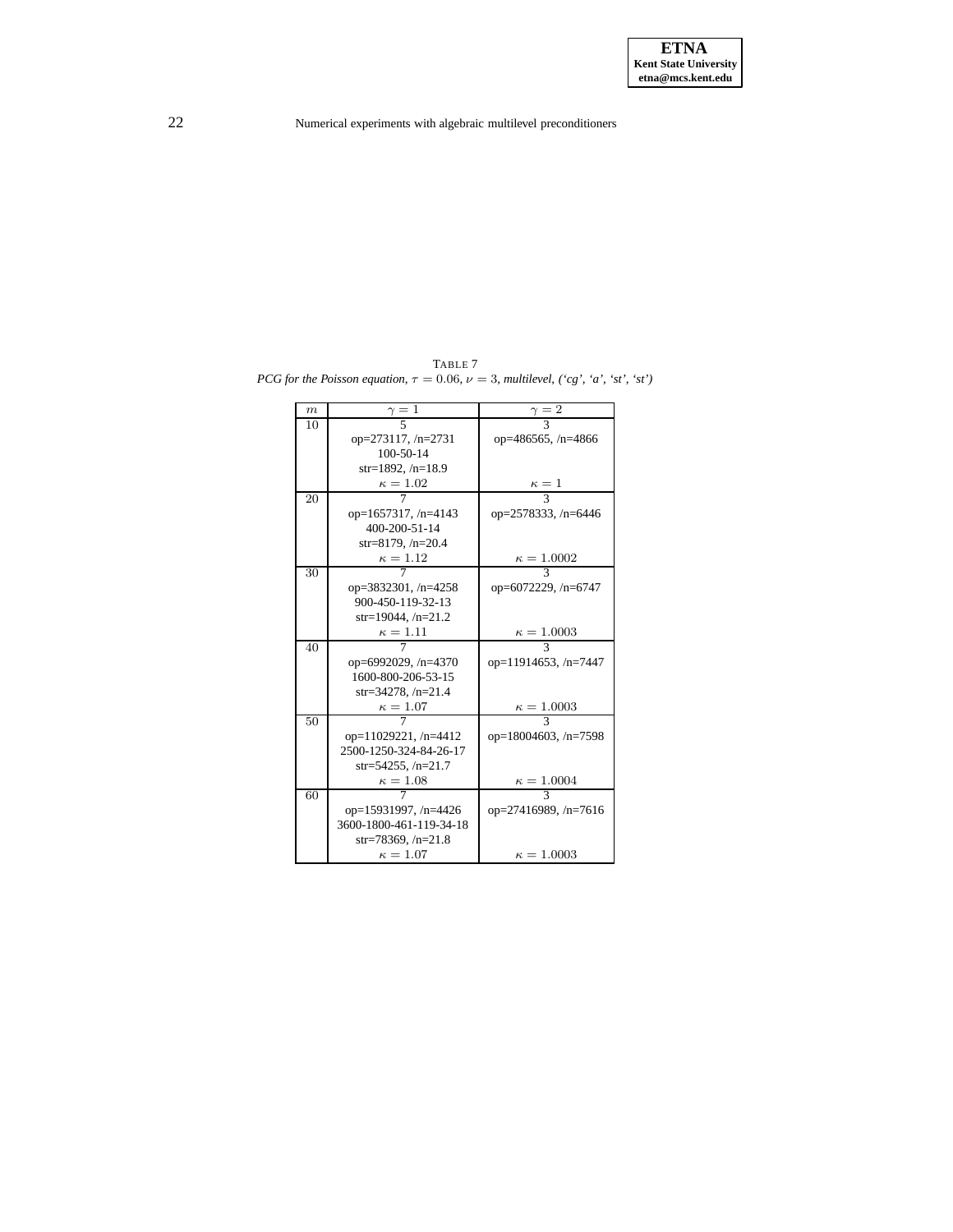<span id="page-21-0"></span>TABLE 7 *PCG for the Poisson equation*,  $\tau = 0.06$ ,  $\nu = 3$ , *multilevel*,  $({}^{\cdot}cg, {}^{\cdot}a', {}^{\cdot}st', {}^{\cdot}st')$ 

| m  | $\gamma=1$                  | $\gamma = 2$                |
|----|-----------------------------|-----------------------------|
| 10 |                             |                             |
|    | op=273117, /n=2731          | op=486565, /n=4866          |
|    | $100 - 50 - 14$             |                             |
|    | $str=1892, /n=18.9$         |                             |
|    | $\kappa=1.02$               | $\kappa=1$                  |
| 20 |                             | $\overline{\mathcal{E}}$    |
|    | op=1657317, $/n=4143$       | op=2578333, /n=6446         |
|    | 400-200-51-14               |                             |
|    | str=8179, $/n=20.4$         |                             |
|    | $\kappa=1.12$               | $\kappa = 1.0002$           |
| 30 |                             | $\mathbf{3}$                |
|    | op=3832301, /n=4258         | op=6072229, /n=6747         |
|    | 900-450-119-32-13           |                             |
|    | str=19044, $/n=21.2$        |                             |
|    | $\kappa=1.11$               | $\kappa = 1.0003$           |
| 40 |                             | २                           |
|    | op=6992029, /n=4370         | op=11914653, /n=7447        |
|    | 1600-800-206-53-15          |                             |
|    | str=34278, $/n=21.4$        |                             |
|    | $\kappa=1.07$               | $\kappa = 1.0003$           |
| 50 |                             | $\mathcal{R}$               |
|    | op= $11029221$ , /n= $4412$ | op= $18004603$ , /n= $7598$ |
|    | 2500-1250-324-84-26-17      |                             |
|    | str=54255, $/n=21.7$        |                             |
|    | $\kappa=1.08$               | $\kappa = 1.0004$           |
| 60 |                             | 3                           |
|    | op=15931997, /n=4426        | op=27416989, /n=7616        |
|    | 3600-1800-461-119-34-18     |                             |
|    | $str=78369, /n=21.8$        |                             |
|    | $\kappa = 1.07$             | $\kappa = 1.0003$           |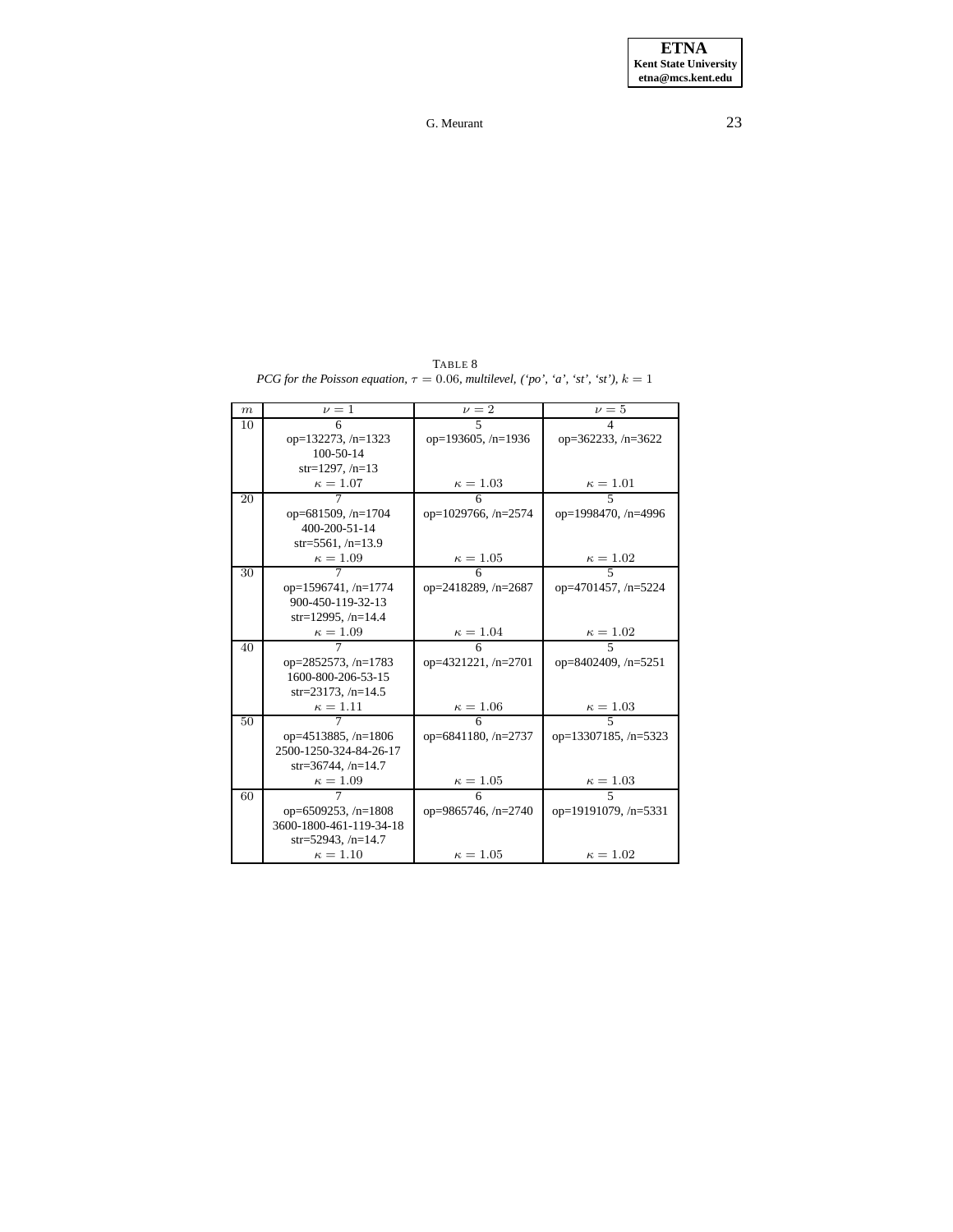<span id="page-22-0"></span>

|                  | $\nu=1$                    |                            |                           |
|------------------|----------------------------|----------------------------|---------------------------|
| $\boldsymbol{m}$ |                            | $\nu = 2$                  | $\nu = 5$                 |
| 10               | 6                          | $\overline{\phantom{0}}$   | 4                         |
|                  | op= $132273$ , /n= $1323$  | op=193605, /n=1936         | op= $362233$ , /n= $3622$ |
|                  | 100-50-14                  |                            |                           |
|                  | $str=1297, /n=13$          |                            |                           |
|                  | $\kappa=1.07$              | $\kappa = 1.03$            | $\frac{\kappa = 1.01}{5}$ |
| 20               |                            |                            |                           |
|                  | op=681509, $/n=1704$       | op= $1029766$ , /n= $2574$ | op=1998470, /n=4996       |
|                  | 400-200-51-14              |                            |                           |
|                  | $str=5561, /n=13.9$        |                            |                           |
|                  | $\kappa=1.09$              | $\kappa = 1.05$            | $\frac{\kappa = 1.02}{5}$ |
| 30               | 7                          | 6                          |                           |
|                  | $op=1596741, n=1774$       | op=2418289, /n=2687        | op=4701457, /n=5224       |
|                  | 900-450-119-32-13          |                            |                           |
|                  | str=12995, $/n=14.4$       |                            |                           |
|                  | $\kappa = 1.09$            | $\kappa = 1.04$            | $\kappa=1.02$             |
| 40               | 7                          | 6                          | $\overline{\phantom{1}}$  |
|                  | op=2852573, /n=1783        | op=4321221, /n=2701        | op=8402409, /n=5251       |
|                  | 1600-800-206-53-15         |                            |                           |
|                  | str=23173, $/n=14.5$       |                            |                           |
|                  | $\kappa=1.11$              | $\kappa = 1.06$            | $\kappa = 1.03$           |
| 50               |                            | $\overline{6}$             |                           |
|                  |                            |                            |                           |
|                  | op= $4513885$ , /n= $1806$ | op=6841180, $/n=2737$      | op=13307185, /n=5323      |
|                  | 2500-1250-324-84-26-17     |                            |                           |
|                  | $str=36744, /n=14.7$       |                            |                           |
|                  | $\kappa = 1.09$            | $\kappa = 1.05$            | $\kappa=1.03$             |
| 60               |                            | 6                          |                           |
|                  | op=6509253, /n=1808        | op=9865746, $/n=2740$      | op=19191079, /n=5331      |
|                  | 3600-1800-461-119-34-18    |                            |                           |
|                  | str=52943, $/n=14.7$       |                            |                           |
|                  | $\kappa = 1.10$            | $\kappa = 1.05$            | $\kappa=1.02$             |

TABLE 8 *PCG for the Poisson equation,*  $\tau = 0.06$ *, multilevel,*  $('po', 'a', 'st', 'st'), k = 1$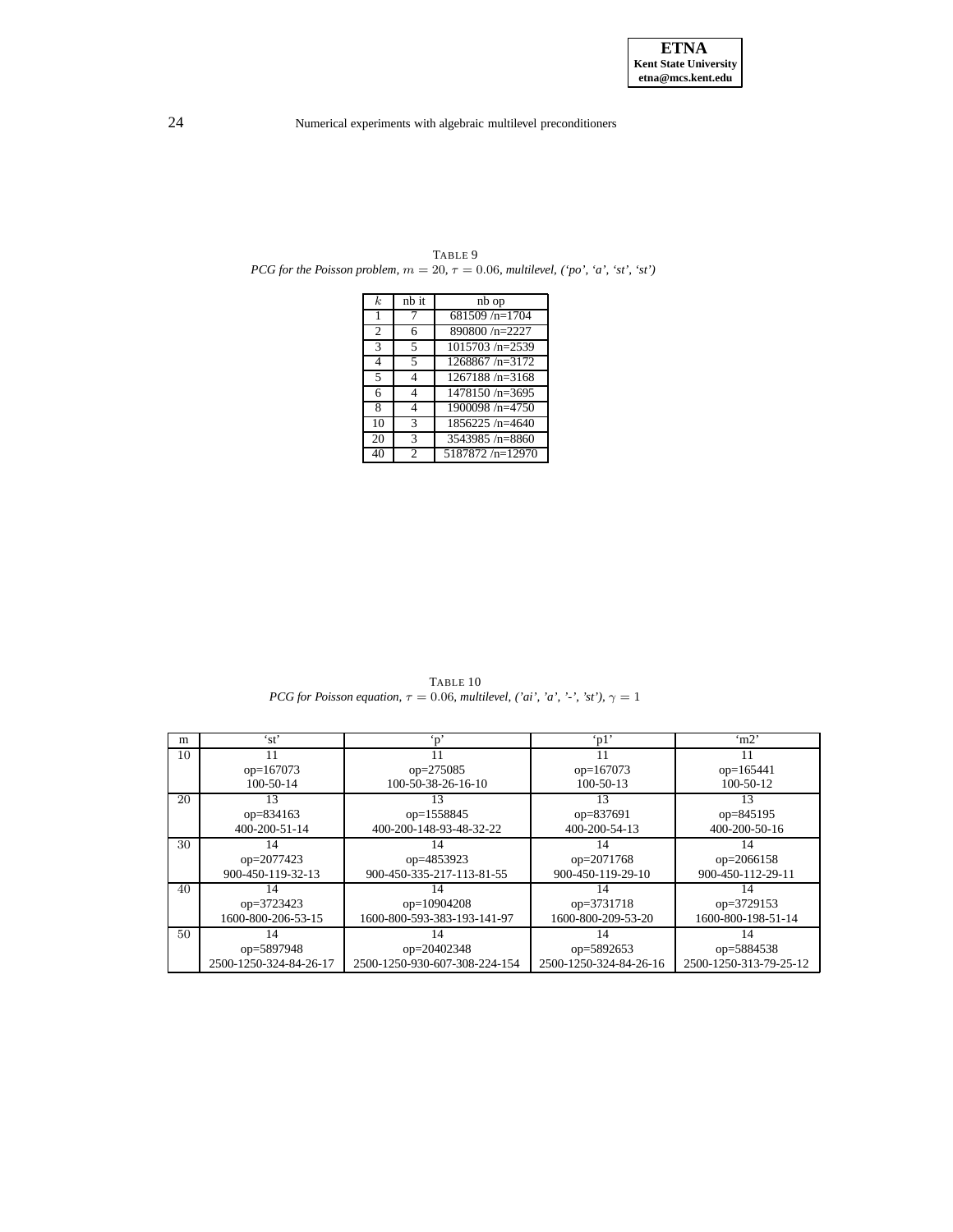| k.             | nb it                    | nb op              |
|----------------|--------------------------|--------------------|
| 1              |                          | $681509/n=1704$    |
| $\overline{c}$ | 6                        | 890800/n=2227      |
| 3              | $\overline{\phantom{1}}$ | $1015703/n = 2539$ |
| $\overline{4}$ | $\overline{\phantom{1}}$ | $1268867/n = 3172$ |
| 5              | Δ                        | $1267188/n = 3168$ |
| 6              | Δ                        | $1478150/n = 3695$ |
| 8              |                          | 1900098/n=4750     |
| 10             | 3                        | $1856225/n = 4640$ |
| 20             | 3                        | 3543985/n=8860     |
| 40             | $\mathfrak{D}$           | 5187872/n=12970    |

<span id="page-23-0"></span>TABLE 9 *PCG for the Poisson problem,*  $m = 20$ ,  $\tau = 0.06$ *, multilevel, ('po', 'a', 'st', 'st')* 

TABLE 10 *PCG for Poisson equation,*  $\tau = 0.06$ *, multilevel, ('ai', 'a', '-', 'st')*,  $\gamma = 1$ 

<span id="page-23-1"></span>

| m            | 'st'                   | $\cdot$ n'                    | $\lq$ p $1$ '          | $\mu$ <sup>2</sup>     |
|--------------|------------------------|-------------------------------|------------------------|------------------------|
| 10           |                        |                               |                        |                        |
|              | $op=167073$            | $op=275085$                   | $op=167073$            | $op=165441$            |
|              | $100 - 50 - 14$        | 100-50-38-26-16-10            | $100 - 50 - 13$        | $100-50-12$            |
| 20           | 13                     |                               | 13                     | 13                     |
|              | op=834163              | op=1558845                    | op=837691              | op=845195              |
|              | 400-200-51-14          | 400-200-148-93-48-32-22       | 400-200-54-13          | 400-200-50-16          |
| 30           | 14                     | 14                            | 14                     | 14                     |
|              | op=2077423             | op=4853923                    | op=2071768             | op=2066158             |
|              | 900-450-119-32-13      | 900-450-335-217-113-81-55     | 900-450-119-29-10      | 900-450-112-29-11      |
| 40           | 14                     | 14                            | 14                     | 14                     |
|              | op=3723423             | op=10904208                   | op=3731718             | op=3729153             |
|              | 1600-800-206-53-15     | 1600-800-593-383-193-141-97   | 1600-800-209-53-20     | 1600-800-198-51-14     |
| $50^{\circ}$ | 14                     |                               | 14                     | 14                     |
|              | op=5897948             | op=20402348                   | op=5892653             | op=5884538             |
|              | 2500-1250-324-84-26-17 | 2500-1250-930-607-308-224-154 | 2500-1250-324-84-26-16 | 2500-1250-313-79-25-12 |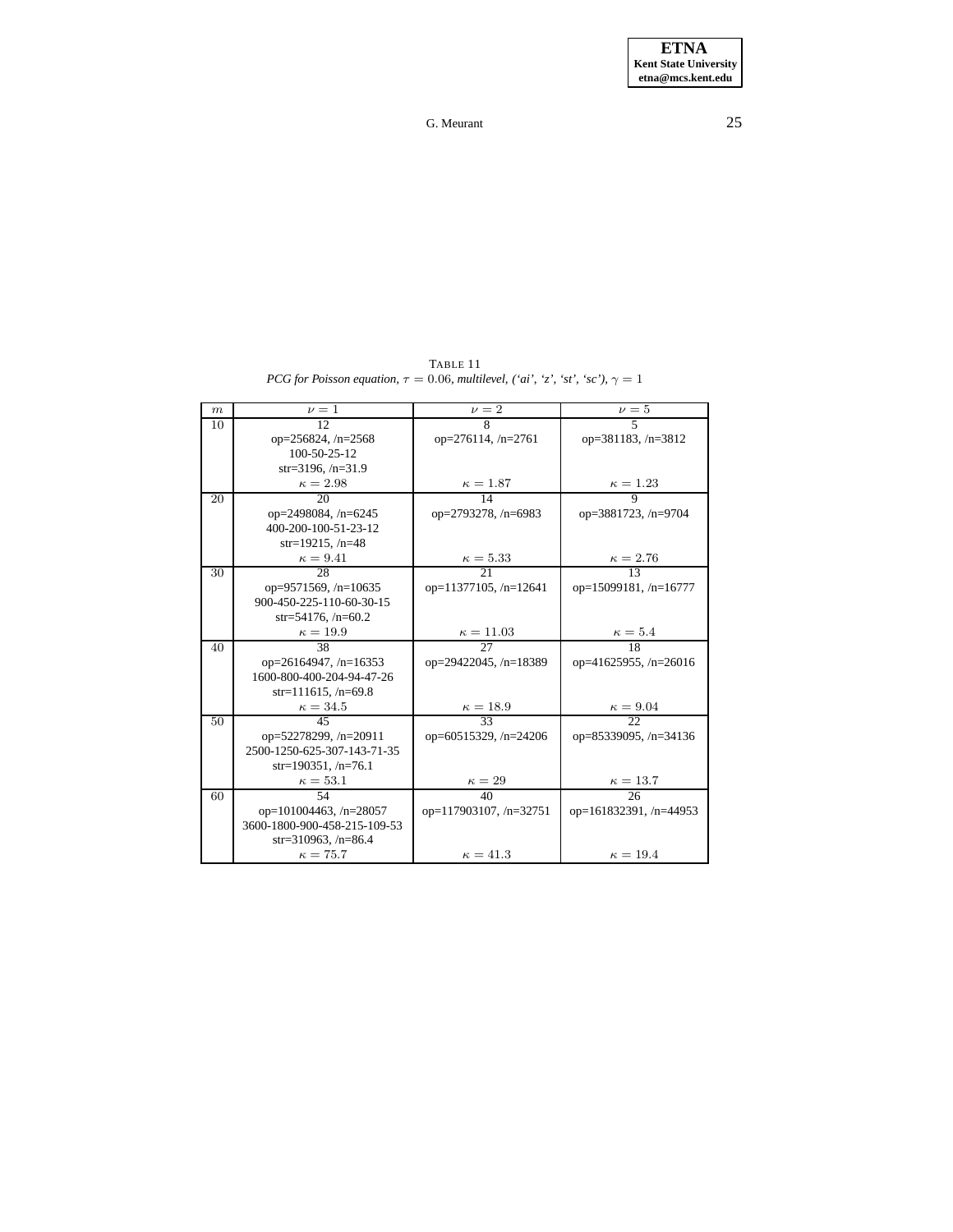TABLE 11 *PCG for Poisson equation,*  $\tau = 0.06$ *, multilevel,*  $(\text{`ai'}, \text{`z'}, \text{`st'}, \text{`sc'}), \gamma = 1$ 

<span id="page-24-0"></span>

| $\,m$ | $\nu = 1$                    | $\nu = 2$                    | $\nu = 5$                    |
|-------|------------------------------|------------------------------|------------------------------|
| 10    | 12                           | 8                            | $\overline{5}$               |
|       | op= $256824$ , /n= $2568$    | $op=276114, n=2761$          | op=381183, /n=3812           |
|       | 100-50-25-12                 |                              |                              |
|       | str=3196, $/n=31.9$          |                              |                              |
|       | $\kappa = 2.98$              | $\frac{\kappa = 1.87}{14}$   | $\frac{\kappa = 1.23}{9}$    |
| 20    | 20                           |                              |                              |
|       | op=2498084, $/n=6245$        | op=2793278, /n=6983          | op=3881723, /n=9704          |
|       | 400-200-100-51-23-12         |                              |                              |
|       | $str=19215$ , /n=48          |                              |                              |
|       | $\kappa = 9.41$              | $\frac{\kappa = 5.33}{21}$   | $\frac{\kappa = 2.76}{13}$   |
| 30    | 28                           |                              |                              |
|       | op=9571569, $/n=10635$       | op= $11377105$ , /n= $12641$ | op=15099181, /n=16777        |
|       | 900-450-225-110-60-30-15     |                              |                              |
|       | str=54176, $/n=60.2$         |                              |                              |
|       | $\kappa = 19.9$              | $\frac{\kappa = 11.03}{27}$  | $\frac{\kappa = 5.4}{18}$    |
| 40    | 38                           |                              |                              |
|       | op= $26164947$ , /n= $16353$ | op= $29422045$ , /n= $18389$ | op= $41625955$ , /n= $26016$ |
|       | 1600-800-400-204-94-47-26    |                              |                              |
|       | $str=111615, /n=69.8$        |                              |                              |
|       | $\kappa = 34.5$              | $\frac{\kappa = 18.9}{33}$   | $\frac{\kappa = 9.04}{22}$   |
| 50    | 45                           |                              |                              |
|       | op= $52278299$ , /n= $20911$ | op=60515329, $/n=24206$      | op=85339095, $/n=34136$      |
|       | 2500-1250-625-307-143-71-35  |                              |                              |
|       | $str=190351, /n=76.1$        |                              |                              |
|       | $\kappa = 53.1$              | $\kappa=29$                  | $\kappa = 13.7$              |
| 60    | 54                           | 40                           | 26                           |
|       | op=101004463, $/n=28057$     | op=117903107, /n=32751       | op=161832391, /n=44953       |
|       | 3600-1800-900-458-215-109-53 |                              |                              |
|       | $str=310963, /n=86.4$        |                              |                              |
|       | $\kappa = 75.7$              | $\kappa = 41.3$              | $\kappa = 19.4$              |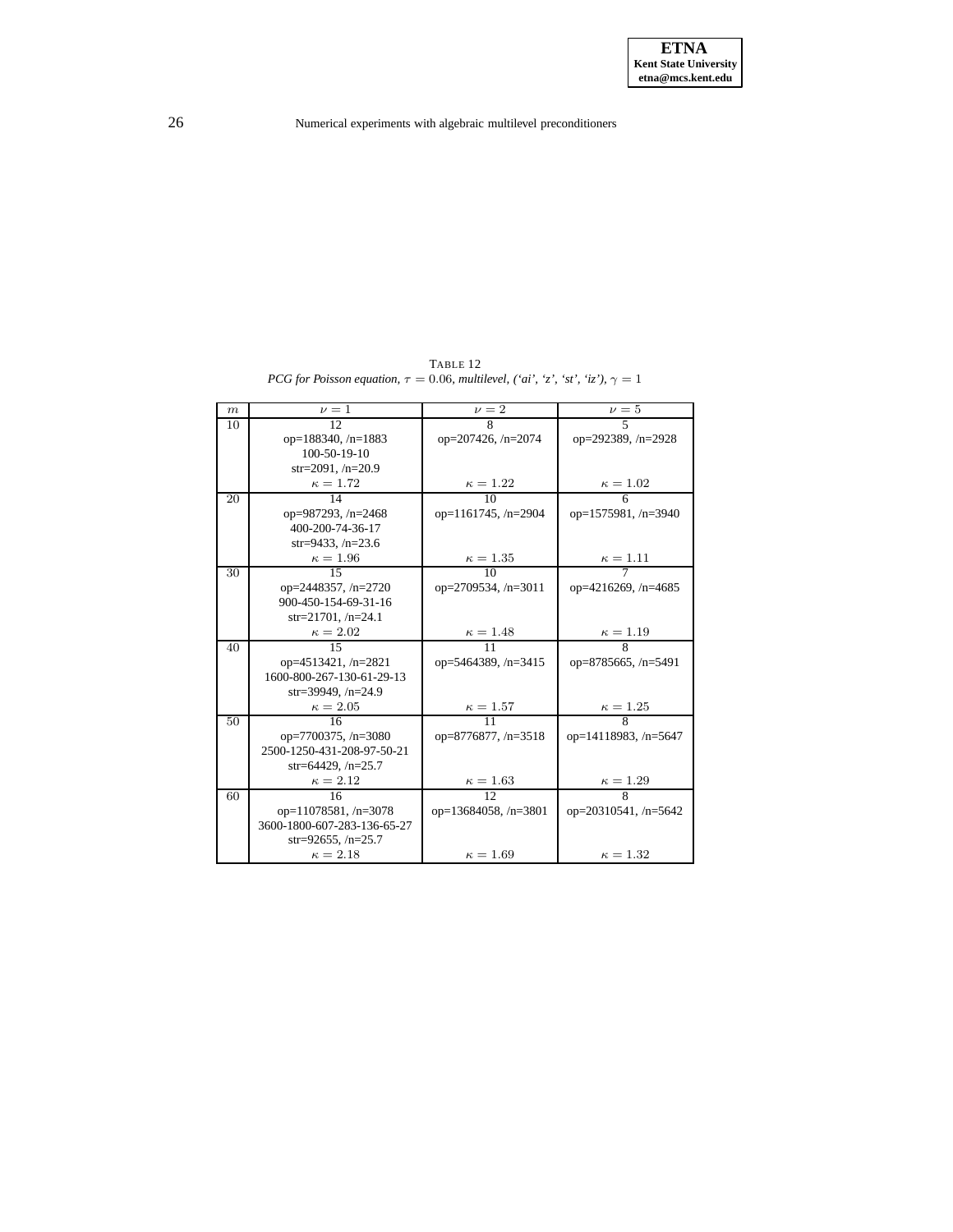TABLE 12 *PCG for Poisson equation,*  $\tau = 0.06$ *, multilevel, ('ai', 'z', 'st', 'iz'),*  $\gamma = 1$ 

<span id="page-25-0"></span>

| m  | $\nu = 1$                   | $\nu = 2$                   | $\nu = 5$                   |
|----|-----------------------------|-----------------------------|-----------------------------|
| 10 | 12                          | 8                           | 5                           |
|    | op= $188340$ , /n= $1883$   | op= $207426$ , /n= $2074$   | op=292389, /n=2928          |
|    | 100-50-19-10                |                             |                             |
|    | $str=2091, /n=20.9$         |                             |                             |
|    | $\kappa = 1.72$             | $\kappa=1.22$               | $\kappa = 1.02$             |
| 20 | 14                          | $\overline{10}$             |                             |
|    | op=987293, $/n=2468$        | op= $1161745$ , /n= $2904$  | op= $1575981, n=3940$       |
|    | 400-200-74-36-17            |                             |                             |
|    | str=9433, $/n=23.6$         |                             |                             |
|    | $\kappa = 1.96$             | $\kappa = 1.35$             | $\frac{\kappa = 1.11}{7}$   |
| 30 | $\overline{15}$             | 10                          |                             |
|    | op=2448357, $/n=2720$       | op= $2709534$ , /n= $3011$  | op= $4216269$ , /n= $4685$  |
|    | 900-450-154-69-31-16        |                             |                             |
|    | str=21701, $/n=24.1$        |                             |                             |
|    | $\kappa = 2.02$             | $\kappa = 1.48$             | $\frac{\kappa = 1.19}{8}$   |
| 40 | $\overline{15}$             | $\overline{11}$             |                             |
|    | op= $4513421$ , /n= $2821$  | op=5464389, $/n=3415$       | op=8785665, $/n=5491$       |
|    | 1600-800-267-130-61-29-13   |                             |                             |
|    | str=39949, $/n=24.9$        |                             |                             |
|    | $\kappa = 2.05$             | $\kappa=1.57$               | $\frac{\kappa=1.25}{8}$     |
| 50 | 16                          | $\overline{11}$             |                             |
|    | op=7700375, $/n=3080$       | op=8776877, $/n=3518$       | op=14118983, $/n=5647$      |
|    | 2500-1250-431-208-97-50-21  |                             |                             |
|    | str=64429, $/n=25.7$        |                             |                             |
|    | $\kappa = 2.12$             | $\kappa = 1.63$             | $\frac{\kappa = 1.29}{8}$   |
| 60 | 16                          | 12 <sub>1</sub>             |                             |
|    | op=11078581, /n=3078        | op= $13684058$ , /n= $3801$ | op= $20310541$ , /n= $5642$ |
|    | 3600-1800-607-283-136-65-27 |                             |                             |
|    | str=92655, $/n=25.7$        |                             |                             |
|    | $\kappa = 2.18$             | $\kappa = 1.69$             | $\kappa = 1.32$             |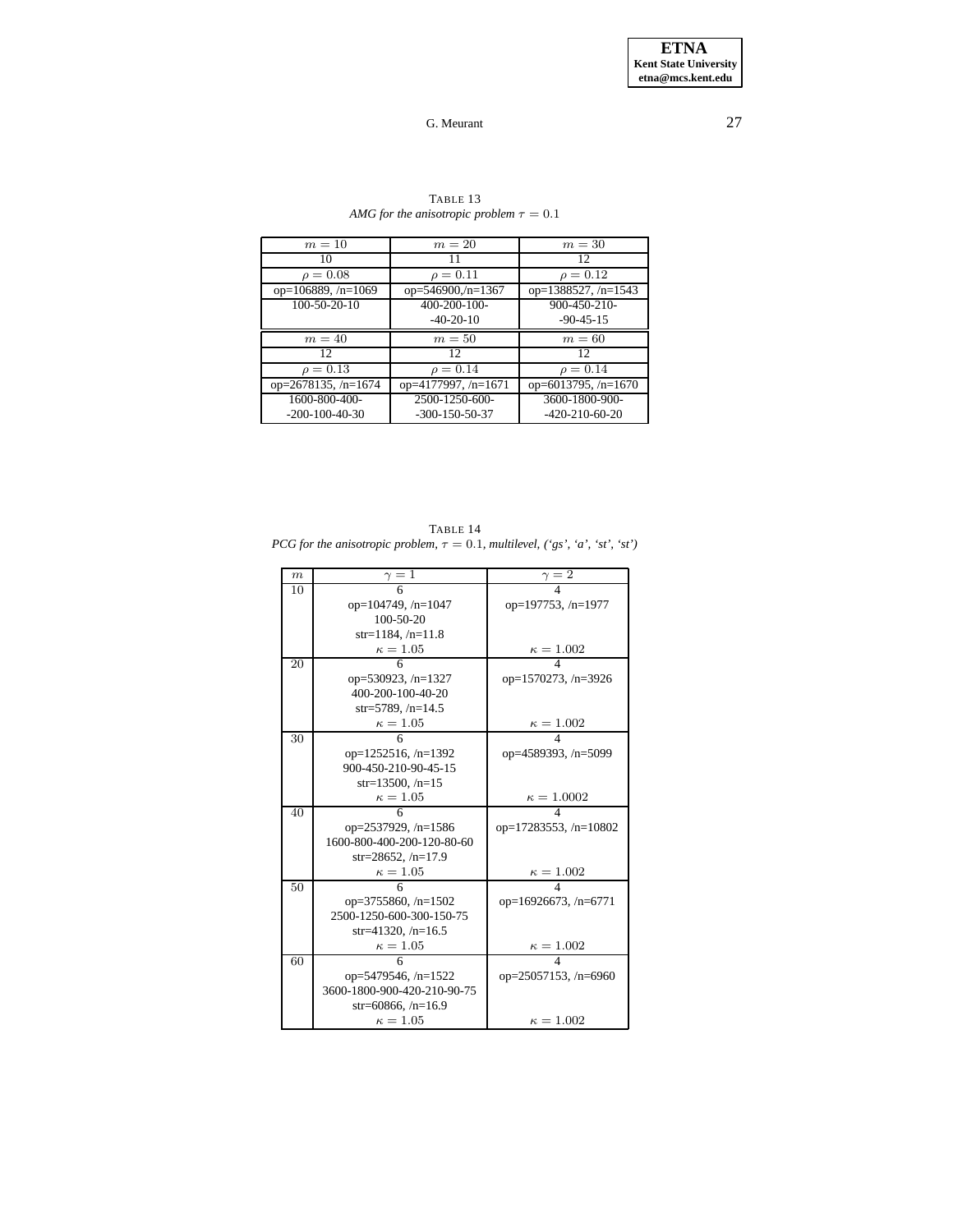<span id="page-26-0"></span>

| $m=10$                     | $m=20$                | $m=30$                     |
|----------------------------|-----------------------|----------------------------|
| 10                         | 11                    | 12                         |
| $\rho = 0.08$              | $\rho = 0.11$         | $\rho = 0.12$              |
| op= $106889, n=1069$       | op= $546900(n=1367)$  | op= $1388527$ , /n= $1543$ |
| 100-50-20-10               | 400-200-100-          | 900-450-210-               |
|                            | $-40-20-10$           | $-90-45-15$                |
| $m=40$                     | $m=50$                | $m=60$                     |
| 12                         | 12                    | 12                         |
| $\rho = 0.13$              | $\rho = 0.14$         | $\rho = 0.14$              |
|                            |                       |                            |
| op= $2678135$ , /n= $1674$ | op= $4177997, n=1671$ | op= $6013795$ , /n= $1670$ |
| 1600-800-400-              | 2500-1250-600-        | 3600-1800-900-             |

## TABLE 13 *AMG* for the anisotropic problem  $\tau = 0.1$

<span id="page-26-1"></span>TABLE 14 *PCG for the anisotropic problem,*  $\tau = 0.1$ *, multilevel,* ('gs', 'a', 'st', 'st')

| $\boldsymbol{m}$ | $\gamma=1$                  | $\gamma=2$                  |
|------------------|-----------------------------|-----------------------------|
| 10               |                             |                             |
|                  | op= $104749$ , /n= $1047$   | op=197753, $/n=1977$        |
|                  | $100 - 50 - 20$             |                             |
|                  | $str=1184, /n=11.8$         |                             |
|                  | $\kappa = 1.05$             | $\frac{\kappa = 1.002}{4}$  |
| 20               |                             |                             |
|                  | op=530923, $/n=1327$        | op= $1570273$ , /n= $3926$  |
|                  | 400-200-100-40-20           |                             |
|                  | str=5789, $/n=14.5$         |                             |
|                  | $\kappa = 1.05$             | $\frac{\kappa = 1.002}{4}$  |
| 30               |                             |                             |
|                  | op= $1252516$ , /n= $1392$  | op=4589393, /n=5099         |
|                  | 900-450-210-90-45-15        |                             |
|                  | $str=13500, /n=15$          |                             |
|                  | $\kappa = 1.05$             | $\frac{\kappa = 1.0002}{4}$ |
| 40               | 6                           |                             |
|                  | op= $2537929$ , /n= $1586$  | op=17283553, $/n=10802$     |
|                  | 1600-800-400-200-120-80-60  |                             |
|                  | str=28652, $/n=17.9$        |                             |
|                  | $\kappa=1.05$               | $\kappa = 1.002$            |
| 50               | 6                           |                             |
|                  | op= $3755860$ , /n= $1502$  | op=16926673, $/n=6771$      |
|                  | 2500-1250-600-300-150-75    |                             |
|                  | str=41320, $/n=16.5$        |                             |
|                  | $\kappa = 1.05$             | $\frac{\kappa = 1.002}{4}$  |
| 60               |                             |                             |
|                  | op=5479546, /n=1522         | op= $25057153$ , /n= $6960$ |
|                  | 3600-1800-900-420-210-90-75 |                             |
|                  | str=60866, $/n=16.9$        |                             |
|                  | $\kappa=1.05$               | $\kappa = 1.002$            |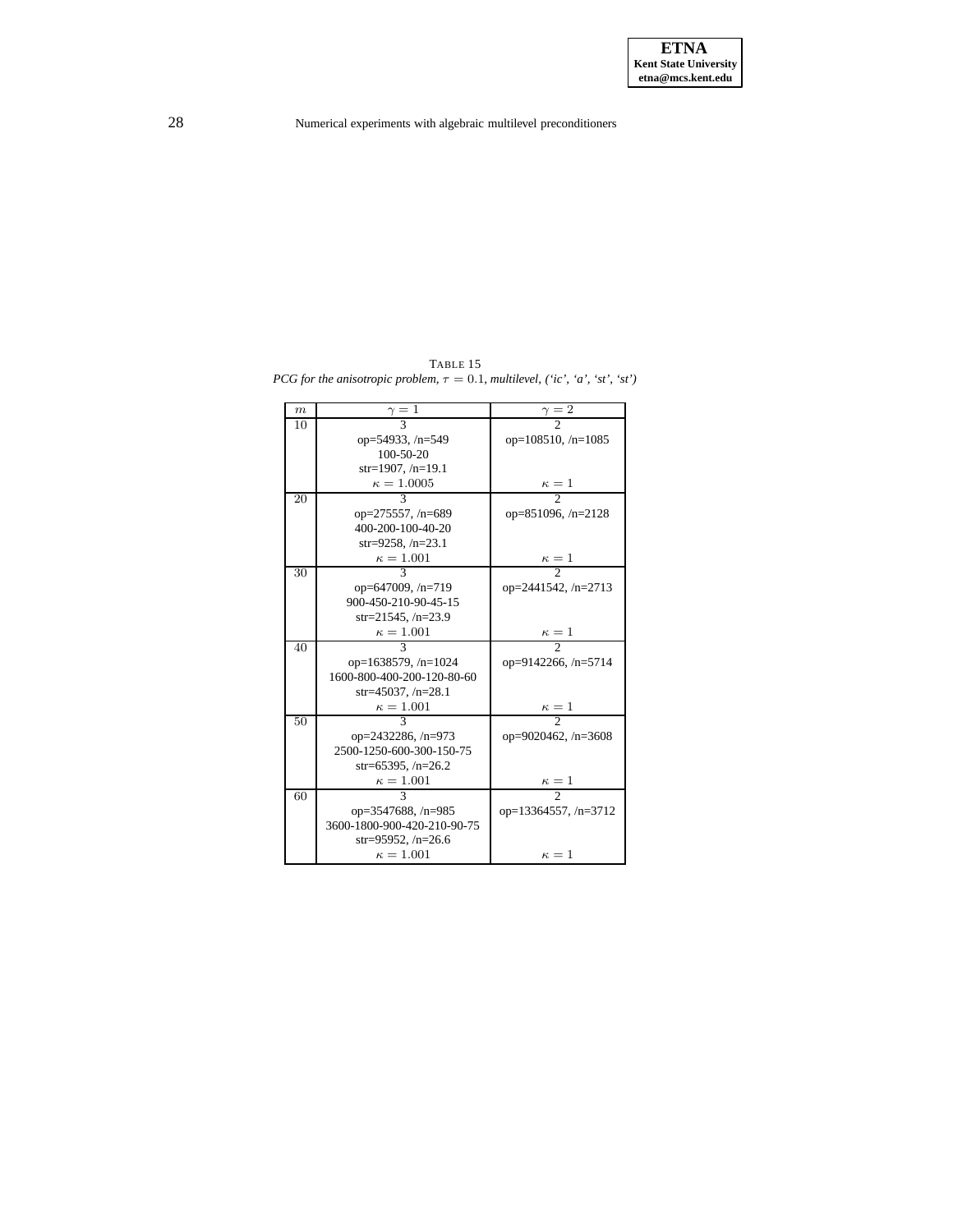<span id="page-27-0"></span>TABLE 15 *PCG for the anisotropic problem,*  $\tau = 0.1$ *, multilevel,* (*'ic', 'a', 'st', 'st'*)

| $\boldsymbol{m}$ | $\frac{\gamma}{3} = 1$      | $\frac{\gamma}{2}$          |
|------------------|-----------------------------|-----------------------------|
| 10               |                             |                             |
|                  | op=54933, $/n=549$          | op= $108510$ , /n= $1085$   |
|                  | 100-50-20                   |                             |
|                  | $str=1907, /n=19.1$         |                             |
|                  | $\kappa=1.0005$             | $\frac{\kappa=1}{2}$        |
| 20               | 3                           |                             |
|                  | op=275557, /n=689           | op=851096, /n=2128          |
|                  | 400-200-100-40-20           |                             |
|                  | $str=9258, /n=23.1$         |                             |
|                  | $\kappa = 1.001$            | $\frac{\kappa}{2} = 1$      |
| 30               |                             |                             |
|                  | op=647009, /n=719           | op=2441542, $/n=2713$       |
|                  | 900-450-210-90-45-15        |                             |
|                  | str=21545, $/n=23.9$        |                             |
|                  | $\kappa = 1.001$            | $\frac{\kappa}{2} = 1$      |
| 40               |                             |                             |
|                  | op=1638579, $/n=1024$       | op=9142266, /n=5714         |
|                  | 1600-800-400-200-120-80-60  |                             |
|                  | str=45037, $/n=28.1$        |                             |
|                  | $\kappa = 1.001$            | $\kappa = 1$                |
| 50               |                             |                             |
|                  | op=2432286, /n=973          | op=9020462, /n=3608         |
|                  | 2500-1250-600-300-150-75    |                             |
|                  | str=65395, $/n=26.2$        |                             |
|                  | $\kappa = 1.001$            | $\kappa=1$                  |
| 60               |                             | $\mathfrak{D}$              |
|                  | op=3547688, /n=985          | op= $13364557$ , /n= $3712$ |
|                  | 3600-1800-900-420-210-90-75 |                             |
|                  | str=95952, $/n=26.6$        |                             |
|                  | $\kappa = 1.001$            | $\kappa = 1$                |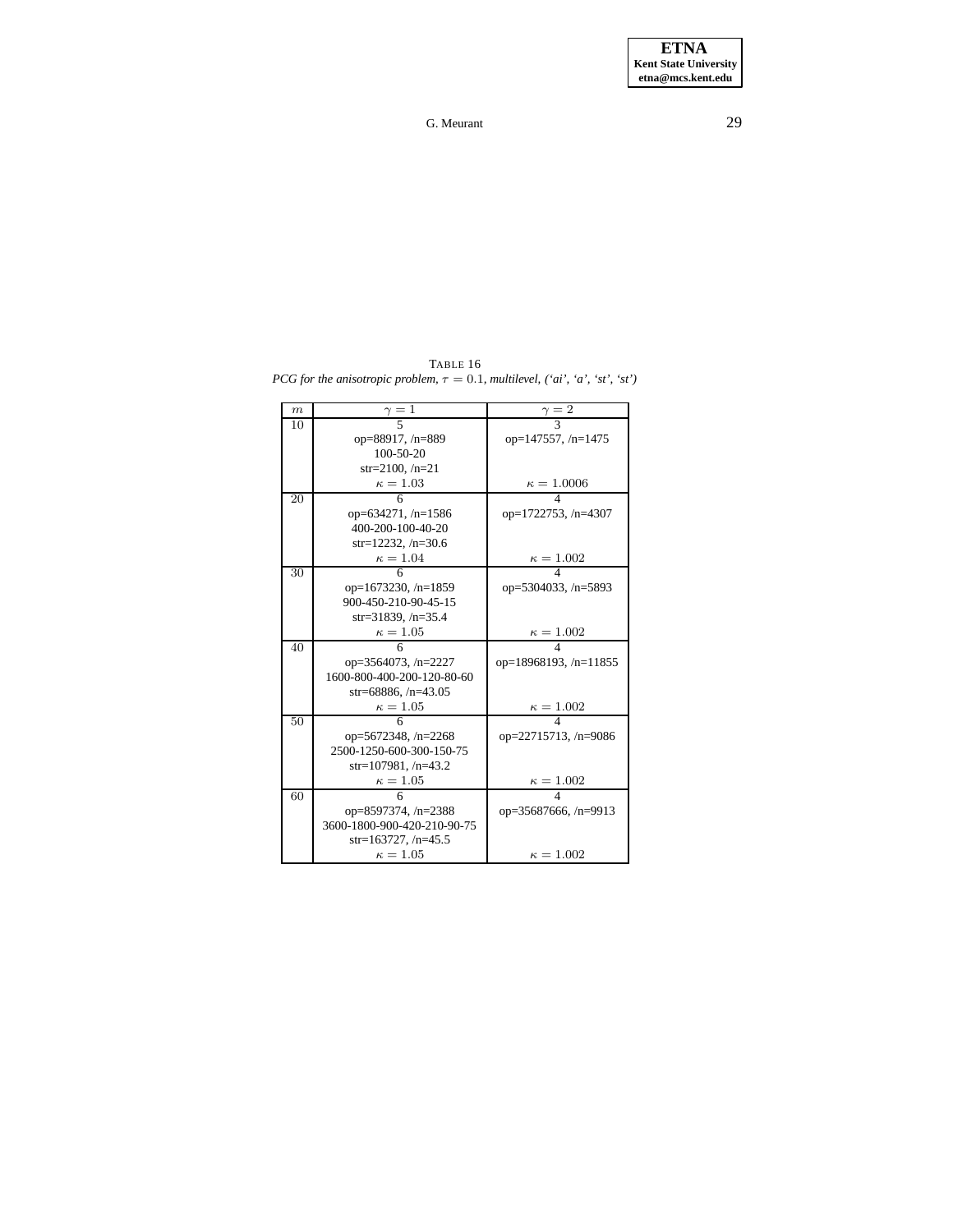<span id="page-28-0"></span>TABLE 16 *PCG for the anisotropic problem,*  $\tau = 0.1$ *, multilevel,*  $(\forall ai', \forall a', \forall s t', \forall t')$ 

| m  | $\frac{\gamma}{5}$          | $\frac{\gamma}{3}$          |
|----|-----------------------------|-----------------------------|
| 10 |                             |                             |
|    | op=88917, /n=889            | op=147557, $/n=1475$        |
|    | $100 - 50 - 20$             |                             |
|    | $str=2100, n=21$            |                             |
|    | $\kappa=1.03$               | $\frac{\kappa = 1.0006}{4}$ |
| 20 |                             |                             |
|    | op=634271, /n=1586          | op=1722753, /n=4307         |
|    | 400-200-100-40-20           |                             |
|    | $str=12232, /n=30.6$        |                             |
|    | $\kappa = 1.04$             | $\frac{\kappa = 1.002}{4}$  |
| 30 |                             |                             |
|    | op=1673230, $/n=1859$       | op=5304033, /n=5893         |
|    | 900-450-210-90-45-15        |                             |
|    | str=31839, $/n=35.4$        |                             |
|    | $\kappa=1.05$               | $\kappa = 1.002$            |
| 40 |                             |                             |
|    | op= $3564073$ , /n= $2227$  | op=18968193, $/n=11855$     |
|    | 1600-800-400-200-120-80-60  |                             |
|    | $str=68886, /n=43.05$       |                             |
|    | $\kappa=1.05$               | $\kappa = 1.002$            |
| 50 |                             |                             |
|    | op=5672348, /n=2268         | op=22715713, /n=9086        |
|    | 2500-1250-600-300-150-75    |                             |
|    | $str=107981, /n=43.2$       |                             |
|    | $\kappa=1.05$               | $\kappa = 1.002$            |
| 60 | 6                           |                             |
|    | op=8597374, /n=2388         | op=35687666, /n=9913        |
|    | 3600-1800-900-420-210-90-75 |                             |
|    | $str=163727, /n=45.5$       |                             |
|    | $\kappa = 1.05$             | $\kappa = 1.002$            |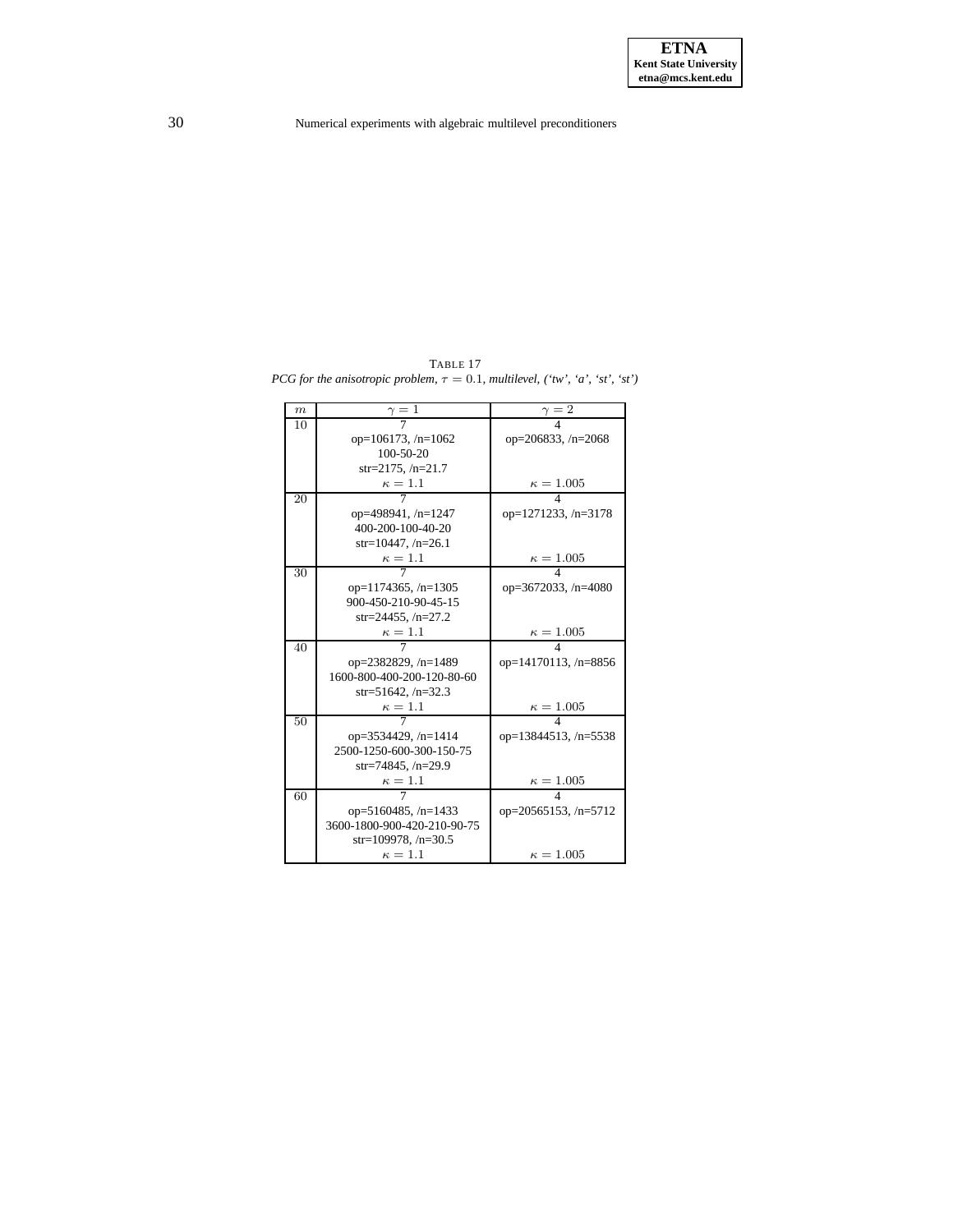<span id="page-29-0"></span>TABLE 17 *PCG for the anisotropic problem,*  $\tau = 0.1$ *, multilevel,* ('tw', 'a', 'st', 'st')

| m  | $\gamma=1$                  | $\gamma = 2$                |
|----|-----------------------------|-----------------------------|
| 10 |                             |                             |
|    | op= $106173$ , /n= $1062$   | op= $206833, n=2068$        |
|    | $100 - 50 - 20$             |                             |
|    | str=2175, $/n=21.7$         |                             |
|    | $\kappa=1.1$                | $\kappa = 1.005$            |
| 20 |                             |                             |
|    | op=498941, /n=1247          | op= $1271233, n=3178$       |
|    | 400-200-100-40-20           |                             |
|    | $str=10447, /n=26.1$        |                             |
|    | $\kappa=1.1$                | $\kappa = 1.005$            |
| 30 |                             |                             |
|    | op= $1174365$ , /n= $1305$  | op=3672033, $/n=4080$       |
|    | 900-450-210-90-45-15        |                             |
|    | str=24455, $/n=27.2$        |                             |
|    | $\kappa=1.1$                | $\kappa = 1.005$            |
| 40 |                             | 4                           |
|    | op=2382829, /n=1489         | op=14170113, $/n=8856$      |
|    | 1600-800-400-200-120-80-60  |                             |
|    | str=51642, $/n=32.3$        |                             |
|    | $\kappa=1.1$                | $\kappa = 1.005$            |
| 50 |                             |                             |
|    | op=3534429, $/n=1414$       | op= $13844513$ , /n= $5538$ |
|    | 2500-1250-600-300-150-75    |                             |
|    | str=74845, $/n=29.9$        |                             |
|    | $\kappa=1.1$                | $\kappa = 1.005$            |
| 60 |                             |                             |
|    | op= $5160485$ , /n= $1433$  | $op=20565153, /n=5712$      |
|    | 3600-1800-900-420-210-90-75 |                             |
|    | str=109978, $/n=30.5$       |                             |
|    | $\kappa = 1.1$              | $\kappa = 1.005$            |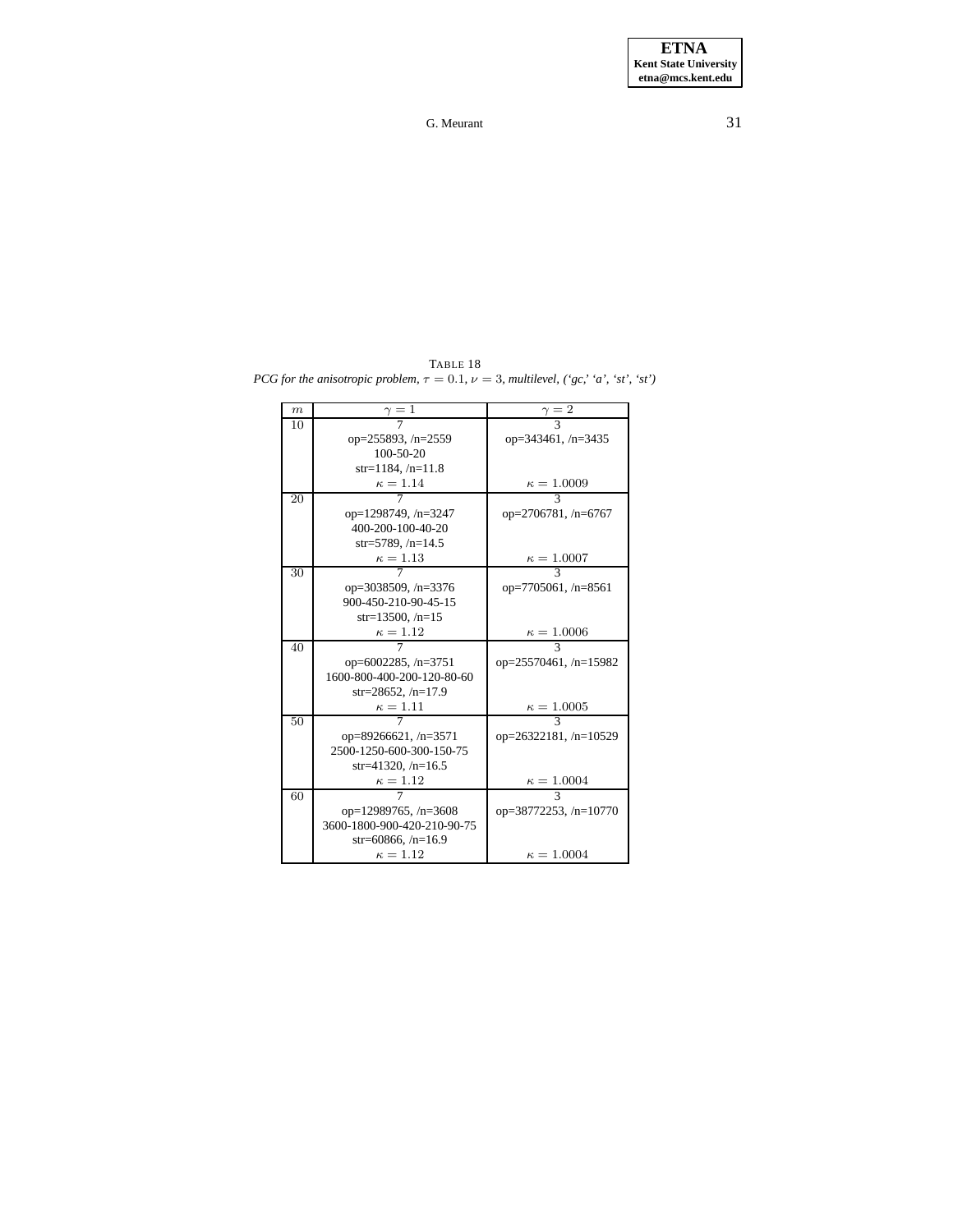<span id="page-30-0"></span>TABLE 18 *PCG for the anisotropic problem,*  $\tau = 0.1$ *,*  $\nu = 3$ *, multilevel,*  $({}^{\circ}gc, {}^{\circ}a', {}^{\circ}st', {}^{\circ}st')$ 

| m  | $\frac{\gamma}{7} = 1$      | $\frac{\gamma}{3}$          |
|----|-----------------------------|-----------------------------|
| 10 |                             |                             |
|    | op= $255893, n=2559$        | op=343461, $/n=3435$        |
|    | $100 - 50 - 20$             |                             |
|    | $str=1184, /n=11.8$         |                             |
|    | $\kappa = 1.14$             | $\frac{\kappa = 1.0009}{3}$ |
| 20 |                             |                             |
|    | op=1298749, /n=3247         | op=2706781, /n=6767         |
|    | 400-200-100-40-20           |                             |
|    | $str=5789, /n=14.5$         |                             |
|    | $\kappa=1.13$               | $\frac{\kappa=1.0007}{3}$   |
| 30 |                             |                             |
|    | op=3038509, /n=3376         | op=7705061, $/n=8561$       |
|    | 900-450-210-90-45-15        |                             |
|    | $str=13500, /n=15$          |                             |
|    | $\kappa=1.12$               | $\frac{\kappa = 1.0006}{3}$ |
| 40 |                             |                             |
|    | op= $6002285$ , /n= $3751$  | op=25570461, /n=15982       |
|    | 1600-800-400-200-120-80-60  |                             |
|    | str=28652, $/n=17.9$        |                             |
|    | $\kappa = 1.11$             | $\kappa = 1.0005$           |
| 50 |                             | $\overline{\mathcal{E}}$    |
|    | op=89266621, /n=3571        | op=26322181, /n=10529       |
|    | 2500-1250-600-300-150-75    |                             |
|    | str=41320, $/n=16.5$        |                             |
|    | $\kappa=1.12$               | $\kappa = 1.0004$           |
| 60 |                             |                             |
|    | op=12989765, $/n=3608$      | op=38772253, /n=10770       |
|    | 3600-1800-900-420-210-90-75 |                             |
|    | str=60866, $/n=16.9$        |                             |
|    | $\kappa = 1.12$             | $\kappa = 1.0004$           |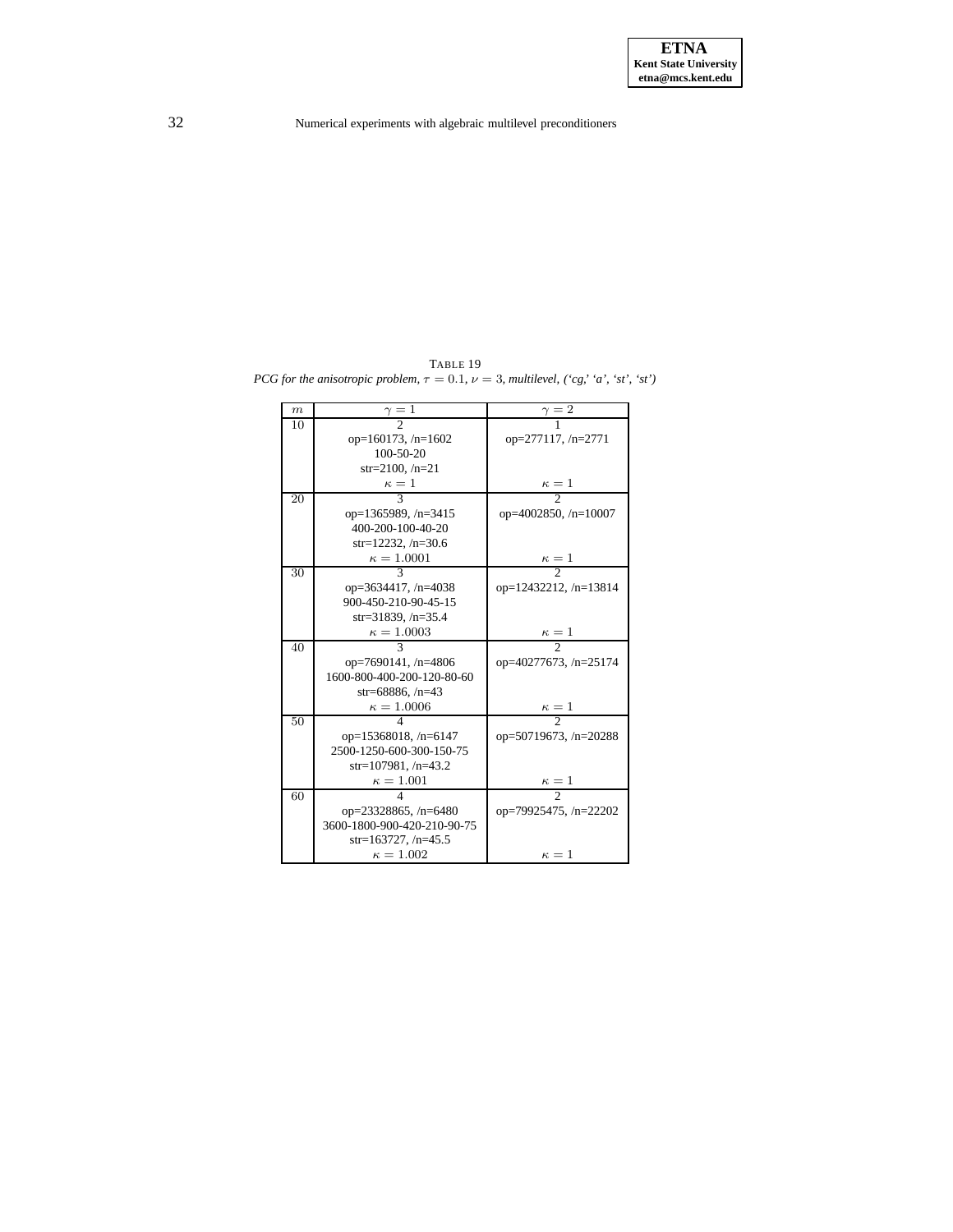<span id="page-31-0"></span>TABLE 19 *PCG for the anisotropic problem,*  $\tau = 0.1$ *,*  $\nu = 3$ *, multilevel,*  $({}^{\cdot}cg, {}^{\cdot}a', {}^{\cdot}st', {}^{\cdot}st')$ 

| $\boldsymbol{m}$ | $\cdot$ 1                   | $\gamma=2$                   |
|------------------|-----------------------------|------------------------------|
| 10               |                             |                              |
|                  | op=160173, $/n=1602$        | op=277117, /n=2771           |
|                  | $100 - 50 - 20$             |                              |
|                  | $str=2100, n=21$            |                              |
|                  | $\kappa=1$                  | $\frac{\kappa}{2} = 1$       |
| 20               |                             |                              |
|                  | op=1365989, /n=3415         | op= $4002850$ , /n= $10007$  |
|                  | 400-200-100-40-20           |                              |
|                  | str=12232, $/n=30.6$        |                              |
|                  | $\kappa = 1.0001$           | $\frac{\kappa}{2} = 1$       |
| 30               | $\mathbf{3}$                |                              |
|                  | op=3634417, /n=4038         | op= $12432212$ , /n= $13814$ |
|                  | 900-450-210-90-45-15        |                              |
|                  | $str=31839, /n=35.4$        |                              |
|                  | $\kappa = 1.0003$           | $\frac{\kappa-1}{2}$         |
| 40               |                             |                              |
|                  | op=7690141, /n=4806         | op=40277673, /n=25174        |
|                  | 1600-800-400-200-120-80-60  |                              |
|                  | $str=68886, /n=43$          |                              |
|                  | $\kappa = 1.0006$           | $\frac{\kappa}{2} = 1$       |
| 50               |                             |                              |
|                  | op= $15368018$ , /n= $6147$ | op=50719673, $/n=20288$      |
|                  | 2500-1250-600-300-150-75    |                              |
|                  | str=107981, $/n=43.2$       |                              |
|                  | $\kappa = 1.001$            | $\frac{\kappa}{2} = 1$       |
| 60               |                             |                              |
|                  | op= $23328865$ , /n= $6480$ | op=79925475, $/n=22202$      |
|                  | 3600-1800-900-420-210-90-75 |                              |
|                  | $str=163727, /n=45.5$       |                              |
|                  | $\kappa = 1.002$            | $\kappa = 1$                 |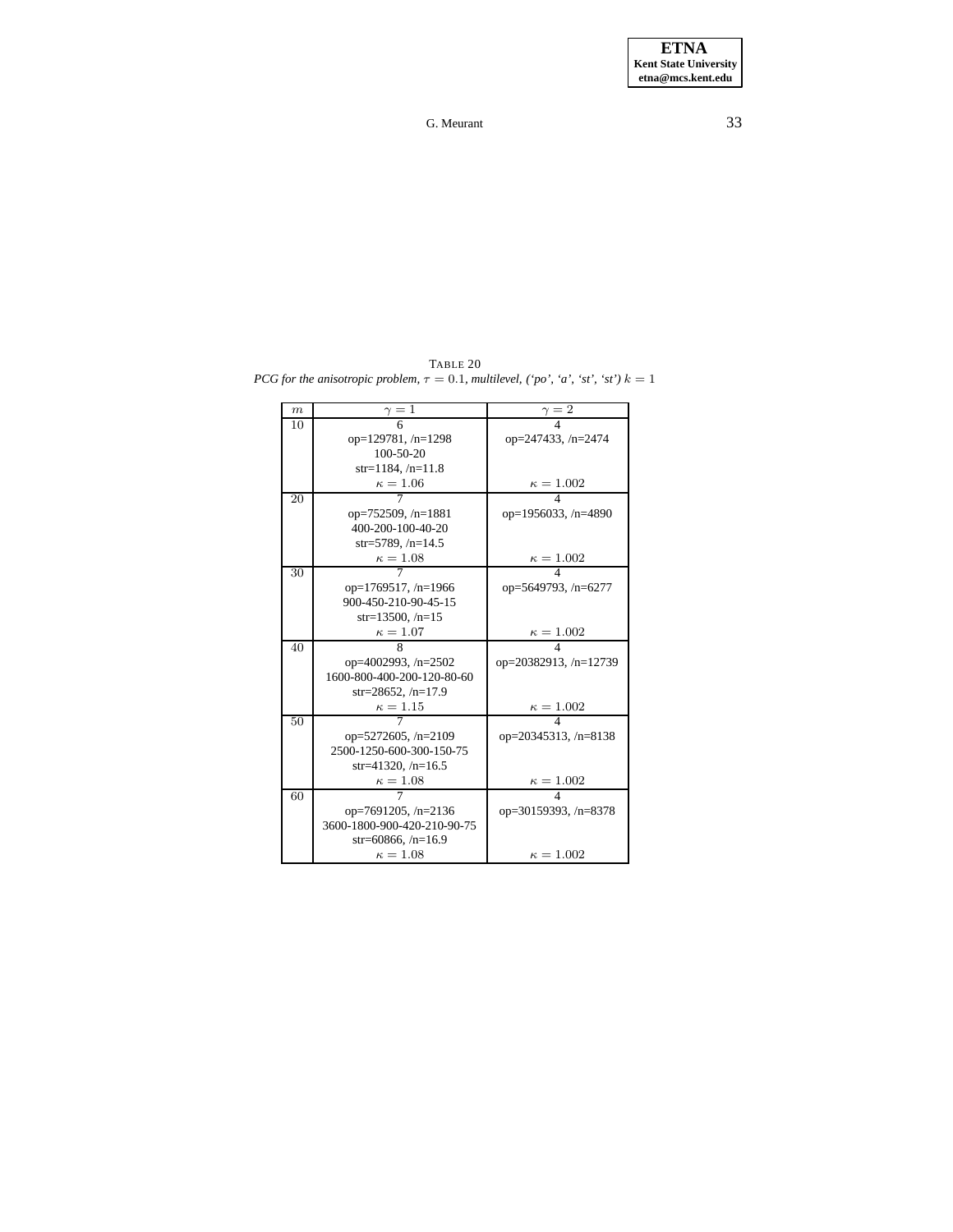<span id="page-32-0"></span>TABLE 20 *PCG for the anisotropic problem,*  $\tau = 0.1$ *, multilevel,*  $('po', 'a', 'st', 'st')$   $k = 1$ 

| m  | $\gamma=1$                  | $\frac{\gamma}{4}$          |
|----|-----------------------------|-----------------------------|
| 10 |                             |                             |
|    | op= $129781, n=1298$        | op=247433, /n=2474          |
|    | $100 - 50 - 20$             |                             |
|    | $str=1184, /n=11.8$         |                             |
|    | $\kappa=1.06$               | $\frac{\kappa = 1.002}{4}$  |
| 20 |                             |                             |
|    | op=752509, $/n=1881$        | op=1956033, /n=4890         |
|    | 400-200-100-40-20           |                             |
|    | $str=5789, /n=14.5$         |                             |
|    | $\kappa=1.08$               | $\frac{\kappa = 1.002}{4}$  |
| 30 |                             |                             |
|    | op= $1769517$ , /n= $1966$  | op=5649793, /n=6277         |
|    | 900-450-210-90-45-15        |                             |
|    | $str=13500, /n=15$          |                             |
|    | $\kappa=1.07$               | $\kappa = 1.002$            |
| 40 | 8                           |                             |
|    | op= $4002993, n=2502$       | op=20382913, /n=12739       |
|    | 1600-800-400-200-120-80-60  |                             |
|    | str=28652, $/n=17.9$        |                             |
|    | $\kappa=1.15$               | $\kappa = 1.002$            |
| 50 |                             |                             |
|    | op=5272605, /n=2109         | op= $20345313$ , /n= $8138$ |
|    | 2500-1250-600-300-150-75    |                             |
|    | str=41320, $/n=16.5$        |                             |
|    | $\kappa=1.08$               | $\kappa=1.002$              |
| 60 |                             | 4                           |
|    | op=7691205, $/n=2136$       | op=30159393, /n=8378        |
|    | 3600-1800-900-420-210-90-75 |                             |
|    | str=60866, $/n=16.9$        |                             |
|    | $\kappa=1.08$               | $\kappa = 1.002$            |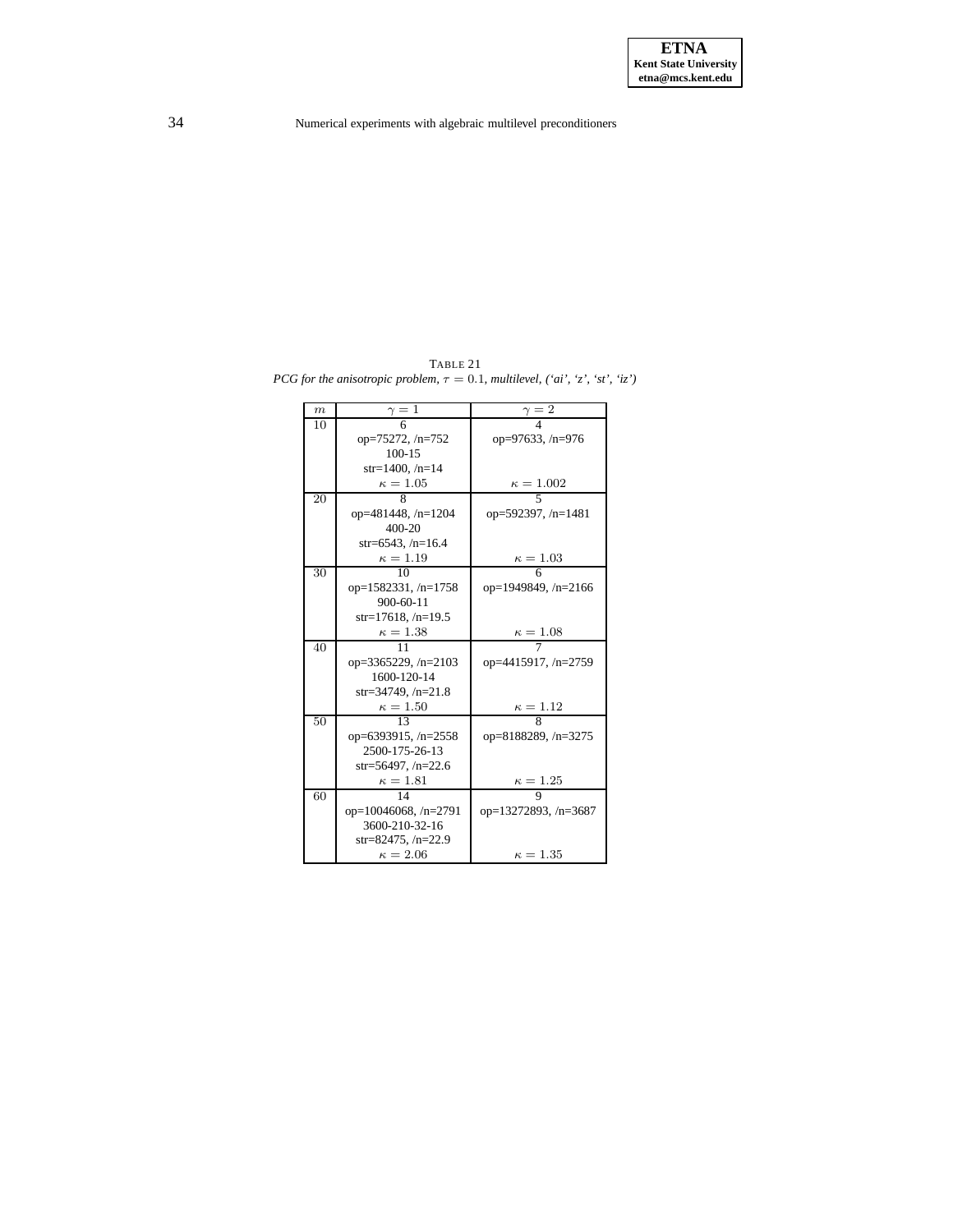<span id="page-33-0"></span>TABLE 21 *PCG for the anisotropic problem,*  $\tau = 0.1$ *, multilevel,*  $(iai', 'z', 'st', 'iz')$ 

| $\boldsymbol{m}$ | $\gamma=1$                  | $\frac{1}{2} = 2$         |
|------------------|-----------------------------|---------------------------|
| 10               |                             |                           |
|                  | $op=75272, n=752$           | op=97633, /n=976          |
|                  | $100 - 15$                  |                           |
|                  | $str=1400$ , /n=14          |                           |
|                  | $\kappa=1.05$               | $\kappa = 1.002$          |
| 20               | 8                           | $\overline{\phantom{0}}$  |
|                  | op= $481448$ , /n= $1204$   | op=592397, $/n=1481$      |
|                  | 400-20                      |                           |
|                  | $str=6543, /n=16.4$         |                           |
|                  | $\kappa=1.19$               | $\kappa=1.03$             |
| 30               | 10                          | 6                         |
|                  | op= $1582331, n=1758$       | op=1949849, /n=2166       |
|                  | $900 - 60 - 11$             |                           |
|                  | str=17618, $/n=19.5$        |                           |
|                  | $\kappa=1.38$               | $\kappa = 1.08$           |
| 40               | 11                          |                           |
|                  | op=3365229, $/n=2103$       | op=4415917, /n=2759       |
|                  | 1600-120-14                 |                           |
|                  | str=34749, $/n=21.8$        |                           |
|                  | $\kappa=1.50$               | $\frac{\kappa = 1.12}{8}$ |
| 50               | 13                          |                           |
|                  | op=6393915, /n=2558         | op=8188289, /n=3275       |
|                  | 2500-175-26-13              |                           |
|                  | str=56497, $/n=22.6$        |                           |
|                  | $\kappa=1.81$               | $\kappa = 1.25$           |
| 60               | 14                          | 9                         |
|                  | op= $10046068$ , /n= $2791$ | op=13272893, /n=3687      |
|                  | 3600-210-32-16              |                           |
|                  | str=82475, $/n=22.9$        |                           |
|                  | $\kappa = 2.06$             | $\kappa = 1.35$           |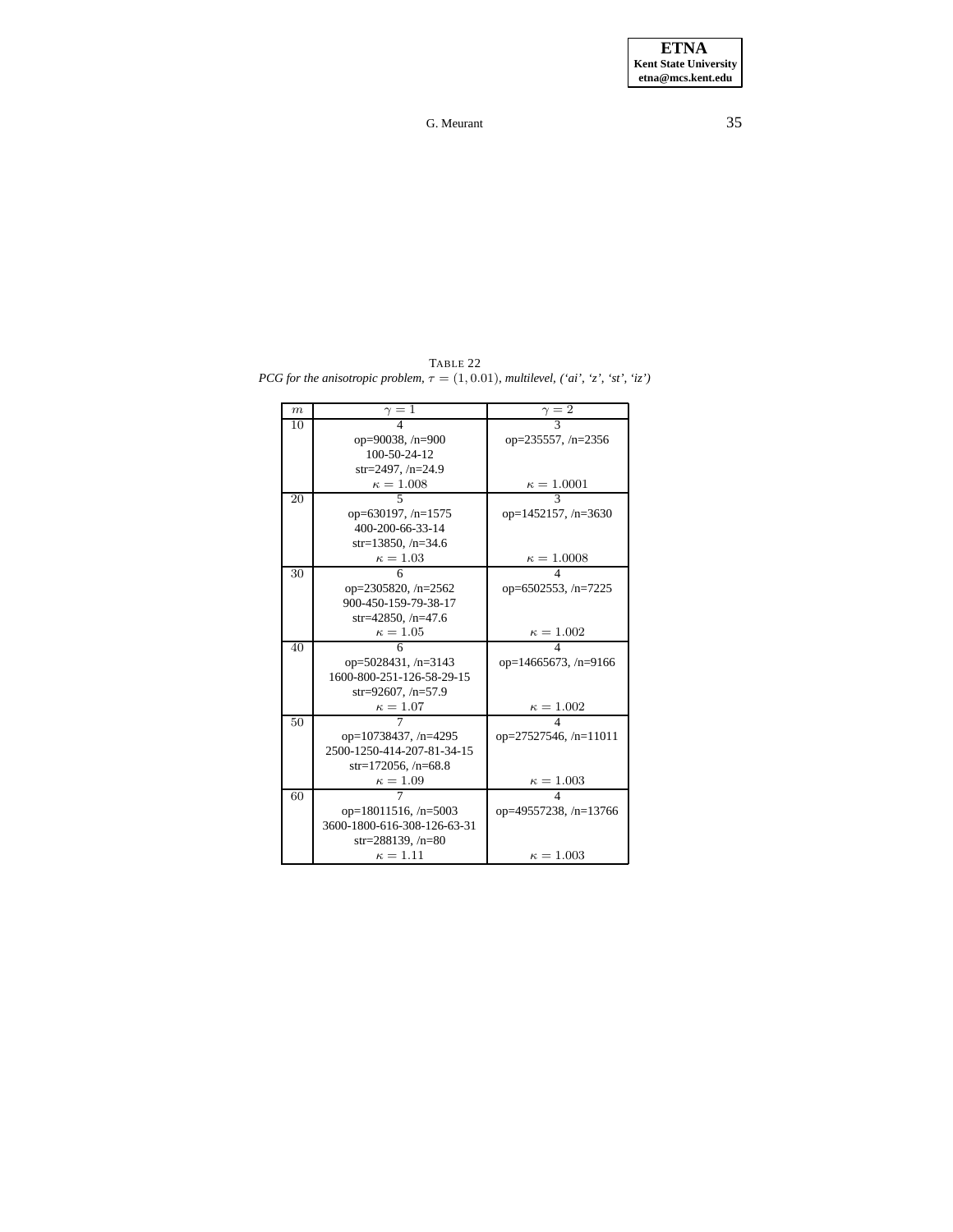| $\boldsymbol{m}$ | $\gamma=1$                  | $\gamma=2$                   |
|------------------|-----------------------------|------------------------------|
| 10               |                             |                              |
|                  | op=90038, $/n=900$          | op= $235557$ , /n= $2356$    |
|                  | 100-50-24-12                |                              |
|                  | str=2497, $/n=24.9$         |                              |
|                  | $\kappa = 1.008$            | $\kappa = 1.0001$            |
| 20               |                             |                              |
|                  | op=630197, $/n=1575$        | op=1452157, $/n=3630$        |
|                  | 400-200-66-33-14            |                              |
|                  | str=13850, $/n=34.6$        |                              |
|                  | $\kappa=1.03$               | $\kappa = 1.0008$            |
| 30               |                             | Δ                            |
|                  | op=2305820, /n=2562         | op=6502553, $/n=7225$        |
|                  | 900-450-159-79-38-17        |                              |
|                  | str=42850, $/n=47.6$        |                              |
|                  | $\kappa = 1.05$             | $\kappa = 1.002$             |
| 40               |                             | Δ                            |
|                  | op= $5028431, n=3143$       | op=14665673, $/n=9166$       |
|                  | 1600-800-251-126-58-29-15   |                              |
|                  | str=92607, $/n=57.9$        |                              |
|                  | $\kappa = 1.07$             | $\kappa=1.002$               |
| 50               |                             | 4                            |
|                  | op=10738437, $/n=4295$      | op= $27527546$ , /n= $11011$ |
|                  | 2500-1250-414-207-81-34-15  |                              |
|                  | $str=172056, /n=68.8$       |                              |
|                  | $\kappa = 1.09$             | $\kappa = 1.003$             |
| 60               |                             | $\overline{\mathcal{A}}$     |
|                  | op= $18011516$ , /n= $5003$ | op=49557238, /n=13766        |
|                  | 3600-1800-616-308-126-63-31 |                              |
|                  | str=288139, $/n=80$         |                              |
|                  | $\kappa=1.11$               | $\kappa = 1.003$             |

<span id="page-34-0"></span>TABLE 22 *PCG for the anisotropic problem,*  $\tau = (1, 0.01)$ *, multilevel,*  $('ai', 'z', 'st', 'iz')$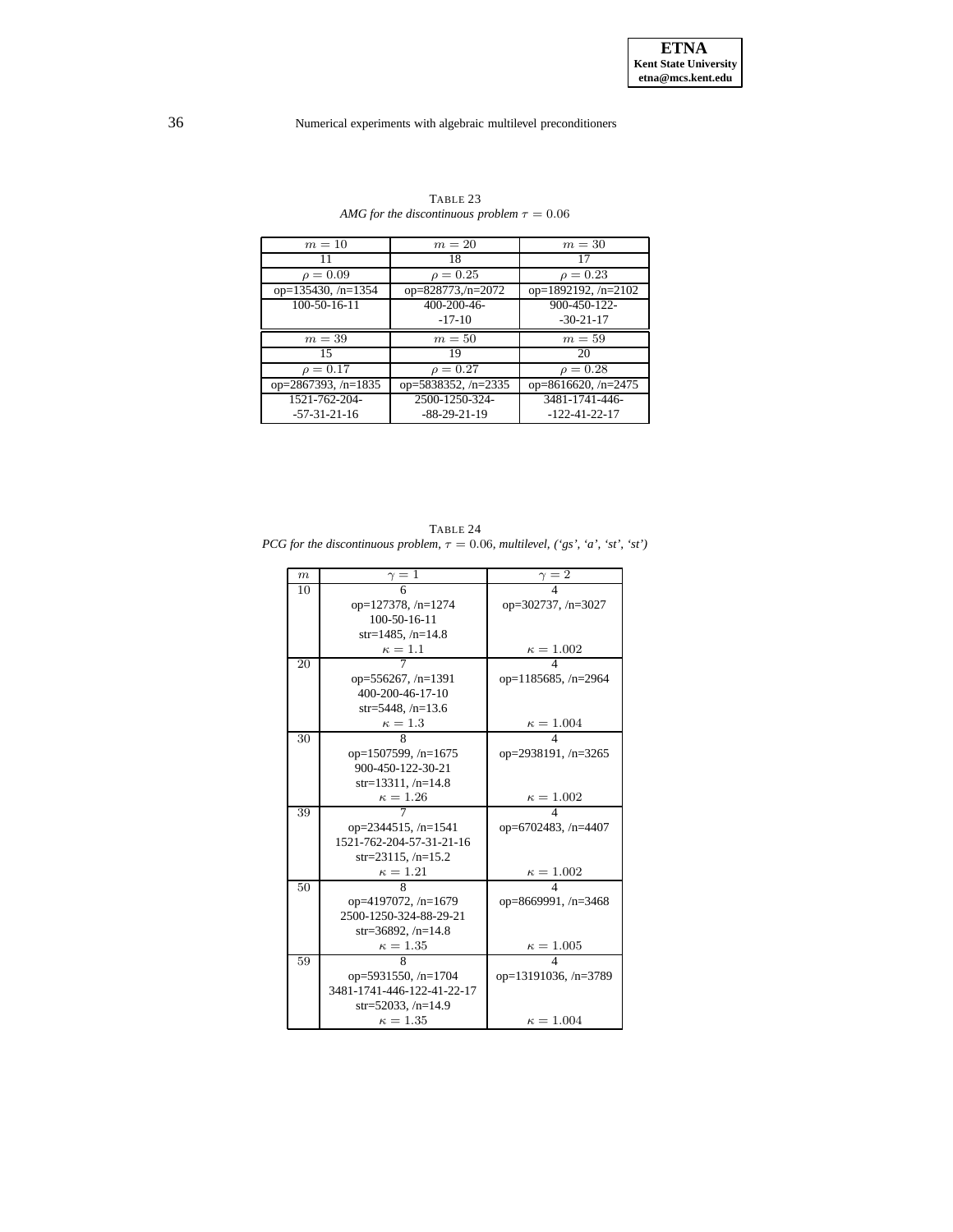<span id="page-35-0"></span>

| $m=10$                    | $m=20$              | $m=30$                |
|---------------------------|---------------------|-----------------------|
| 11                        | 18                  | 17                    |
| $\rho = 0.09$             | $\rho = 0.25$       | $\rho = 0.23$         |
| op= $135430$ , /n= $1354$ | op=828773,/n=2072   | op=1892192, /n=2102   |
| 100-50-16-11              | 400-200-46-         | 900-450-122-          |
|                           | $-17-10$            | $-30-21-17$           |
| $m=39$                    | $m=50$              | $m=59$                |
| 15                        | 19                  | 20                    |
| $\rho = 0.17$             | $\rho = 0.27$       | $\rho = 0.28$         |
| op=2867393, /n=1835       | op=5838352, /n=2335 | op=8616620, $/n=2475$ |
| 1521-762-204-             | 2500-1250-324-      | 3481-1741-446-        |
| $-57-31-21-16$            | $-88-29-21-19$      | $-122 - 41 - 22 - 17$ |

TABLE 23 *AMG* for the discontinuous problem  $\tau = 0.06$ 

<span id="page-35-1"></span>TABLE 24 *PCG for the discontinuous problem,*  $\tau = 0.06$ *, multilevel,*  $({}^{\circ}gs', {}^{\circ}a', {}^{\circ}st', {}^{\circ}st')$ 

| $_{m}$ | $\frac{\gamma}{6}$         | $\gamma = 2$               |
|--------|----------------------------|----------------------------|
| 10     |                            |                            |
|        | $op=127378, n=1274$        | op= $302737, n=3027$       |
|        | 100-50-16-11               |                            |
|        | $str=1485, /n=14.8$        |                            |
|        | $\frac{\kappa = 1.1}{7}$   | $\frac{\kappa = 1.002}{4}$ |
| 20     |                            |                            |
|        | op= $556267$ , /n= $1391$  | op= $1185685$ , /n= $2964$ |
|        | 400-200-46-17-10           |                            |
|        | $str=5448, /n=13.6$        |                            |
|        | $\frac{\kappa = 1.3}{8}$   | $\frac{\kappa = 1.004}{4}$ |
| 30     |                            |                            |
|        | op= $1507599, n=1675$      | op=2938191, /n=3265        |
|        | 900-450-122-30-21          |                            |
|        | str=13311, $/n=14.8$       |                            |
|        | $\frac{\kappa = 1.26}{7}$  | $\frac{\kappa = 1.002}{4}$ |
| 39     |                            |                            |
|        | op=2344515, /n=1541        | op=6702483, $/n=4407$      |
|        | 1521-762-204-57-31-21-16   |                            |
|        | $str=23115, /n=15.2$       |                            |
|        | $\frac{\kappa=1.21}{8}$    | $\frac{\kappa = 1.002}{4}$ |
| 50     |                            |                            |
|        | op=4197072, /n=1679        | op=8669991, $/n=3468$      |
|        | 2500-1250-324-88-29-21     |                            |
|        | $str=36892, /n=14.8$       |                            |
|        | $\kappa = 1.35$            | $\frac{\kappa = 1.005}{4}$ |
| 59     |                            |                            |
|        | op=5931550, $/n=1704$      | op=13191036, /n=3789       |
|        | 3481-1741-446-122-41-22-17 |                            |
|        | str=52033, $/n=14.9$       |                            |
|        | $\kappa=1.35$              | $\kappa = 1.004$           |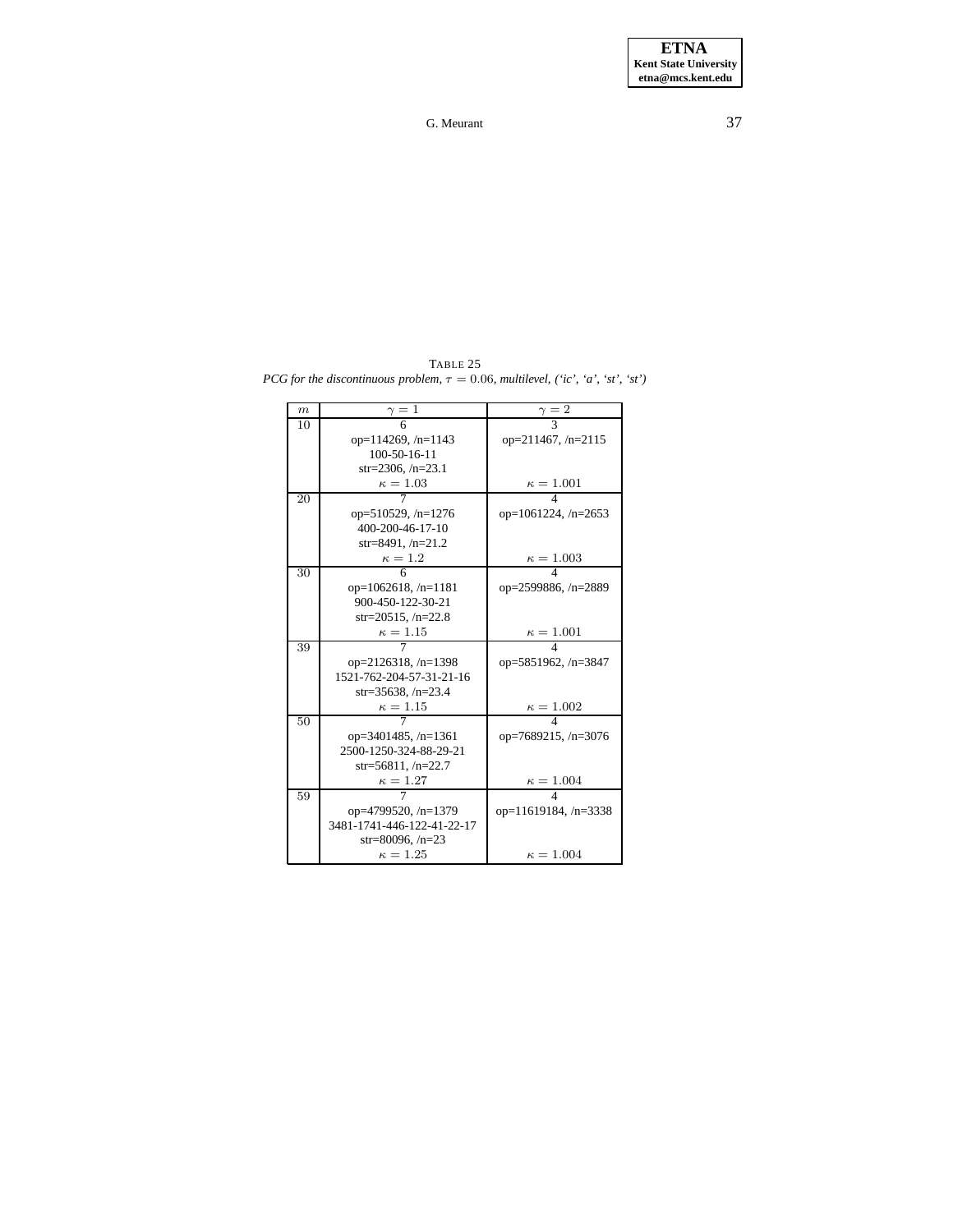<span id="page-36-0"></span>TABLE 25 *PCG for the discontinuous problem,*  $\tau = 0.06$ *, multilevel,* (*'ic', 'a', 'st', 'st'*)

| $\boldsymbol{m}$ | $\gamma=1$                 | $\gamma = 2$               |
|------------------|----------------------------|----------------------------|
| 10               |                            |                            |
|                  | op= $114269$ , /n= $1143$  | op=211467, /n=2115         |
|                  | $100 - 50 - 16 - 11$       |                            |
|                  | $str=2306, /n=23.1$        |                            |
|                  | $\kappa=1.03$              | $\frac{\kappa = 1.001}{4}$ |
| 20               |                            |                            |
|                  | op= $510529$ , /n= $1276$  | op= $1061224$ , /n= $2653$ |
|                  | 400-200-46-17-10           |                            |
|                  | $str=8491, /n=21.2$        |                            |
|                  | $\kappa=1.2$               | $\kappa = 1.003$           |
| 30               |                            | 4                          |
|                  | op= $1062618$ , /n= $1181$ | op=2599886, /n=2889        |
|                  | 900-450-122-30-21          |                            |
|                  | $str=20515, /n=22.8$       |                            |
|                  | $\kappa=1.15$              | $\kappa = 1.001$           |
| 39               |                            |                            |
|                  | op= $2126318$ , /n= $1398$ | op=5851962, /n=3847        |
|                  | 1521-762-204-57-31-21-16   |                            |
|                  | str=35638, $/n=23.4$       |                            |
|                  | $\kappa = 1.15$            | $\frac{\kappa = 1.002}{4}$ |
| 50               |                            |                            |
|                  | op=3401485, $/n=1361$      | op=7689215, /n=3076        |
|                  | 2500-1250-324-88-29-21     |                            |
|                  | str=56811, $/n=22.7$       |                            |
|                  | $\kappa = 1.27$            | $\kappa = 1.004$           |
| 59               |                            | 4                          |
|                  | op=4799520, /n=1379        | op=11619184, /n=3338       |
|                  | 3481-1741-446-122-41-22-17 |                            |
|                  | str=80096, $/n=23$         |                            |
|                  | $\kappa = 1.25$            | $\kappa = 1.004$           |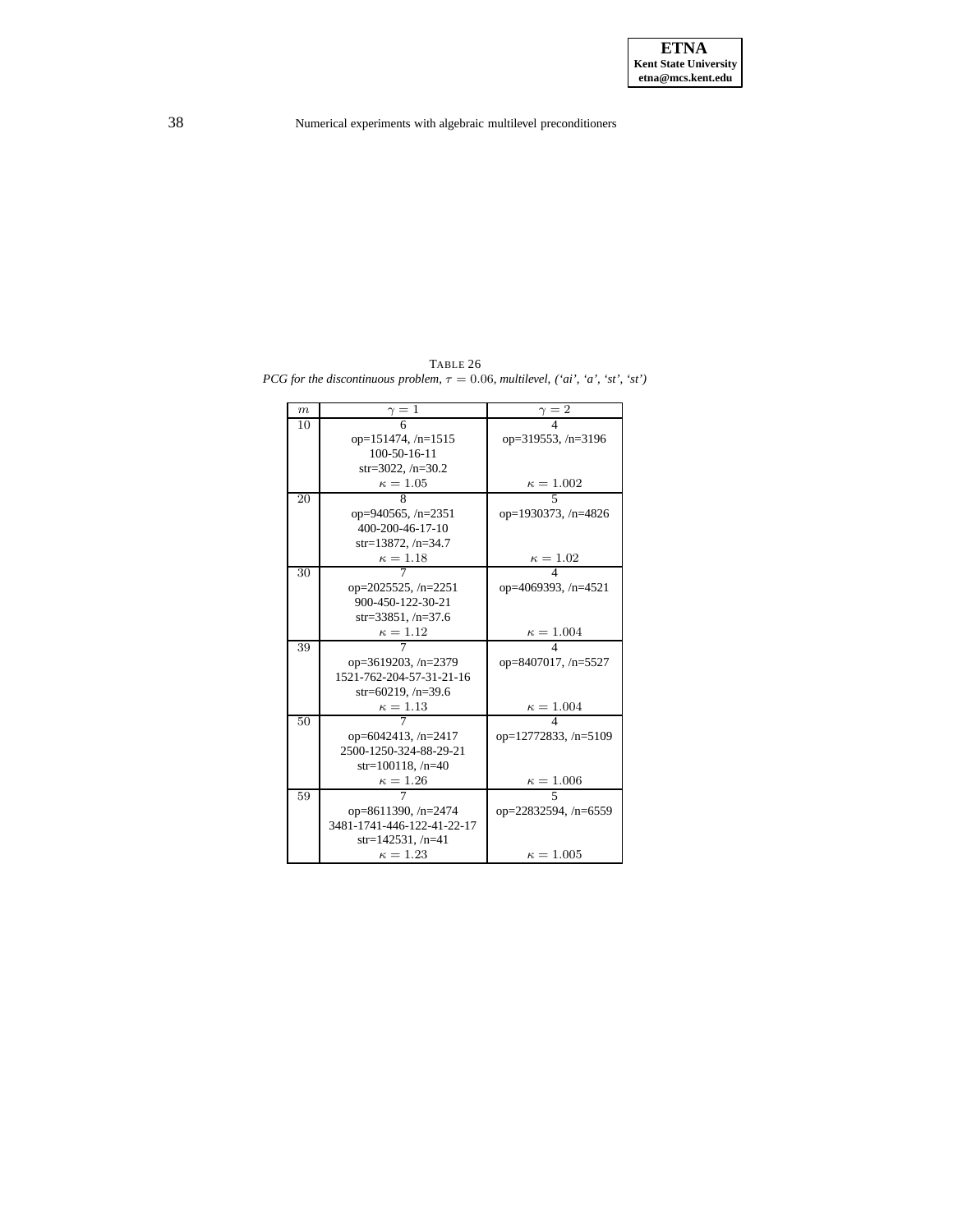<span id="page-37-0"></span>TABLE 26 *PCG for the discontinuous problem,*  $\tau = 0.06$ *, multilevel,*  $('ai', 'a', 'st', 'st')$ 

| $_{m}$ | $\gamma=1$                 | $\frac{\gamma}{4} = 2$     |
|--------|----------------------------|----------------------------|
| 10     |                            |                            |
|        | $op=151474, /n=1515$       | op=319553, $/n=3196$       |
|        | $100 - 50 - 16 - 11$       |                            |
|        | $str=3022, /n=30.2$        |                            |
|        | $\kappa=1.05$              | $\frac{\kappa = 1.002}{5}$ |
| 20     | 8                          |                            |
|        | op=940565, $/n=2351$       | op=1930373, /n=4826        |
|        | 400-200-46-17-10           |                            |
|        | $str=13872, /n=34.7$       |                            |
|        | $\kappa=1.18$              | $\kappa = 1.02$            |
| 30     |                            |                            |
|        | op=2025525, /n=2251        | op=4069393, /n=4521        |
|        | 900-450-122-30-21          |                            |
|        | str=33851, $/n=37.6$       |                            |
|        | $\kappa=1.12$              | $\kappa = 1.004$           |
| 39     |                            |                            |
|        | op=3619203, /n=2379        | op=8407017, /n=5527        |
|        | 1521-762-204-57-31-21-16   |                            |
|        | str=60219, $/n=39.6$       |                            |
|        | $\kappa=1.13$              | $\kappa = 1.004$           |
| 50     |                            |                            |
|        | op=6042413, $/n=2417$      | op= $12772833, n=5109$     |
|        | 2500-1250-324-88-29-21     |                            |
|        | str=100118, $/n=40$        |                            |
|        | $\kappa=1.26$              | $\kappa = 1.006$           |
| 59     |                            |                            |
|        | op=8611390, /n=2474        | op=22832594, /n=6559       |
|        | 3481-1741-446-122-41-22-17 |                            |
|        | str=142531, /n=41          |                            |
|        | $\kappa = 1.23$            | $\kappa = 1.005$           |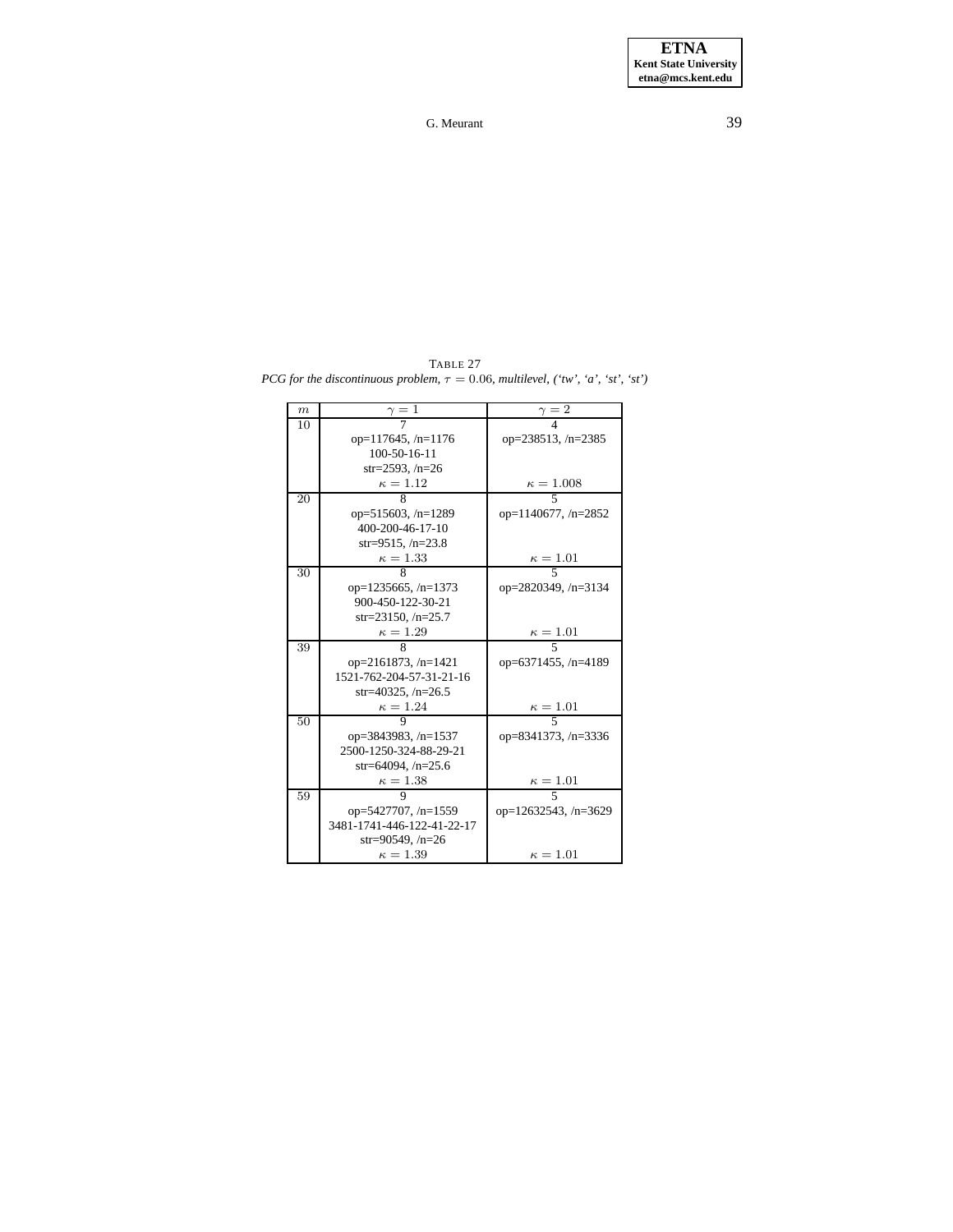<span id="page-38-0"></span>TABLE 27 *PCG for the discontinuous problem,*  $\tau = 0.06$ *, multilevel,* (*'tw', 'a', 'st', 'st'*)

| $\boldsymbol{m}$ | $\gamma=1$                 | $=2$                       |
|------------------|----------------------------|----------------------------|
| 10               |                            |                            |
|                  | op= $117645$ , /n= $1176$  | op= $238513$ , /n= $2385$  |
|                  | $100 - 50 - 16 - 11$       |                            |
|                  | $str=2593, /n=26$          |                            |
|                  | $\kappa=1.12$              | $\frac{\kappa = 1.008}{5}$ |
| 20               | 8                          |                            |
|                  | op=515603, /n=1289         | op= $1140677, n=2852$      |
|                  | 400-200-46-17-10           |                            |
|                  | str=9515, $/n=23.8$        |                            |
|                  | $\kappa=1.33$              | $\frac{\kappa = 1.01}{5}$  |
| 30               |                            |                            |
|                  | $op=1235665, /n=1373$      | op= $2820349$ , /n= $3134$ |
|                  | 900-450-122-30-21          |                            |
|                  | str=23150, $/n=25.7$       |                            |
|                  | $\kappa=1.29$              | $\frac{\kappa = 1.01}{5}$  |
| 39               |                            |                            |
|                  | op=2161873, /n=1421        | op=6371455, /n=4189        |
|                  | 1521-762-204-57-31-21-16   |                            |
|                  | str=40325, $/n=26.5$       |                            |
|                  | $\kappa = 1.24$            | $\kappa = 1.01$            |
| 50               | Q                          | 5                          |
|                  | op=3843983, /n=1537        | op=8341373, /n=3336        |
|                  | 2500-1250-324-88-29-21     |                            |
|                  | str=64094, $/n=25.6$       |                            |
|                  | $\kappa = 1.38$            | $\kappa = 1.01$            |
| 59               |                            |                            |
|                  | op=5427707, $/n=1559$      | op=12632543, /n=3629       |
|                  | 3481-1741-446-122-41-22-17 |                            |
|                  | $str=90549, n=26$          |                            |
|                  | $\kappa = 1.39$            | $\kappa = 1.01$            |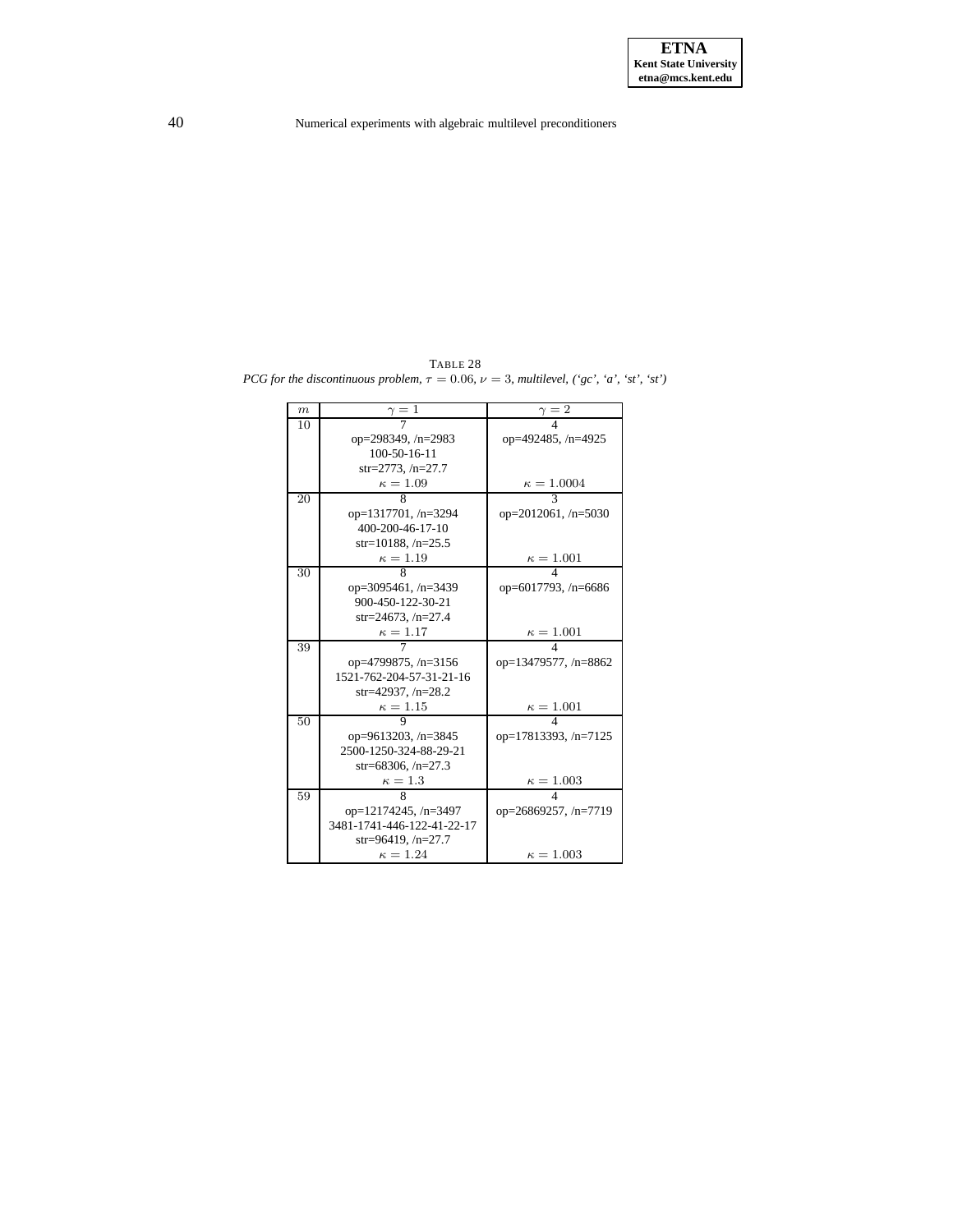<span id="page-39-0"></span>TABLE 28 *PCG for the discontinuous problem,*  $\tau = 0.06$ *,*  $\nu = 3$ *, multilevel,*  $({}^{6}gc, {}^{6}a', {}^{6}st', {}^{6}st')$ 

| $\boldsymbol{m}$ | $\gamma=1$                 | $\gamma=\bar 2$            |
|------------------|----------------------------|----------------------------|
| 10               |                            |                            |
|                  | op=298349, /n=2983         | op=492485, /n=4925         |
|                  | $100 - 50 - 16 - 11$       |                            |
|                  | $str=2773, /n=27.7$        |                            |
|                  | $\kappa = 1.09$            | $\kappa = 1.0004$          |
| 20               | 8                          | $\mathbf{3}$               |
|                  | op=1317701, /n=3294        | op= $2012061$ , /n= $5030$ |
|                  | 400-200-46-17-10           |                            |
|                  | str=10188, $/n=25.5$       |                            |
|                  | $\kappa = 1.19$            | $\kappa = 1.001$           |
| 30               | 8                          |                            |
|                  | op=3095461, /n=3439        | op=6017793, /n=6686        |
|                  | 900-450-122-30-21          |                            |
|                  | $str=24673, /n=27.4$       |                            |
|                  | $\kappa=1.17$              | $\kappa=1.001$             |
| 39               |                            |                            |
|                  | op=4799875, /n=3156        | op=13479577, /n=8862       |
|                  | 1521-762-204-57-31-21-16   |                            |
|                  | str=42937, $/n=28.2$       |                            |
|                  | $\kappa=1.15$              | $\kappa = 1.001$           |
| 50               |                            | 4                          |
|                  | op=9613203, /n=3845        | op=17813393, /n=7125       |
|                  | 2500-1250-324-88-29-21     |                            |
|                  | str=68306, $/n=27.3$       |                            |
|                  | $\kappa=1.3$               | $\kappa = 1.003$           |
| 59               | 8                          |                            |
|                  | $op=12174245$ , /n=3497    | op=26869257, /n=7719       |
|                  | 3481-1741-446-122-41-22-17 |                            |
|                  | str=96419, $/n=27.7$       |                            |
|                  | $\kappa = 1.24$            | $\kappa = 1.003$           |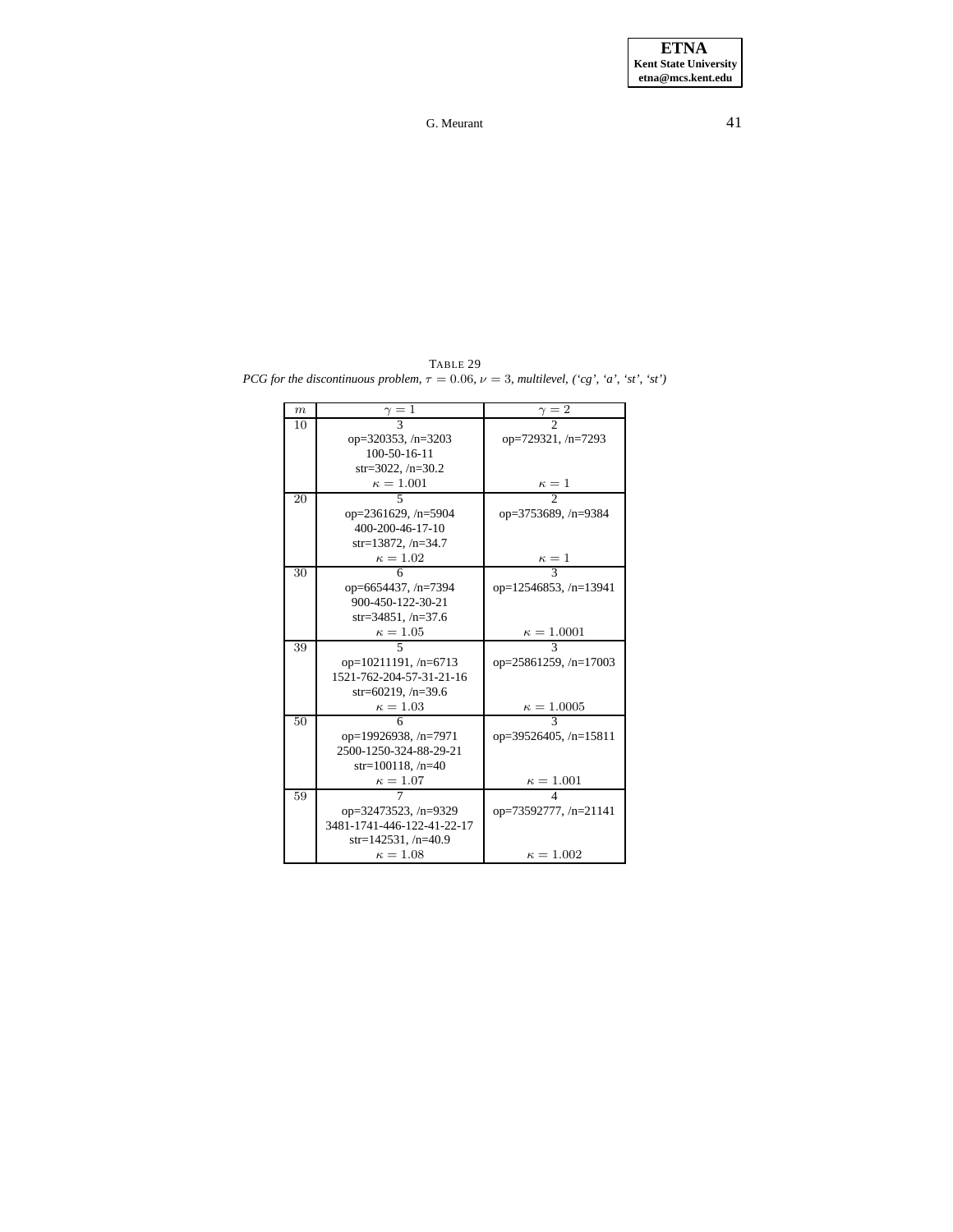<span id="page-40-0"></span>TABLE 29 *PCG for the discontinuous problem,*  $\tau = 0.06$ *,*  $\nu = 3$ *, multilevel,*  $({}^{\cdot}cg, \; 'a', \; 'st', \; 'st')$ 

| $\boldsymbol{m}$ | $\frac{\gamma}{3} = 1$     | $\gamma=2$              |
|------------------|----------------------------|-------------------------|
| 10               |                            |                         |
|                  | op=320353, /n=3203         | op=729321, /n=7293      |
|                  | 100-50-16-11               |                         |
|                  | $str=3022, /n=30.2$        |                         |
|                  | $\kappa = 1.001$           | $\frac{\kappa-1}{2}$    |
| 20               | 5                          |                         |
|                  | op=2361629, /n=5904        | op=3753689, /n=9384     |
|                  | 400-200-46-17-10           |                         |
|                  | $str=13872, /n=34.7$       |                         |
|                  | $\kappa=1.02$              | $\frac{\kappa=1}{3}$    |
| 30               | 6                          |                         |
|                  | op=6654437, /n=7394        | op=12546853, /n=13941   |
|                  | 900-450-122-30-21          |                         |
|                  | str=34851, $/n=37.6$       |                         |
|                  | $\kappa=1.05$              | $\kappa = 1.0001$       |
| 39               |                            | 3                       |
|                  | op=10211191, /n=6713       | op=25861259, /n=17003   |
|                  | 1521-762-204-57-31-21-16   |                         |
|                  | str=60219, $/n=39.6$       |                         |
|                  | $\kappa=1.03$              | $\kappa = 1.0005$       |
| 50               | 6                          | $\mathbf{3}$            |
|                  | op=19926938, /n=7971       | op=39526405, $/n=15811$ |
|                  | 2500-1250-324-88-29-21     |                         |
|                  | str=100118, $/n=40$        |                         |
|                  | $\kappa=1.07$              | $\kappa = 1.001$        |
| 59               |                            |                         |
|                  | op=32473523, /n=9329       | op=73592777, /n=21141   |
|                  | 3481-1741-446-122-41-22-17 |                         |
|                  | $str=142531, /n=40.9$      |                         |
|                  | $\kappa = 1.08$            | $\kappa = 1.002$        |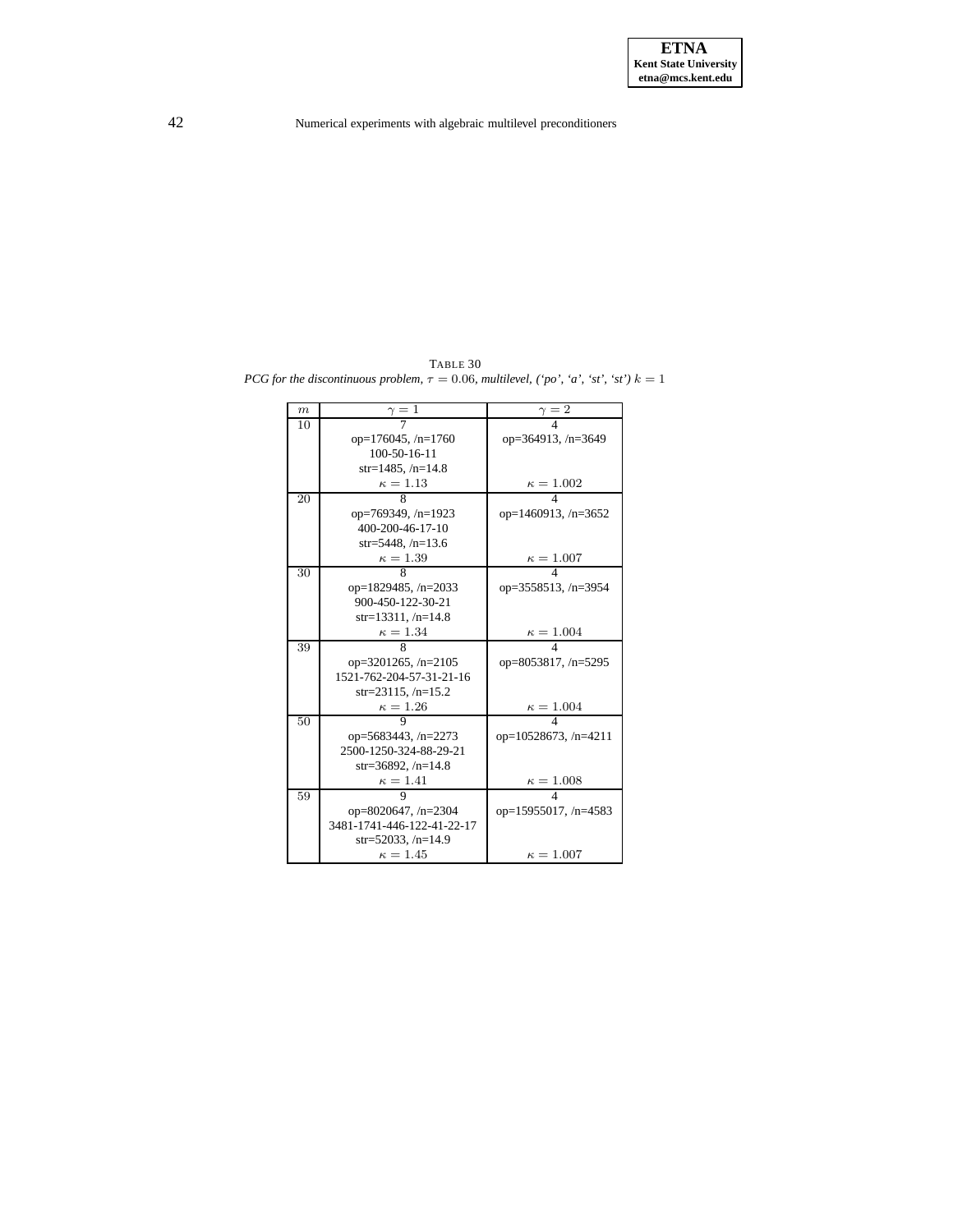<span id="page-41-0"></span>TABLE 30 *PCG for the discontinuous problem,*  $\tau = 0.06$ *, multilevel, ('po', 'a', 'st', 'st')*  $k = 1$ 

| $\boldsymbol{m}$ | $\gamma=1$                 | $\gamma = 2$                |
|------------------|----------------------------|-----------------------------|
| 10               |                            |                             |
|                  | op= $176045$ , /n= $1760$  | op=364913, $/n=3649$        |
|                  | 100-50-16-11               |                             |
|                  | $str=1485, /n=14.8$        |                             |
|                  | $\kappa=1.13$              | $\kappa = 1.002$            |
| 20               | 8                          | 4                           |
|                  | op=769349, /n=1923         | op=1460913, $/n=3652$       |
|                  | 400-200-46-17-10           |                             |
|                  | str=5448, $/n=13.6$        |                             |
|                  | $\kappa=1.39$              | $\kappa = 1.007$            |
| 30               | 8                          |                             |
|                  | op=1829485, $/n=2033$      | op= $3558513$ , /n= $3954$  |
|                  | 900-450-122-30-21          |                             |
|                  | str=13311, $/n=14.8$       |                             |
|                  | $\kappa = 1.34$            | $\kappa = 1.004$            |
| 39               | 8                          |                             |
|                  | op=3201265, $/n=2105$      | op=8053817, /n=5295         |
|                  | 1521-762-204-57-31-21-16   |                             |
|                  | $str=23115, /n=15.2$       |                             |
|                  | $\kappa = 1.26$            | $\kappa = 1.004$            |
| 50               |                            | $\overline{4}$              |
|                  | op=5683443, /n=2273        | op= $10528673$ , /n= $4211$ |
|                  | 2500-1250-324-88-29-21     |                             |
|                  | $str=36892, /n=14.8$       |                             |
|                  | $\kappa=1.41$              | $\kappa=1.008$              |
| 59               |                            |                             |
|                  | op=8020647, /n=2304        | op=15955017, /n=4583        |
|                  | 3481-1741-446-122-41-22-17 |                             |
|                  | $str=52033, /n=14.9$       |                             |
|                  | $\kappa = 1.45$            | $\kappa = 1.007$            |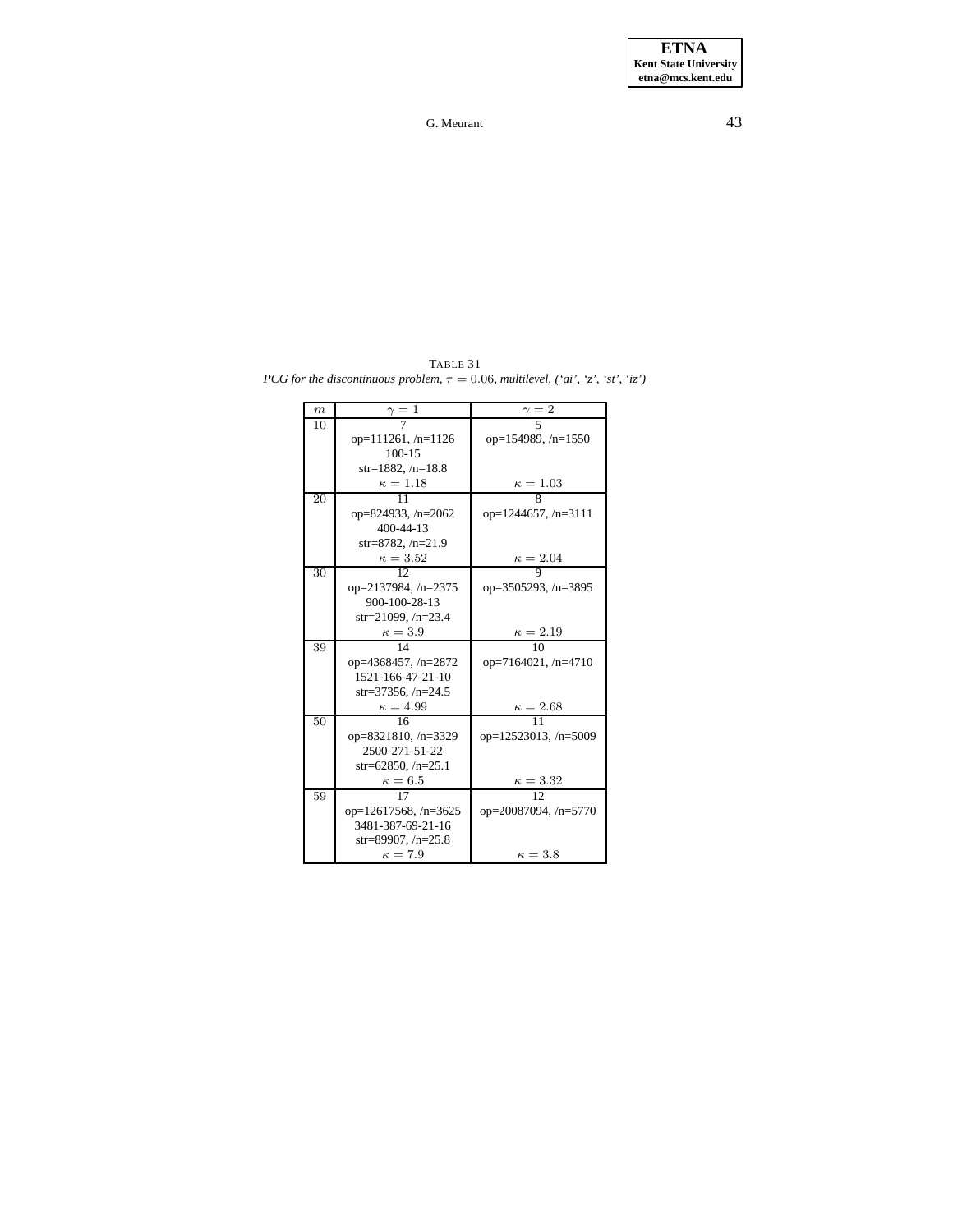<span id="page-42-0"></span>TABLE 31 *PCG for the discontinuous problem,*  $\tau = 0.06$ *, multilevel,*  $('ai', 'z', 'st', 'iz')$ 

| m  | $\gamma=1$                  | $\gamma = 2$                |
|----|-----------------------------|-----------------------------|
| 10 |                             |                             |
|    | op= $111261, n=1126$        | op= $154989, n=1550$        |
|    | $100 - 15$                  |                             |
|    | str=1882, $/n=18.8$         |                             |
|    | $\kappa=1.18$               | $\kappa=1.03$               |
| 20 | 11                          | 8                           |
|    | op=824933, /n=2062          | op= $1244657$ , /n= $3111$  |
|    | $400 - 44 - 13$             |                             |
|    | str=8782, $/n=21.9$         |                             |
|    | $\kappa=3.52$               | $\kappa = 2.04$             |
| 30 | 12                          | 9                           |
|    | op=2137984, /n=2375         | op= $3505293$ , /n= $3895$  |
|    | 900-100-28-13               |                             |
|    | $str=21099, /n=23.4$        |                             |
|    | $\kappa = 3.9$              | $\kappa=2.19$               |
| 39 | 14                          | 10                          |
|    | op= $4368457$ , /n= $2872$  | op=7164021, $/n=4710$       |
|    | 1521-166-47-21-10           |                             |
|    | str=37356, $/n=24.5$        |                             |
|    | $\kappa = 4.99$             | $\frac{\kappa = 2.68}{11}$  |
| 50 | 16                          |                             |
|    | op=8321810, $/n=3329$       | op= $12523013$ , /n= $5009$ |
|    | 2500-271-51-22              |                             |
|    | $str=62850, /n=25.1$        |                             |
|    | $\kappa = 6.5$              | $\kappa = 3.32$             |
| 59 | 17                          | 12                          |
|    | op= $12617568$ , /n= $3625$ | op= $20087094$ , /n= $5770$ |
|    | 3481-387-69-21-16           |                             |
|    | str=89907, $/n=25.8$        |                             |
|    | $\kappa = 7.9$              | $\kappa = 3.8$              |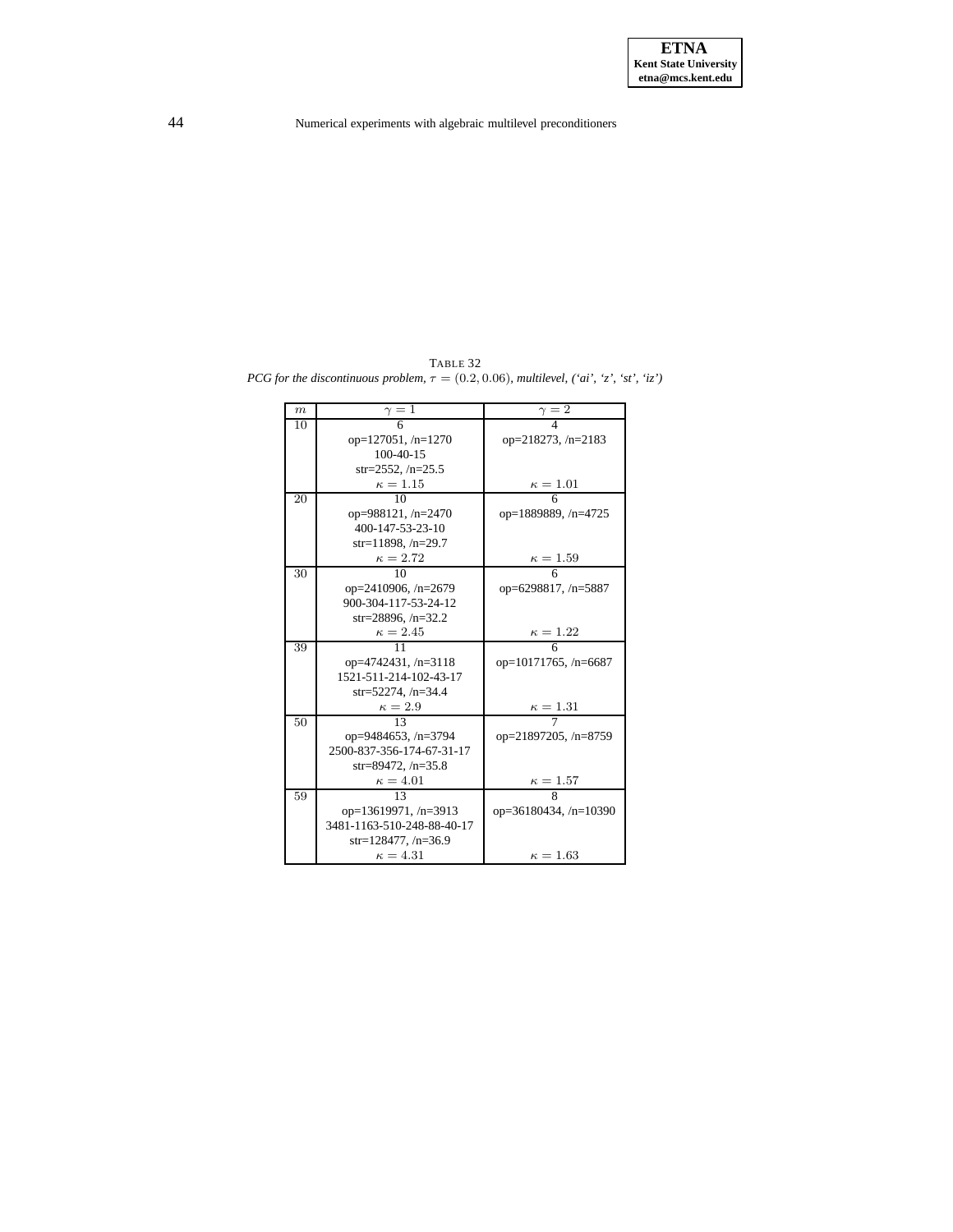<span id="page-43-0"></span>TABLE 32 *PCG for the* discontinuous problem,  $\tau = (0.2, 0.06)$ *, multilevel,*  $('ai', 'z', 'st', 'iz')$ 

| $\boldsymbol{m}$ | $\gamma=1$                 | $\gamma=2$                   |
|------------------|----------------------------|------------------------------|
| 10               | 6                          | $\overline{4}$               |
|                  | $op=127051, n=1270$        | op= $218273, n=2183$         |
|                  | $100-40-15$                |                              |
|                  | $str=2552, /n=25.5$        |                              |
|                  | $\kappa=1.15$              | $\kappa=1.01$                |
| 20               | 10                         | 6                            |
|                  | op=988121, $/n=2470$       | op=1889889, /n=4725          |
|                  | 400-147-53-23-10           |                              |
|                  | $str=11898, /n=29.7$       |                              |
|                  | $\kappa = 2.72$            | $\kappa = 1.59$              |
| 30               | 10                         | 6                            |
|                  | op=2410906, /n=2679        | op=6298817, /n=5887          |
|                  | 900-304-117-53-24-12       |                              |
|                  | str=28896, $/n=32.2$       |                              |
|                  | $\kappa = 2.45$            | $\kappa = 1.22$              |
| 39               | 11                         | 6                            |
|                  | op= $4742431$ , /n= $3118$ | op= $10171765$ , /n= $6687$  |
|                  | 1521-511-214-102-43-17     |                              |
|                  | str=52274, $/n=34.4$       |                              |
|                  | $\kappa=2.9$               | $\kappa = 1.31$              |
| 50               | 13                         |                              |
|                  | op=9484653, /n=3794        | op=21897205, /n=8759         |
|                  | 2500-837-356-174-67-31-17  |                              |
|                  | $str=89472, /n=35.8$       |                              |
|                  | $\kappa = 4.01$            | $\kappa = 1.57$              |
| 59               | 13                         | 8                            |
|                  | op=13619971, /n=3913       | op= $36180434$ , /n= $10390$ |
|                  | 3481-1163-510-248-88-40-17 |                              |
|                  | $str=128477, /n=36.9$      |                              |
|                  | $\kappa = 4.31$            | $\kappa = 1.63$              |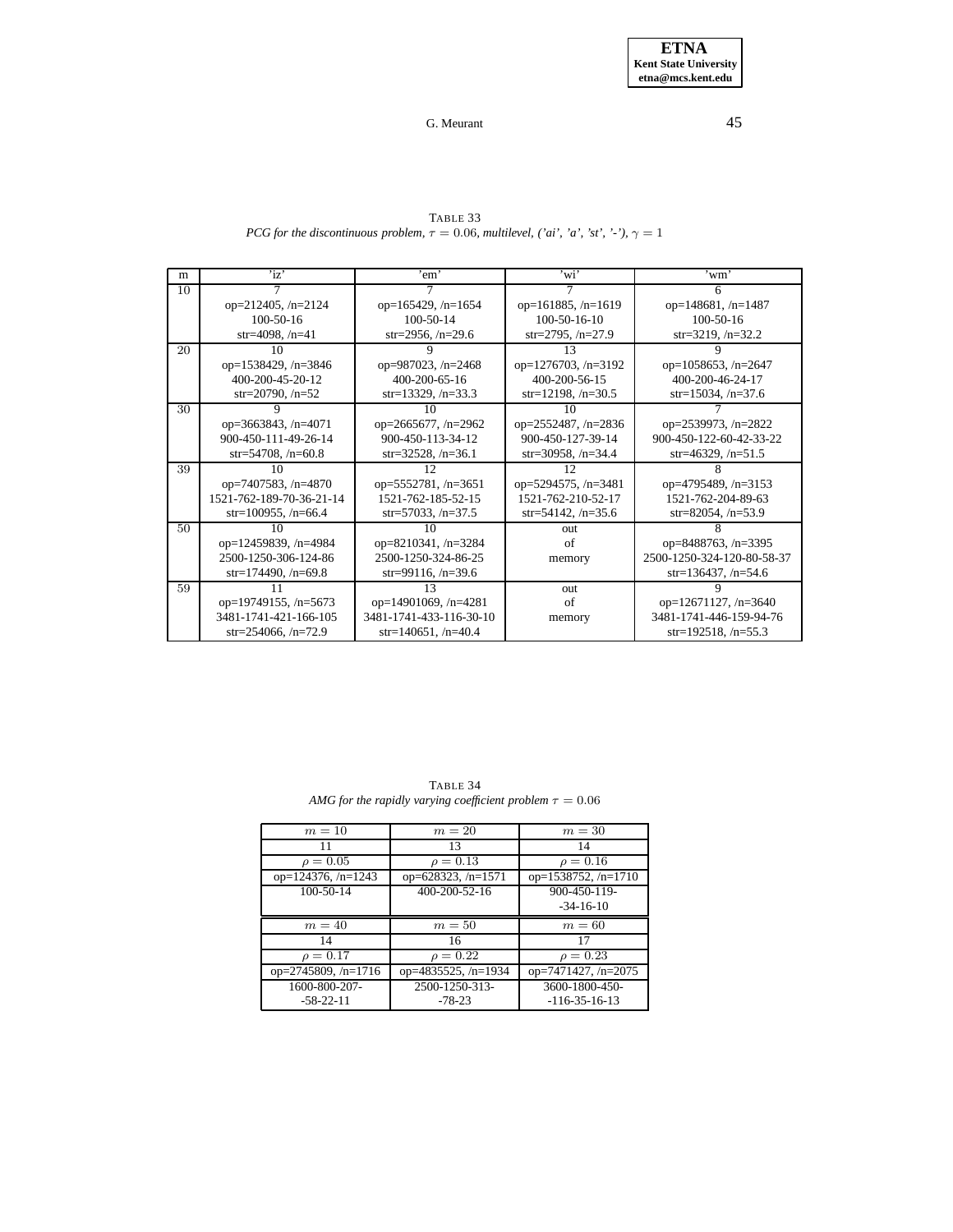<span id="page-44-0"></span>m | 'iz' | 'em' | 'wi' | 'wm' 10 | 7 | 7 | 7 | 6 op=212405, /n=2124 op=165429, /n=1654 op=161885, /n=1619 op=148681, /n=1487 100-50-16 100-50-14 100-50-16 100-50-16 100-50-16 100-50-16 100-50-16 100-50-16 100-50-16  $\begin{array}{c|c}\n6, \text{/n=29.6} \\
\hline\n9 & 13\n\end{array}$  str=3219,  $\begin{array}{c}\n\text{str=3219,} \\
\text{str=3219,} \\
\hline\n\end{array}$ 20 | 10 | 9 | 13 | 9 op=1538429, /n=3846 op=987023, /n=2468 op=1276703, /n=3192 op=1058653, /n=2647<br>400-200-45-20-12 400-200-65-16 400-200-56-15 400-200-46-24-17  $400-200-45-20-12$   $400-200-65-16$   $400-200-56-15$   $400-200-46-24-17$ <br> $8 \text{tr} = 2198, \text{ m} = 33.5$   $8 \text{tr} = 15034, \text{ m} = 37.6$  $str=13329, /n=33.3$ 30 9 10 10 10 7 op=3663843, /n=4071 op=2665677, /n=2962 op=2552487, /n=2836 op=2539973, /n=2822 900-450-111-49-26-14 900-450-113-34-12 900-450-113-34-12 str=54708, /n=60.8 str=32528, /n=36.1 str=30958, /n=34.4 str=46329, /n=51.5  $str=32528, /n=36.1$ 39 10 12 12 12 8 op=7407583, /n=4870 op=5552781, /n=3651 op=5294575, /n=3481 op=4795489, /n=3153 1521-762-189-70-36-21-14 1521-762-185-52-15 1521-762-210-52-17 1521-762-204-89-63<br>str=100955, /n=66.4 str=57033, /n=37.5 1521-762-210-53.6 str=82054, /n=53.9  $str=57033, /n=37.5$   $str=54142, /n=35.6$ 50 10 10 10 out 8 op=12459839, /n=4984 op=8210341, /n=3284 of op=8488763, /n=3395 2500-1250-306-124-86 2500-1250-324-86-25 memory 2500-1250-324-120-80-58-37 str=174490, /n=69.8 str=99116, /n=39.6 str=174490, /n=69.8 59 11 13 out 9 op=19749155, /n=5673 op=14901069, /n=4281 of op=12671127, /n=3640<br>3481-1741-421-166-105 3481-1741-433-116-30-10 memory 3481-1741-446-159-94-76  $\frac{3481-1741-421-166-105}{3481-1741-433-116-30-10}$  memory 3481-1741-446-159-94-7<br>str=254066, /n=72.9 str=140651, /n=40.4 str=192518, /n=55.3  $str=140651, /n=40.4$ 

TABLE 33 *PCG for the discontinuous problem,*  $\tau = 0.06$ *, multilevel, ('ai', 'a', 'st', '-'),*  $\gamma = 1$ 

| TABLE 34                                                      |  |  |
|---------------------------------------------------------------|--|--|
| AMG for the rapidly varying coefficient problem $\tau = 0.06$ |  |  |

<span id="page-44-1"></span>

| $m=10$               | $m=20$                     | $m=30$              |
|----------------------|----------------------------|---------------------|
| 11                   | 13                         | 14                  |
| $\rho = 0.05$        | $\rho = 0.13$              | $\rho = 0.16$       |
| op=124376, $/n=1243$ | op= $628323, n=1571$       | op=1538752, /n=1710 |
| 100-50-14            | 400-200-52-16              | 900-450-119-        |
|                      |                            | $-34-16-10$         |
| $m=40$               | $m=50$                     | $m=60$              |
|                      |                            |                     |
| 14                   | 16                         | 17                  |
| $\rho = 0.17$        | $\rho = 0.22$              | $\rho = 0.23$       |
| op=2745809, /n=1716  | op= $4835525$ , /n= $1934$ | op=7471427, /n=2075 |
| 1600-800-207-        | 2500-1250-313-             | 3600-1800-450-      |
| $-58-22-11$          | $-78-23$                   | $-116-35-16-13$     |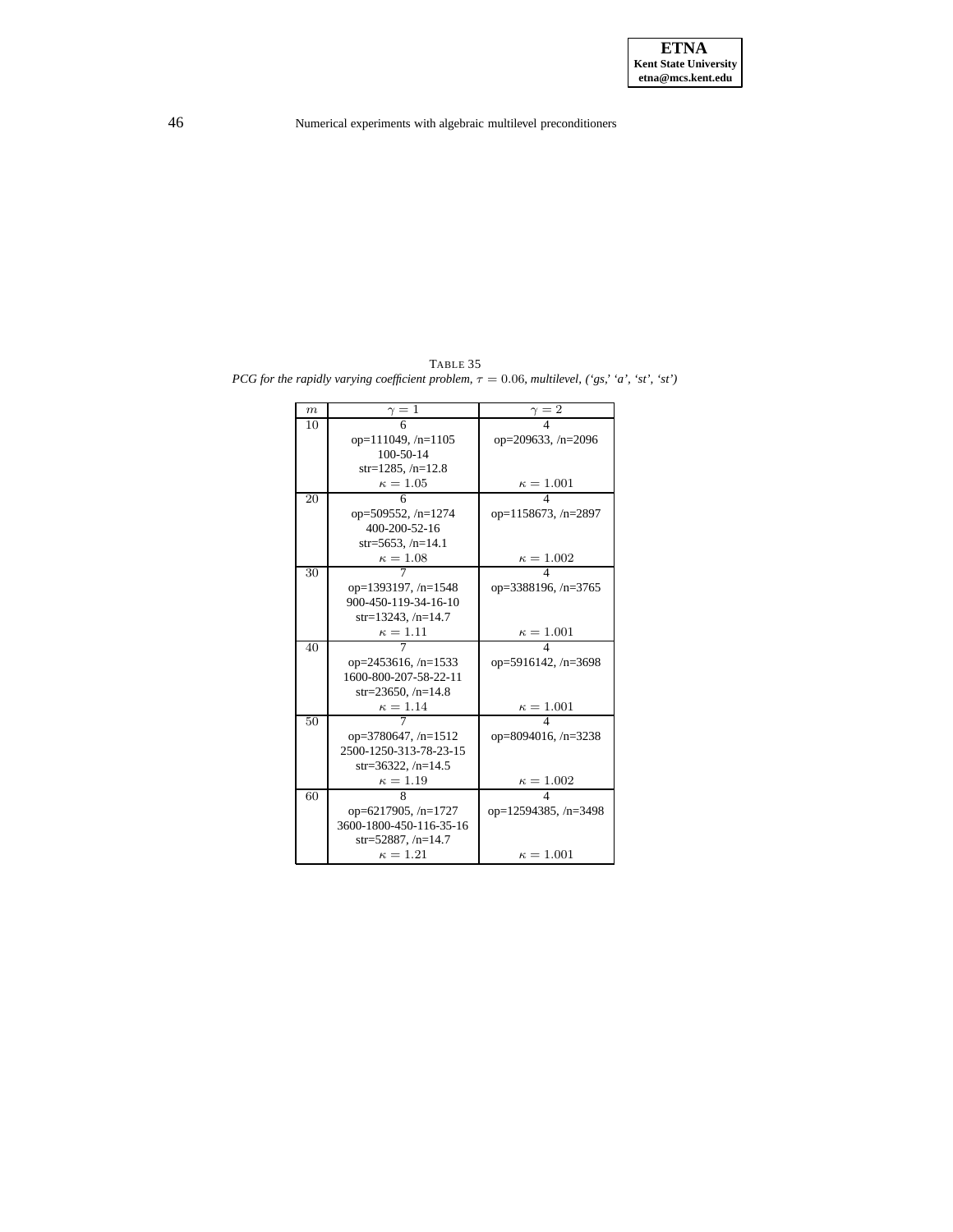<span id="page-45-0"></span>TABLE 35 *PCG for* the rapidly varying *coefficient problem,*  $\tau = 0.06$ *, multilevel,* ('gs,' 'a', 'st', 'st')

| $_{m}$ | $\gamma=1$                 | $\gamma=\bar{2}$            |
|--------|----------------------------|-----------------------------|
| 10     | 6                          |                             |
|        | op= $111049$ , /n= $1105$  | op=209633, /n=2096          |
|        | $100 - 50 - 14$            |                             |
|        | $str=1285, /n=12.8$        |                             |
|        | $\kappa=1.05$              | $\kappa = 1.001$            |
| 20     | 6                          | 4                           |
|        | op=509552, /n=1274         | op=1158673, /n=2897         |
|        | 400-200-52-16              |                             |
|        | str=5653, $/n=14.1$        |                             |
|        | $\kappa=1.08$              | $\kappa = 1.002$            |
| 30     |                            | 4                           |
|        | op=1393197, /n=1548        | op=3388196, /n=3765         |
|        | 900-450-119-34-16-10       |                             |
|        | str=13243, $/n=14.7$       |                             |
|        | $\kappa = 1.11$            | $\kappa=1.001$              |
| 40     |                            | 4                           |
|        | op= $2453616$ , /n= $1533$ | op=5916142, $/n=3698$       |
|        | 1600-800-207-58-22-11      |                             |
|        | str=23650, $/n=14.8$       |                             |
|        | $\kappa = 1.14$            | $\kappa = 1.001$            |
| 50     |                            | 4                           |
|        | op= $3780647$ , /n= $1512$ | op=8094016, /n=3238         |
|        | 2500-1250-313-78-23-15     |                             |
|        | $str=36322, /n=14.5$       |                             |
|        | $\kappa=1.19$              | $\kappa=1.002$              |
| 60     | 8                          | 4                           |
|        | op=6217905, $/n=1727$      | op= $12594385$ , /n= $3498$ |
|        | 3600-1800-450-116-35-16    |                             |
|        | str=52887, $/n=14.7$       |                             |
|        | $\kappa = 1.21$            | $\kappa = 1.001$            |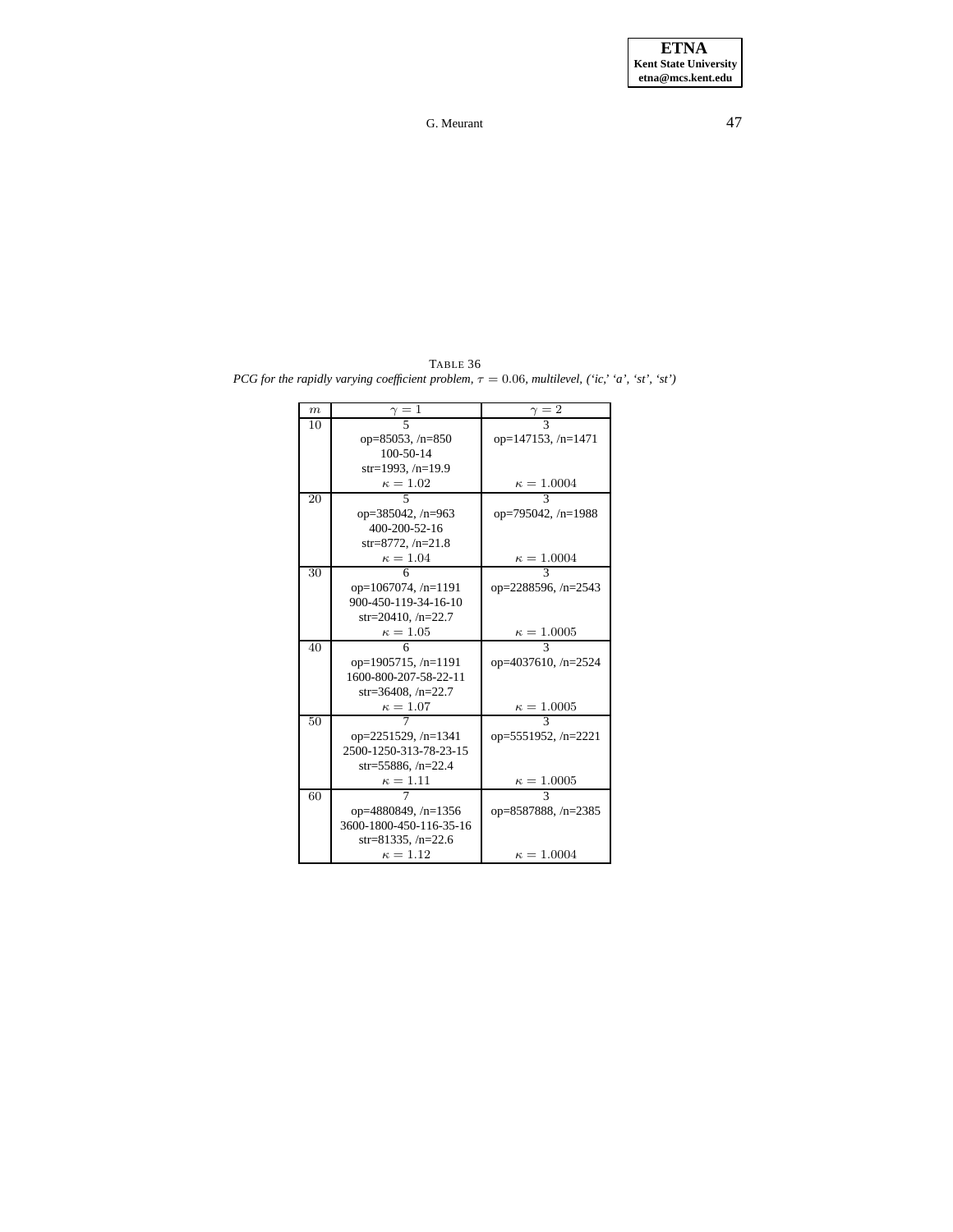TABLE 36 *PCG for the rapidly varying coefficient problem,*  $\tau = 0.06$ *, multilevel,* ('*ic,'* '*a',* '*st'*, '*st'*)

| $_{m}$ | $\gamma=1$                 | $\gamma = 2$               |
|--------|----------------------------|----------------------------|
| 10     | 5                          |                            |
|        | op=85053, $/n=850$         | op=147153, /n=1471         |
|        | $100 - 50 - 14$            |                            |
|        | str=1993, $/n=19.9$        |                            |
|        | $\kappa=1.02$              | $\kappa = 1.0004$          |
| 20     | 5                          | 3                          |
|        | op=385042, $/n=963$        | op=795042, /n=1988         |
|        | 400-200-52-16              |                            |
|        | str=8772, $/n=21.8$        |                            |
|        | $\kappa = 1.04$            | $\kappa = 1.0004$          |
| 30     | 6                          |                            |
|        | op= $1067074$ , /n= $1191$ | op= $2288596$ , /n= $2543$ |
|        | 900-450-119-34-16-10       |                            |
|        | $str=20410, /n=22.7$       |                            |
|        | $\kappa = 1.05$            | $\kappa = 1.0005$          |
| 40     | 6                          |                            |
|        | op=1905715, $/n=1191$      | op= $4037610$ , /n= $2524$ |
|        | 1600-800-207-58-22-11      |                            |
|        | $str=36408, /n=22.7$       |                            |
|        | $\kappa = 1.07$            | $\kappa=1.0005$            |
| 50     |                            | 3                          |
|        | op= $2251529$ , /n= $1341$ | op=5551952, /n=2221        |
|        | 2500-1250-313-78-23-15     |                            |
|        | str=55886, $/n=22.4$       |                            |
|        | $\kappa = 1.11$            | $\kappa = 1.0005$          |
| 60     |                            |                            |
|        | op= $4880849$ , /n= $1356$ | op=8587888, /n=2385        |
|        | 3600-1800-450-116-35-16    |                            |
|        | str=81335, $/n=22.6$       |                            |
|        | $\kappa=1.12$              | $\kappa = 1.0004$          |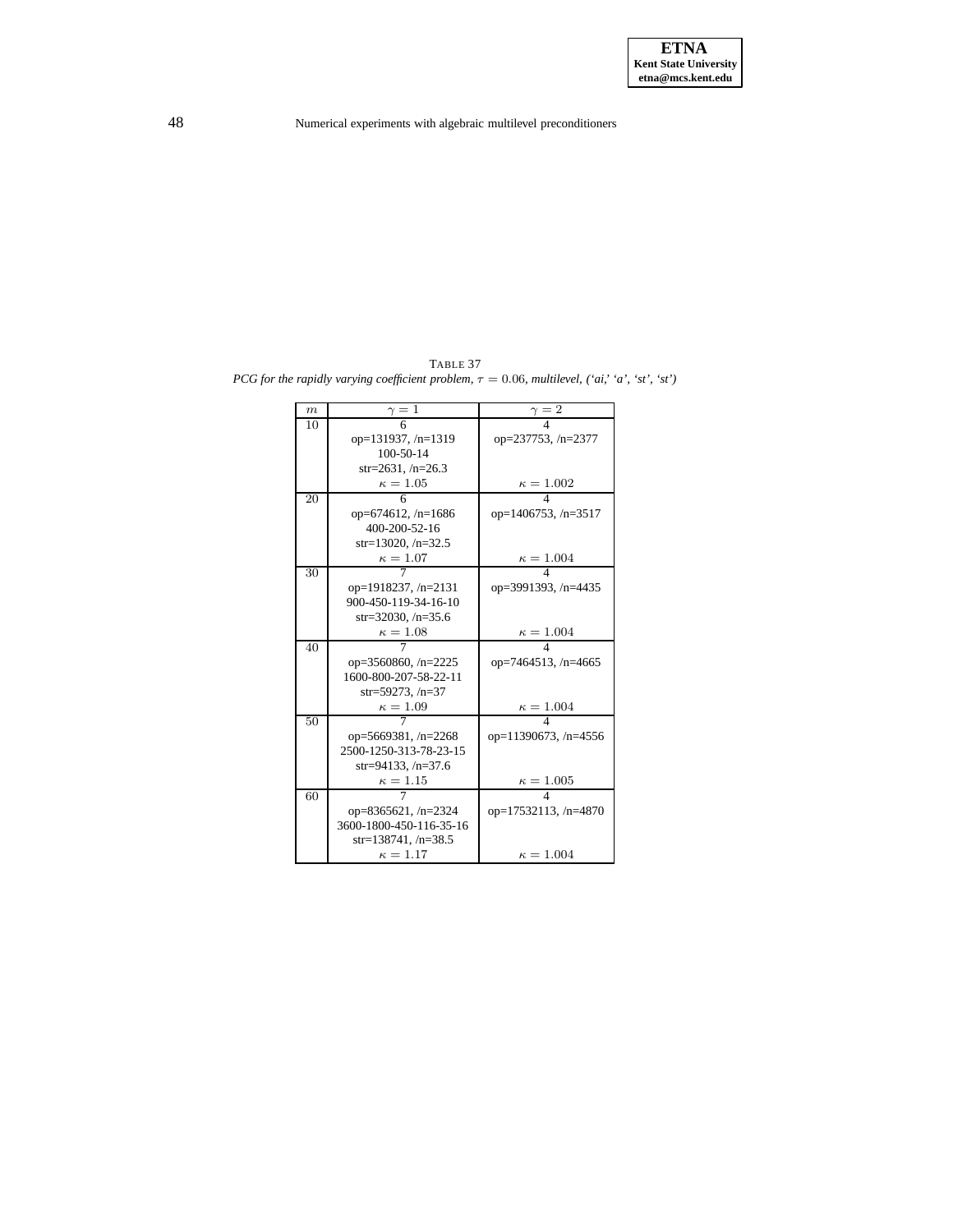TABLE 37 *PCG for the rapidly varying coefficient problem,*  $\tau = 0.06$ *, multilevel,*  $('ai,' a', 'st', 'st')$ 

| $\boldsymbol{m}$ | $\gamma=1$              | $\gamma = 2$                |
|------------------|-------------------------|-----------------------------|
| 10               | 6                       |                             |
|                  | op=131937, /n=1319      | op= $237753$ , /n= $2377$   |
|                  | $100 - 50 - 14$         |                             |
|                  | $str=2631, /n=26.3$     |                             |
|                  | $\kappa=1.05$           | $\kappa = 1.002$            |
| 20               | 6                       | 4                           |
|                  | op=674612, $/n=1686$    | op= $1406753$ , /n= $3517$  |
|                  | 400-200-52-16           |                             |
|                  | $str=13020, /n=32.5$    |                             |
|                  | $\kappa=1.07$           | $\kappa = 1.004$            |
| 30               |                         | 4                           |
|                  | op=1918237, /n=2131     | op=3991393, /n=4435         |
|                  | 900-450-119-34-16-10    |                             |
|                  | str=32030, $/n=35.6$    |                             |
|                  | $\kappa=1.08$           | $\kappa = 1.004$            |
| 40               |                         | $\overline{4}$              |
|                  | op=3560860, /n=2225     | op=7464513, /n=4665         |
|                  | 1600-800-207-58-22-11   |                             |
|                  | $str=59273, /n=37$      |                             |
|                  | $\kappa=1.09$           | $\kappa = 1.004$            |
| 50               |                         |                             |
|                  | op=5669381, $/n=2268$   | op= $11390673$ , /n= $4556$ |
|                  | 2500-1250-313-78-23-15  |                             |
|                  | str=94133, $/n=37.6$    |                             |
|                  | $\kappa=1.15$           | $\kappa = 1.005$            |
| 60               |                         | $\overline{\mathbf{A}}$     |
|                  | op=8365621, $/n=2324$   | $op=17532113, /n=4870$      |
|                  | 3600-1800-450-116-35-16 |                             |
|                  | str=138741, $/n=38.5$   |                             |
|                  | $\kappa = 1.17$         | $\kappa = 1.004$            |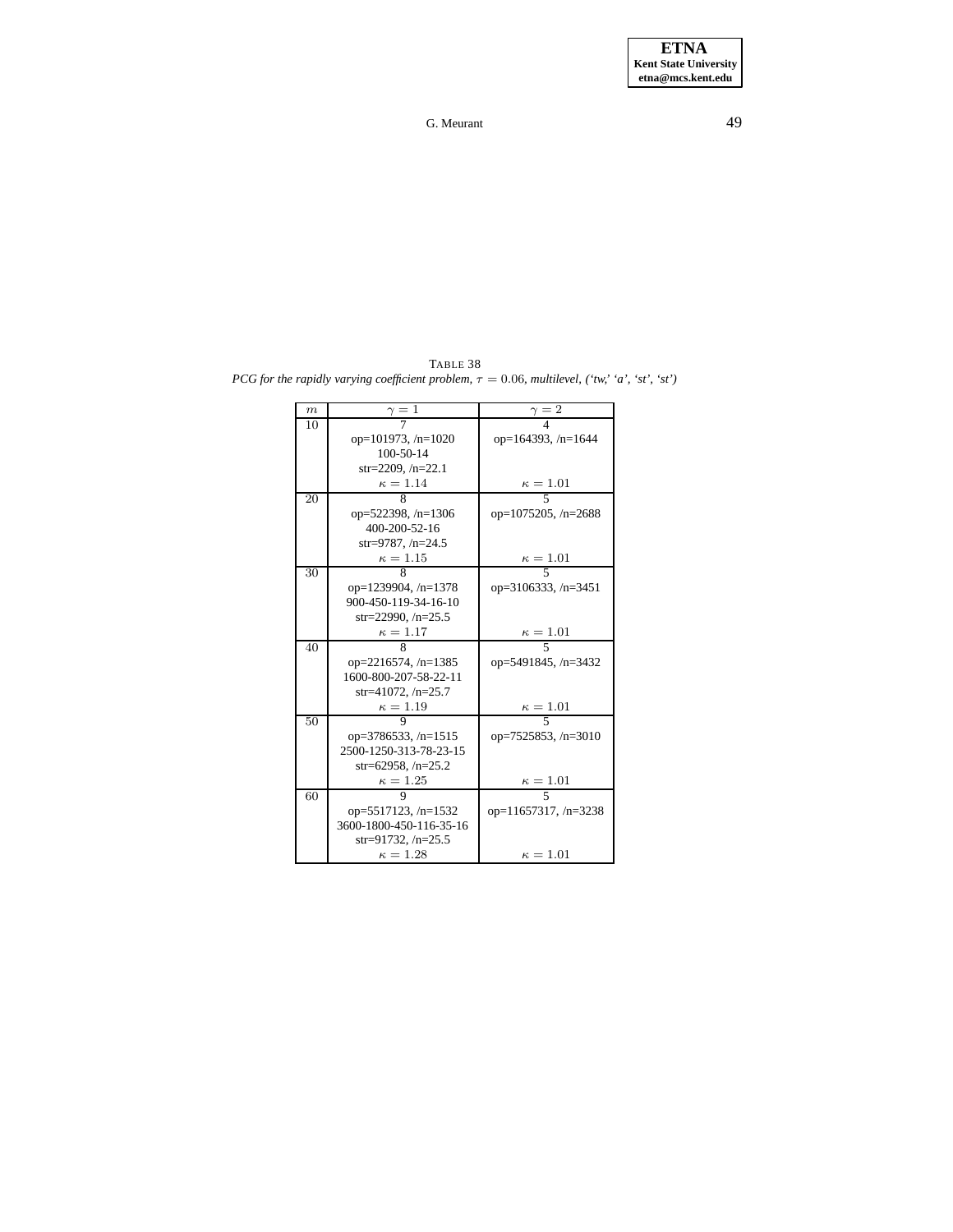TABLE 38 *PCG for* the rapidly varying *coefficient problem,*  $\tau = 0.06$ *, multilevel,* ('tw,' 'a', 'st', 'st')

| m  | $\gamma=1$                | $\gamma = 2$                |
|----|---------------------------|-----------------------------|
| 10 |                           |                             |
|    | op=101973, $/n=1020$      | op=164393, /n=1644          |
|    | $100 - 50 - 14$           |                             |
|    | $str=2209, n=22.1$        |                             |
|    | $\kappa = 1.14$           | $\kappa=1.01$               |
| 20 | 8                         | $\overline{\phantom{1}}$    |
|    | op= $522398$ , /n= $1306$ | op= $1075205$ , /n= $2688$  |
|    | 400-200-52-16             |                             |
|    | $str=9787, /n=24.5$       |                             |
|    | $\kappa=1.15$             | $\kappa = 1.01$             |
| 30 | 8                         | 5                           |
|    | op=1239904, /n=1378       | op= $3106333, n=3451$       |
|    | 900-450-119-34-16-10      |                             |
|    | str=22990, $/n=25.5$      |                             |
|    | $\kappa=1.17$             | $\frac{\kappa = 1.01}{5}$   |
| 40 | 8                         |                             |
|    | $op=2216574, n=1385$      | op=5491845, /n=3432         |
|    | 1600-800-207-58-22-11     |                             |
|    | str=41072, $/n=25.7$      |                             |
|    | $\kappa=1.19$             | $\frac{\kappa = 1.01}{5}$   |
| 50 | Q                         |                             |
|    | op=3786533, $/n=1515$     | op=7525853, $/n=3010$       |
|    | 2500-1250-313-78-23-15    |                             |
|    | str=62958, $/n=25.2$      |                             |
|    | $\kappa = 1.25$           | $\kappa=1.01$               |
| 60 | 9                         | $\overline{\phantom{0}}$    |
|    | $op=5517123, n=1532$      | op= $11657317$ , /n= $3238$ |
|    | 3600-1800-450-116-35-16   |                             |
|    | str=91732, $/n=25.5$      |                             |
|    | $\kappa = 1.28$           | $\kappa=1.01$               |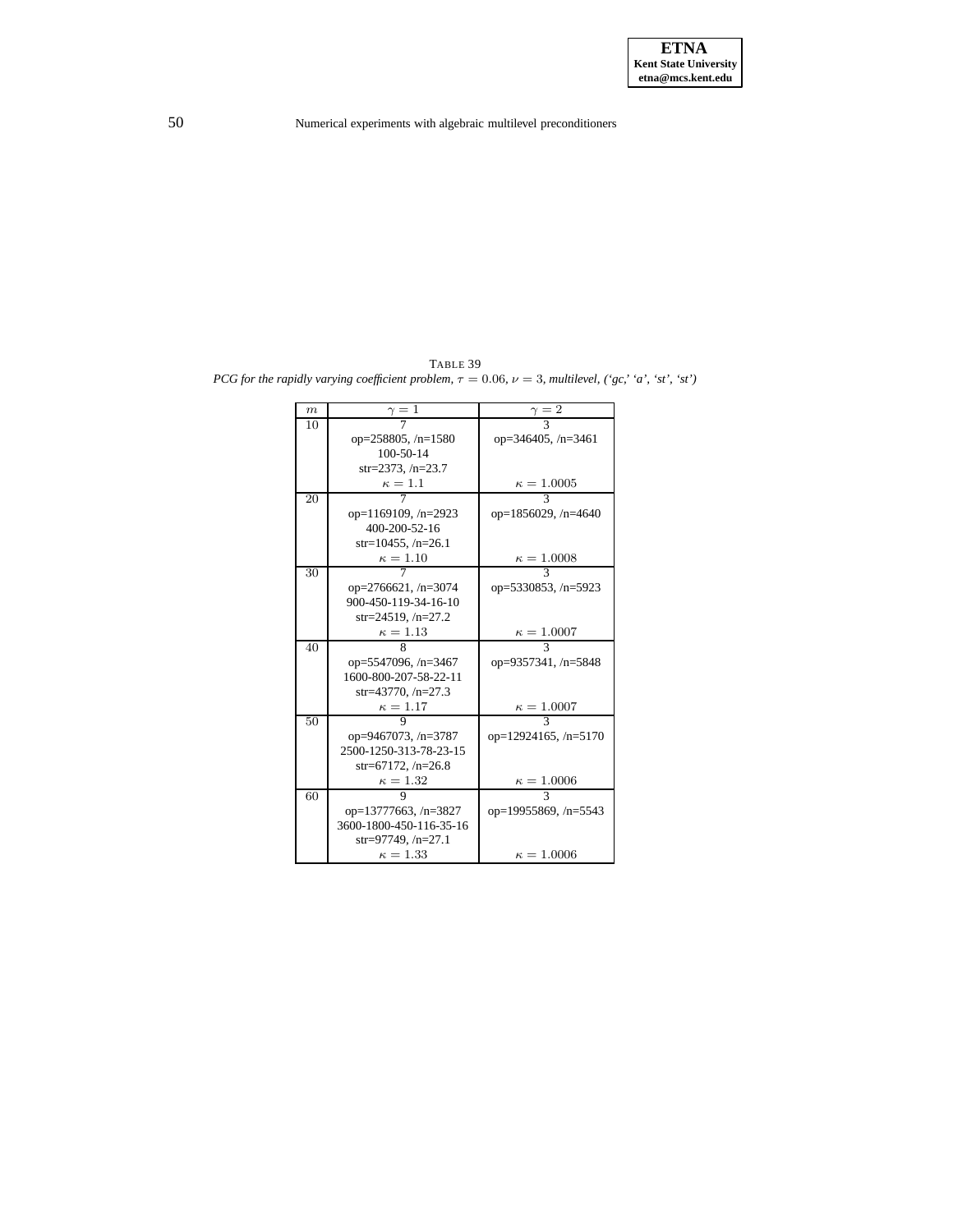TABLE 39 *PCG for* the rapidly varying coefficient problem,  $\tau = 0.06$ ,  $\nu = 3$ , multilevel,  $({}^{6}gc, {}^{6}a', {}^{6}st', {}^{6}st')$ 

| $\boldsymbol{m}$ | $\gamma=1$                  | $\gamma=\bar{2}$       |
|------------------|-----------------------------|------------------------|
| 10               |                             |                        |
|                  | op= $258805$ , /n= $1580$   | op=346405, $/n=3461$   |
|                  | $100 - 50 - 14$             |                        |
|                  | str=2373, $/n=23.7$         |                        |
|                  | $\kappa=1.1$                | $\kappa = 1.0005$      |
| 20               |                             | 3                      |
|                  | op= $1169109$ , /n= $2923$  | op=1856029, /n=4640    |
|                  | 400-200-52-16               |                        |
|                  | str=10455, $/n=26.1$        |                        |
|                  | $\kappa=1.10$               | $\kappa = 1.0008$      |
| 30               |                             | $\mathcal{R}$          |
|                  | op=2766621, /n=3074         | op=5330853, /n=5923    |
|                  | 900-450-119-34-16-10        |                        |
|                  | str=24519, $/n=27.2$        |                        |
|                  | $\kappa=1.13$               | $\kappa = 1.0007$      |
| 40               | 8                           | 3                      |
|                  | op=5547096, /n=3467         | op=9357341, /n=5848    |
|                  | 1600-800-207-58-22-11       |                        |
|                  | str=43770, $/n=27.3$        |                        |
|                  | $\kappa=1.17$               | $\kappa = 1.0007$      |
| 50               |                             |                        |
|                  | op=9467073, /n=3787         | op=12924165, /n=5170   |
|                  | 2500-1250-313-78-23-15      |                        |
|                  | str=67172, $/n=26.8$        |                        |
|                  | $\kappa=1.32$               | $\kappa=1.0006$        |
| 60               |                             | 3                      |
|                  | op= $13777663$ , /n= $3827$ | op=19955869, $/n=5543$ |
|                  | 3600-1800-450-116-35-16     |                        |
|                  | str=97749, $/n=27.1$        |                        |
|                  | $\kappa = 1.33$             | $\kappa = 1.0006$      |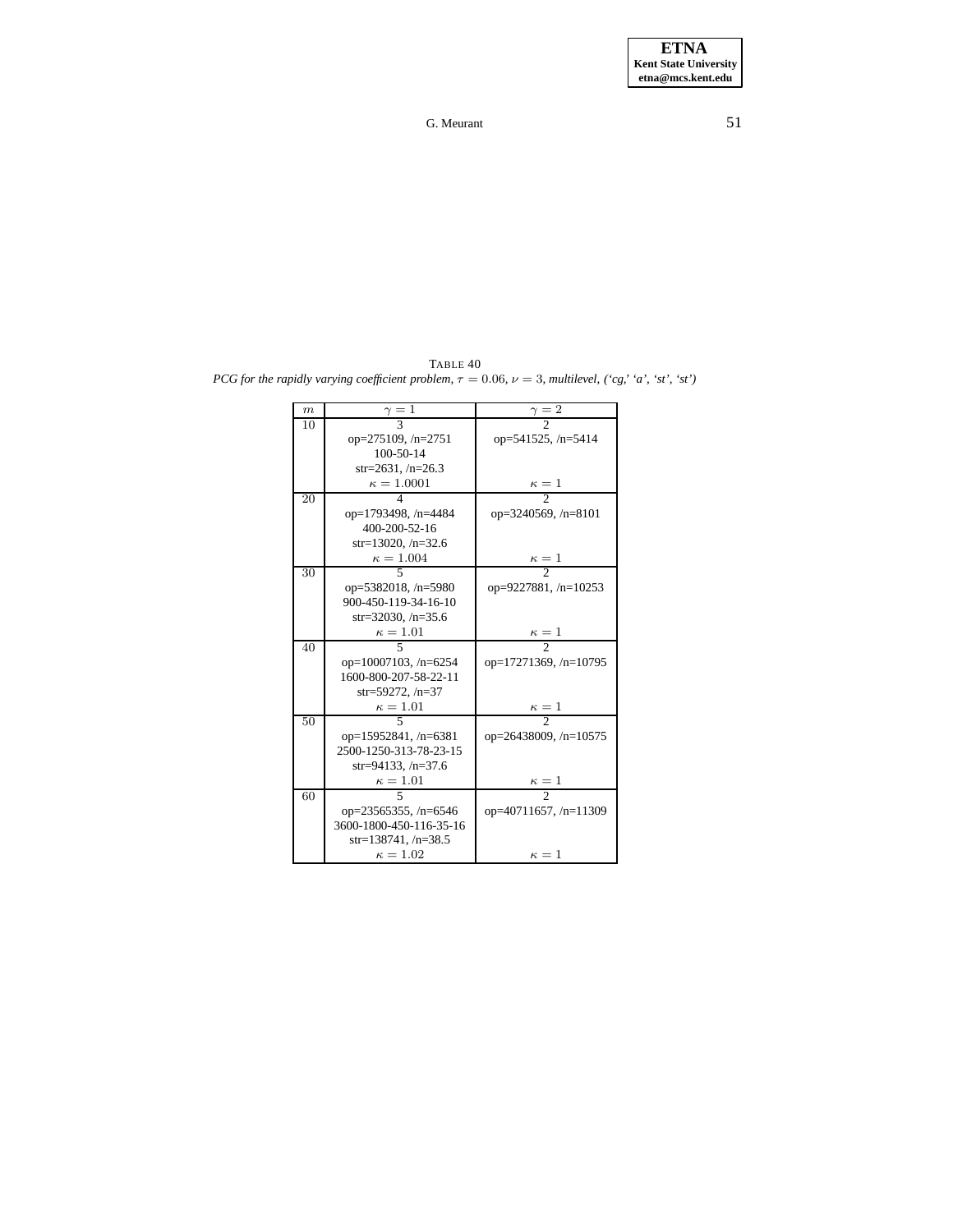<span id="page-50-0"></span>TABLE 40 *PCG for* the rapidly varying coefficient problem,  $\tau = 0.06$ ,  $\nu = 3$ , multilevel,  $({}^{\prime}cg,$  'a', 'st', 'st')

| $\boldsymbol{m}$ | $\frac{\gamma}{3}$          |                              |
|------------------|-----------------------------|------------------------------|
| 10               |                             |                              |
|                  | op=275109, /n=2751          | op=541525, /n=5414           |
|                  | $100 - 50 - 14$             |                              |
|                  | str=2631, $/n=26.3$         |                              |
|                  | $\kappa = 1.0001$           | $\frac{\kappa=1}{2}$         |
| 20               | 4                           |                              |
|                  | op=1793498, /n=4484         | op= $3240569$ , /n= $8101$   |
|                  | 400-200-52-16               |                              |
|                  | $str=13020, /n=32.6$        |                              |
|                  | $\kappa = 1.004$            | $\kappa=1$                   |
| 30               | 5                           | $\overline{\phantom{a}}$     |
|                  | op= $5382018$ , /n= $5980$  | op=9227881, /n=10253         |
|                  | 900-450-119-34-16-10        |                              |
|                  | $str=32030, /n=35.6$        |                              |
|                  | $\kappa=1.01$               | $\frac{\kappa}{2} = 1$       |
| 40               |                             |                              |
|                  | op= $10007103$ , /n= $6254$ | op= $17271369$ , /n= $10795$ |
|                  | 1600-800-207-58-22-11       |                              |
|                  | $str=59272, /n=37$          |                              |
|                  | $\kappa=1.01$               | $\frac{\kappa=1}{2}$         |
| 50               | 5                           |                              |
|                  | op=15952841, /n=6381        | op=26438009, /n=10575        |
|                  | 2500-1250-313-78-23-15      |                              |
|                  | $str=94133, /n=37.6$        |                              |
|                  | $\kappa=1.01$               | $\frac{\kappa}{2} = 1$       |
| 60               | 5                           |                              |
|                  | op= $23565355$ , /n= $6546$ | op=40711657, /n=11309        |
|                  | 3600-1800-450-116-35-16     |                              |
|                  | str=138741, $/n=38.5$       |                              |
|                  | $\kappa=1.02$               | $\kappa=1$                   |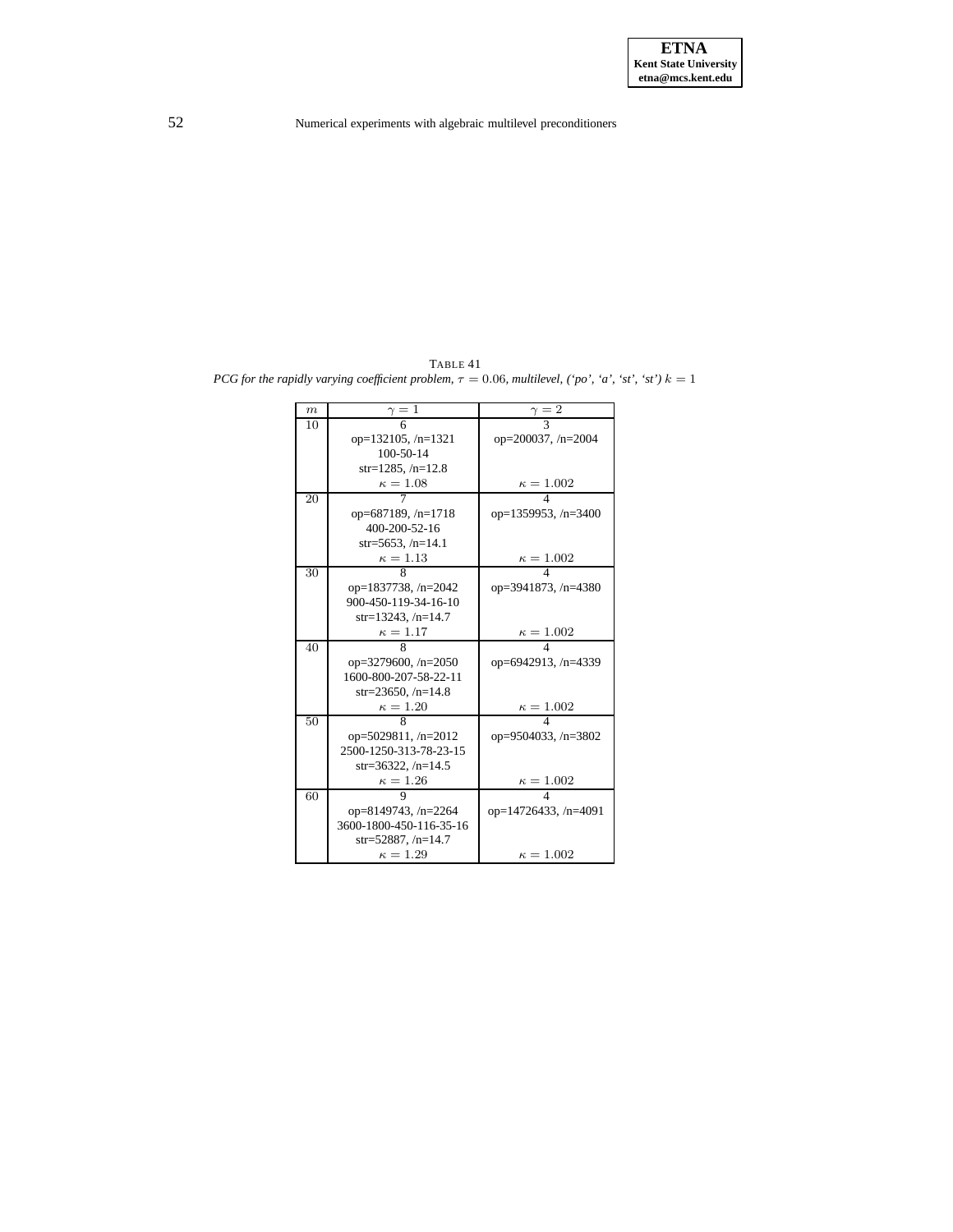TABLE 41 *PCG for* the rapidly varying coefficient problem,  $\tau = 0.06$ , multilevel, ('po', 'a', 'st', 'st')  $k = 1$ 

| $\boldsymbol{m}$ | $\gamma=1$                | $\gamma=2$                 |
|------------------|---------------------------|----------------------------|
| 10               |                           |                            |
|                  | op= $132105$ , /n= $1321$ | op= $200037, n=2004$       |
|                  | $100 - 50 - 14$           |                            |
|                  | $str=1285, /n=12.8$       |                            |
|                  | $\kappa=1.08$             | $\kappa = 1.002$           |
| 20               |                           | $\overline{4}$             |
|                  | op=687189, $/n=1718$      | op=1359953, /n=3400        |
|                  | $400 - 200 - 52 - 16$     |                            |
|                  | $str=5653, /n=14.1$       |                            |
|                  | $\kappa=1.13$             | $\frac{\kappa = 1.002}{4}$ |
| 30               | 8                         |                            |
|                  | op=1837738, $/n=2042$     | op=3941873, /n=4380        |
|                  | 900-450-119-34-16-10      |                            |
|                  | str=13243, $/n=14.7$      |                            |
|                  | $\kappa=1.17$             | $\kappa = 1.002$           |
| 40               | 8                         | 4                          |
|                  | op=3279600, $/n=2050$     | op=6942913, /n=4339        |
|                  | 1600-800-207-58-22-11     |                            |
|                  | str=23650, $/n=14.8$      |                            |
|                  | $\kappa=1.20$             | $\kappa = 1.002$           |
| 50               | 8                         | $\overline{\mathbf{A}}$    |
|                  | op=5029811, /n=2012       | op=9504033, /n=3802        |
|                  | 2500-1250-313-78-23-15    |                            |
|                  | $str=36322, /n=14.5$      |                            |
|                  | $\kappa=1.26$             | $\kappa=1.002$             |
| 60               | 9                         | 4                          |
|                  | op=8149743, /n=2264       | op=14726433, $/n=4091$     |
|                  | 3600-1800-450-116-35-16   |                            |
|                  | str=52887, $/n=14.7$      |                            |
|                  | $\kappa=1.29$             | $\kappa = 1.002$           |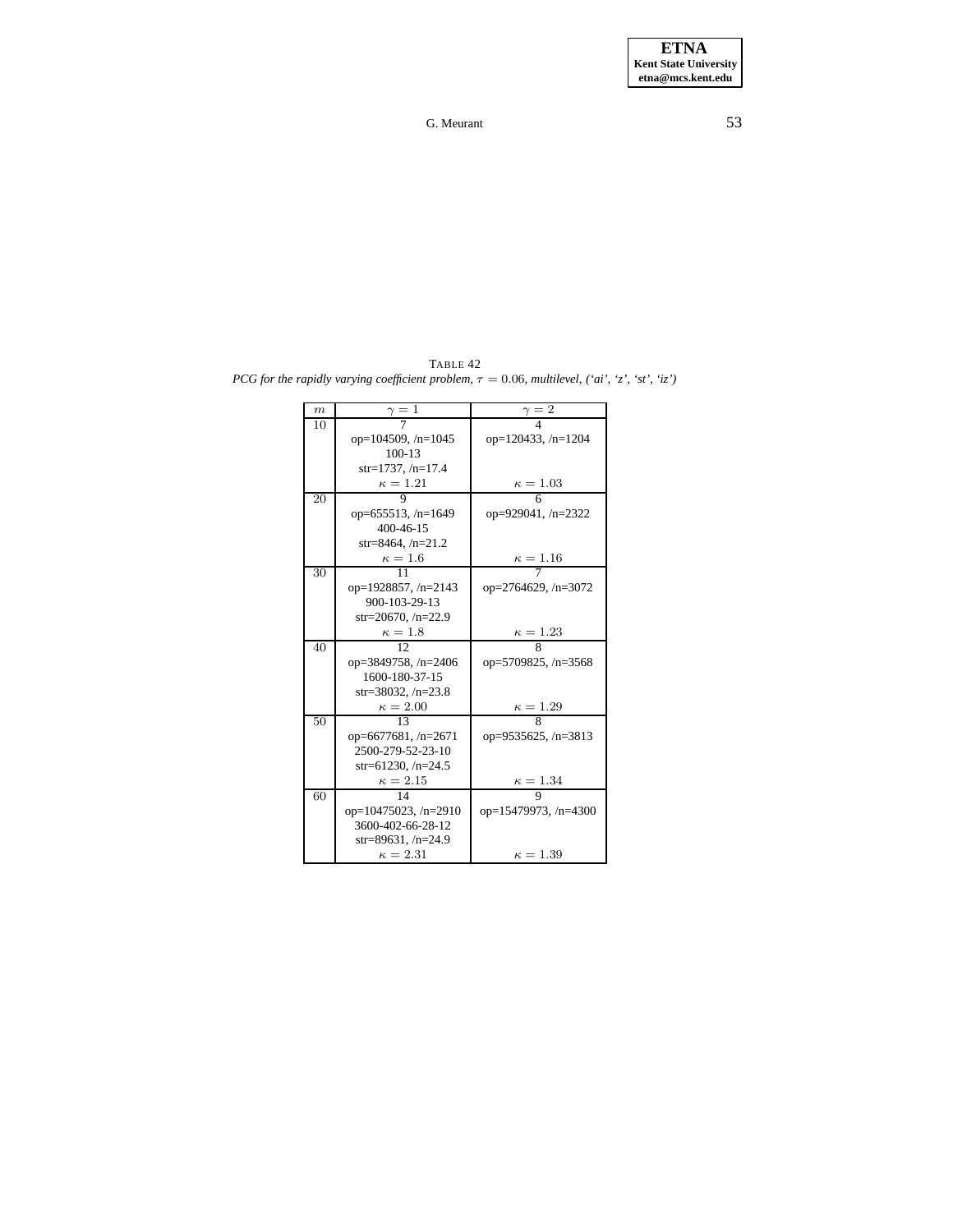<span id="page-52-0"></span>TABLE 42 *PCG for the rapidly varying coefficient problem,*  $\tau = 0.06$ *, multilevel,*  $('ai', 'z', 'st', 'iz')$ 

| $\boldsymbol{m}$ | = 1                         | $\gamma=\bar{2}$            |
|------------------|-----------------------------|-----------------------------|
| 10               |                             |                             |
|                  | op= $104509$ , /n= $1045$   | op= $120433, n=1204$        |
|                  | $100 - 13$                  |                             |
|                  | $str=1737, /n=17.4$         |                             |
|                  | $\kappa=1.21$               | $\kappa = 1.03$             |
| 20               |                             | 6                           |
|                  | op=655513, /n=1649          | op=929041, $/n=2322$        |
|                  | $400 - 46 - 15$             |                             |
|                  | $str=8464, /n=21.2$         |                             |
|                  | $\kappa=1.6$                | $\kappa = 1.16$             |
| 30               | 11                          |                             |
|                  | op=1928857, /n=2143         | op= $2764629$ , /n= $3072$  |
|                  | 900-103-29-13               |                             |
|                  | str=20670, $/n=22.9$        |                             |
|                  | $\kappa=1.8$                | $\frac{\kappa=1.23}{8}$     |
| 40               | 12.                         |                             |
|                  | op=3849758, /n=2406         | op=5709825, /n=3568         |
|                  | 1600-180-37-15              |                             |
|                  | str=38032, $/n=23.8$        |                             |
|                  | $\kappa = 2.00$             | $\frac{\kappa = 1.29}{8}$   |
| 50               | $\overline{13}$             |                             |
|                  | op=6677681, $/n=2671$       | op=9535625, $/n=3813$       |
|                  | 2500-279-52-23-10           |                             |
|                  | str=61230, $/n=24.5$        |                             |
|                  | $\kappa=2.15$               | $\kappa = 1.34$             |
| 60               | 14                          | 9                           |
|                  | op= $10475023$ , /n= $2910$ | op= $15479973$ , /n= $4300$ |
|                  | 3600-402-66-28-12           |                             |
|                  | str=89631, $/n=24.9$        |                             |
|                  | $\kappa = 2.31$             | $\kappa = 1.39$             |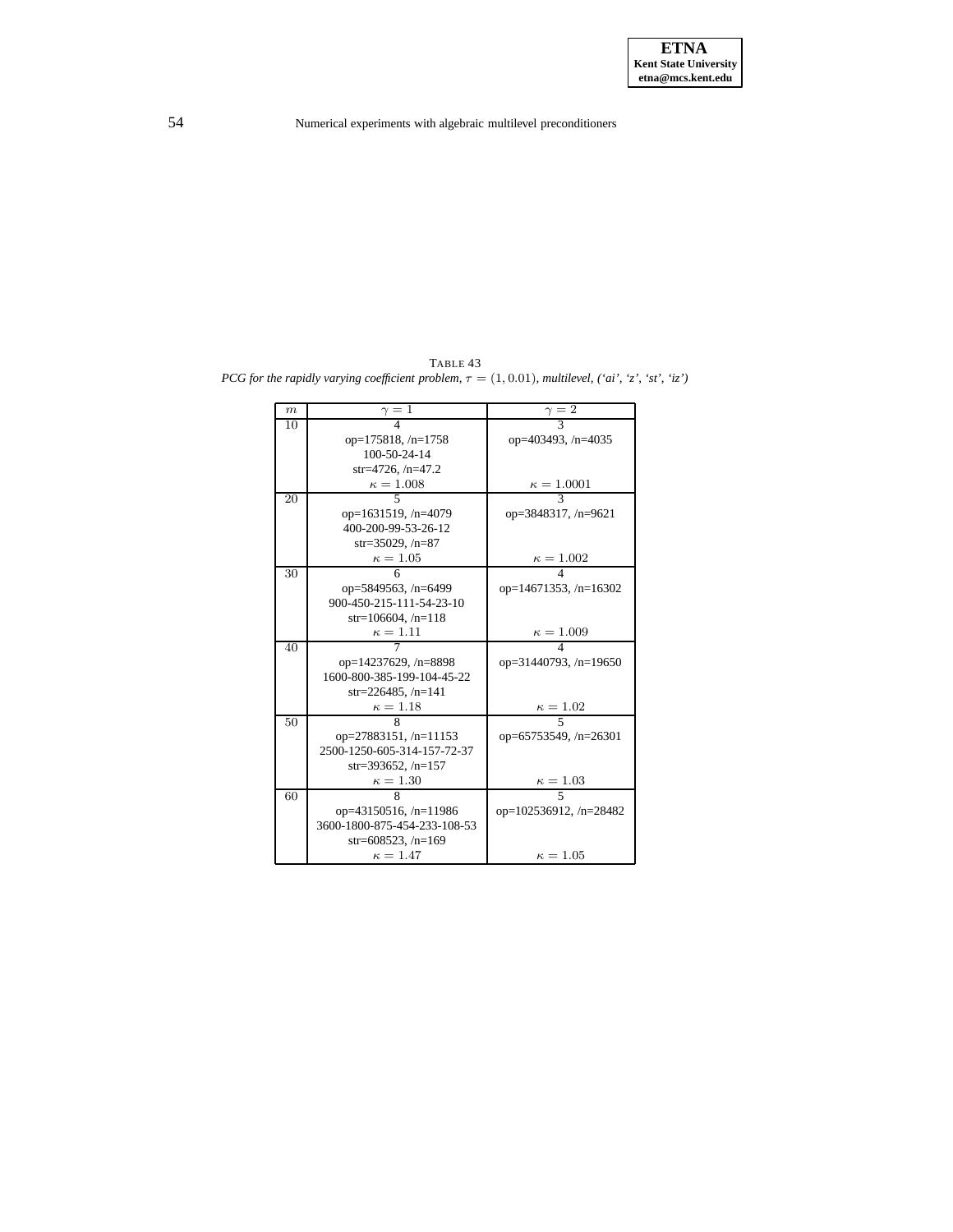TABLE 43 *PCG for the rapidly varying coefficient problem*,  $\tau = (1, 0.01)$ *, multilevel,*  $('ai', 'z', 'st', 'iz')$ 

| $\boldsymbol{m}$ | -1                           | $\cdot$ 2                     |
|------------------|------------------------------|-------------------------------|
| 10               |                              |                               |
|                  | op= $175818$ , /n= $1758$    | op= $403493$ , /n= $4035$     |
|                  | $100 - 50 - 24 - 14$         |                               |
|                  | $str=4726, /n=47.2$          |                               |
|                  | $\kappa = 1.008$             | $\kappa = 1.0001$             |
| 20               | 5                            |                               |
|                  | op=1631519, /n=4079          | op=3848317, /n=9621           |
|                  | 400-200-99-53-26-12          |                               |
|                  | $str = 35029, /n = 87$       |                               |
|                  | $\kappa = 1.05$              | $\kappa = 1.002$              |
| 30               | 6                            |                               |
|                  | op=5849563, /n=6499          | op=14671353, $/n=16302$       |
|                  | 900-450-215-111-54-23-10     |                               |
|                  | $str=106604, /n=118$         |                               |
|                  | $\kappa=1.11$                | $\kappa = 1.009$              |
| 40               |                              |                               |
|                  | op=14237629, /n=8898         | op= $31440793$ , /n= $19650$  |
|                  | 1600-800-385-199-104-45-22   |                               |
|                  | str=226485, $/n=141$         |                               |
|                  | $\kappa=1.18$                | $\kappa = 1.02$               |
| 50               |                              | 5                             |
|                  | op=27883151, /n=11153        | op=65753549, $/n=26301$       |
|                  | 2500-1250-605-314-157-72-37  |                               |
|                  | $str=393652, /n=157$         |                               |
|                  | $\kappa = 1.30$              | $\kappa = 1.03$               |
| 60               | 8                            | 5                             |
|                  | op= $43150516$ , /n= $11986$ | op= $102536912$ , /n= $28482$ |
|                  | 3600-1800-875-454-233-108-53 |                               |
|                  | str=608523, $/n=169$         |                               |
|                  | $\kappa = 1.47$              | $\kappa=1.05$                 |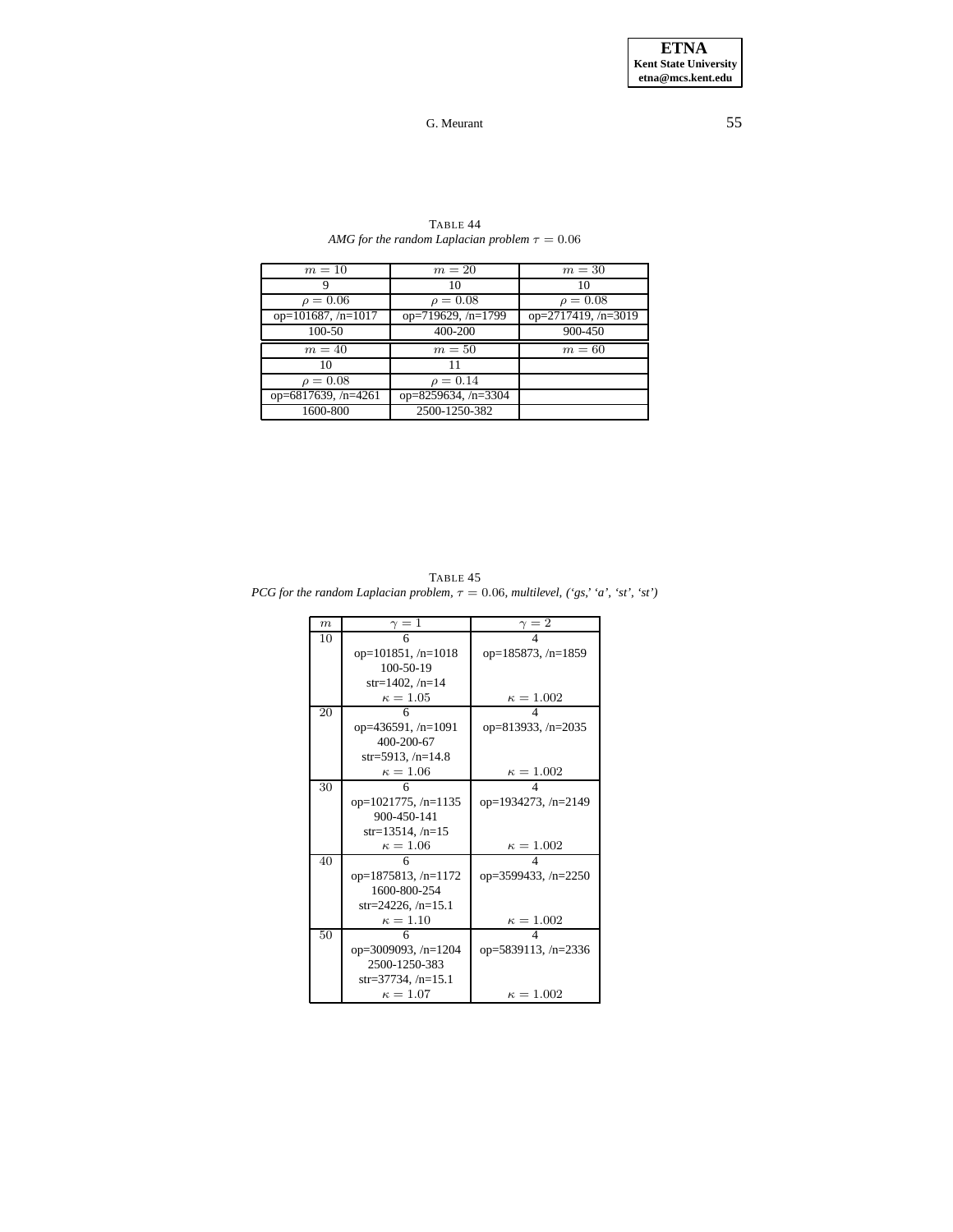**ETNA Kent State University etna@mcs.kent.edu**

## G. Meurant 55

<span id="page-54-0"></span>

| $m=10$                | $m=20$              | $m=30$                     |
|-----------------------|---------------------|----------------------------|
|                       | 10                  | 10                         |
| $\rho = 0.06$         | $\rho = 0.08$       | $\rho = 0.08$              |
| op= $101687, /n=1017$ | op=719629, /n=1799  | op= $2717419$ , /n= $3019$ |
| 100-50                | 400-200             | 900-450                    |
|                       |                     |                            |
| $m=40$                | $m=50$              | $m=60$                     |
| 10                    | 11                  |                            |
| $\rho = 0.08$         | $\rho = 0.14$       |                            |
| op=6817639, $/n=4261$ | op=8259634, /n=3304 |                            |

TABLE 44 *AMG for the random Laplacian problem*  $\tau = 0.06$ 

<span id="page-54-1"></span>TABLE 45 *PCG for the random Laplacian problem,*  $\tau = 0.06$ *, multilevel,*  $({}^{\circ}gs, {}^{\circ}a', {}^{\circ}st', {}^{\circ}st')$ 

| $\boldsymbol{m}$ | $\gamma=1$                 | $\gamma=2$            |
|------------------|----------------------------|-----------------------|
| 10               | 6                          |                       |
|                  | op= $101851, n=1018$       | op= $185873, /n=1859$ |
|                  | $100 - 50 - 19$            |                       |
|                  | str=1402, $/n=14$          |                       |
|                  | $\kappa = 1.05$            | $\kappa = 1.002$      |
| 20               | 6                          | 4                     |
|                  | op=436591, /n=1091         | op=813933, /n=2035    |
|                  | 400-200-67                 |                       |
|                  | str=5913, $/n=14.8$        |                       |
|                  | $\kappa = 1.06$            | $\kappa = 1.002$      |
| 30               |                            |                       |
|                  | op= $1021775$ , /n= $1135$ | op=1934273, /n=2149   |
|                  | 900-450-141                |                       |
|                  | $str=13514, /n=15$         |                       |
|                  | $\kappa = 1.06$            | $\kappa=1.002$        |
| 40               | 6                          |                       |
|                  | op=1875813, /n=1172        | op=3599433, /n=2250   |
|                  | 1600-800-254               |                       |
|                  | $str=24226, n=15.1$        |                       |
|                  | $\kappa = 1.10$            | $\kappa = 1.002$      |
| 50               | 6                          |                       |
|                  | op=3009093, $/n=1204$      | op=5839113, /n=2336   |
|                  | 2500-1250-383              |                       |
|                  | $str=37734, /n=15.1$       |                       |
|                  | $\kappa = 1.07$            | $\kappa = 1.002$      |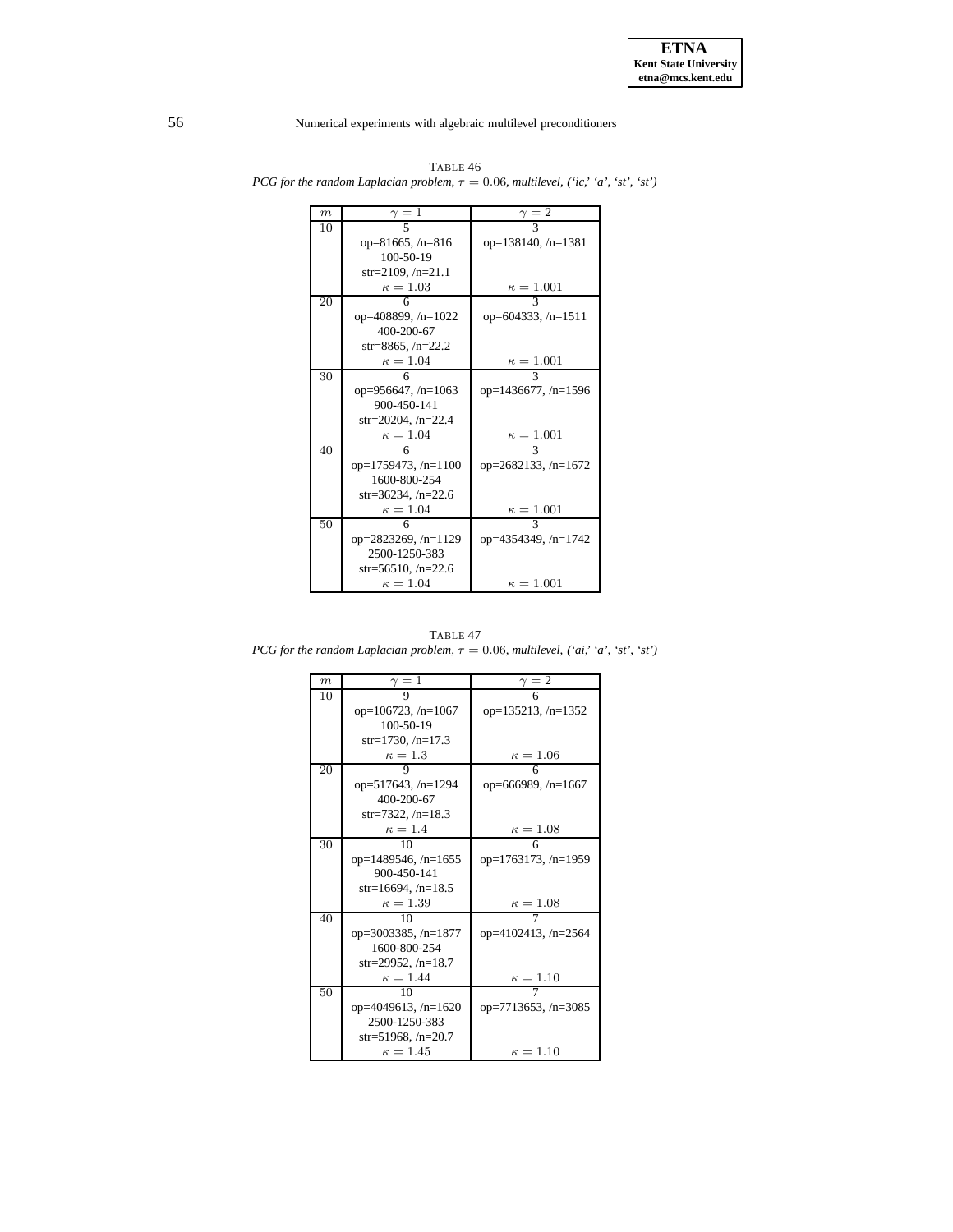| m  | $\gamma=1$            | $\gamma=2$                |
|----|-----------------------|---------------------------|
| 10 | 5                     |                           |
|    | op=81665, $/n=816$    | op= $138140$ , /n= $1381$ |
|    | $100 - 50 - 19$       |                           |
|    | str=2109, $/n=21.1$   |                           |
|    | $\kappa = 1.03$       | $\kappa = 1.001$          |
| 20 | 6                     |                           |
|    | op=408899, /n=1022    | op=604333, /n=1511        |
|    | 400-200-67            |                           |
|    | str=8865, $/n=22.2$   |                           |
|    | $\kappa = 1.04$       | $\kappa=1.001$            |
| 30 | 6                     | 3                         |
|    | op=956647, /n=1063    | op=1436677, /n=1596       |
|    | 900-450-141           |                           |
|    | $str=20204, /n=22.4$  |                           |
|    | $\kappa = 1.04$       | $\kappa = 1.001$          |
| 40 | 6                     | $\mathcal{R}$             |
|    | op=1759473, $/n=1100$ | op= $2682133, n=1672$     |
|    | 1600-800-254          |                           |
|    | str=36234, $/n=22.6$  |                           |
|    | $\kappa = 1.04$       | $\kappa=1.001$            |
| 50 |                       | 3                         |
|    | op=2823269, /n=1129   | op=4354349, /n=1742       |
|    | 2500-1250-383         |                           |
|    | str=56510, $/n=22.6$  |                           |
|    | $\kappa=1.04$         | $\kappa=1.001$            |

TABLE 46 *PCG for the random Laplacian problem*,  $\tau = 0.06$ *, multilevel,*  $('ic,' 'a', 'st', 'st')$ 

TABLE 47 *PCG for the random Laplacian problem*,  $\tau = 0.06$ *, multilevel,*  $('ai,' 'a', 'st', 'st')$ 

| $\boldsymbol{m}$ | $\gamma=1$                 | $\gamma=2$                 |
|------------------|----------------------------|----------------------------|
| 10               | 9                          | 6                          |
|                  | op= $106723$ , /n= $1067$  | op= $135213$ , /n= $1352$  |
|                  | $100 - 50 - 19$            |                            |
|                  | str=1730, $/n=17.3$        |                            |
|                  | $\kappa=1.3$               | $\kappa = 1.06$            |
| 20               | 9                          | 6                          |
|                  | op=517643, /n=1294         | op=666989, $/n=1667$       |
|                  | 400-200-67                 |                            |
|                  | str=7322, $/n=18.3$        |                            |
|                  | $\kappa=1.4$               | $\kappa=1.08$              |
| 30               | 10                         | 6                          |
|                  | op=1489546, $/n=1655$      | op=1763173, /n=1959        |
|                  | 900-450-141                |                            |
|                  | $str=16694, /n=18.5$       |                            |
|                  | $\kappa = 1.39$            | $\kappa = 1.08$            |
| 40               | 10                         |                            |
|                  | op= $3003385$ , /n= $1877$ | op= $4102413$ , /n= $2564$ |
|                  | 1600-800-254               |                            |
|                  | str=29952, $/n=18.7$       |                            |
|                  | $\kappa = 1.44$            | $\kappa = 1.10$            |
| 50               | 10                         |                            |
|                  | op=4049613, /n=1620        | op=7713653, /n=3085        |
|                  | 2500-1250-383              |                            |
|                  | str=51968, $/n=20.7$       |                            |
|                  | $\kappa = 1.45$            | $\kappa = 1.10$            |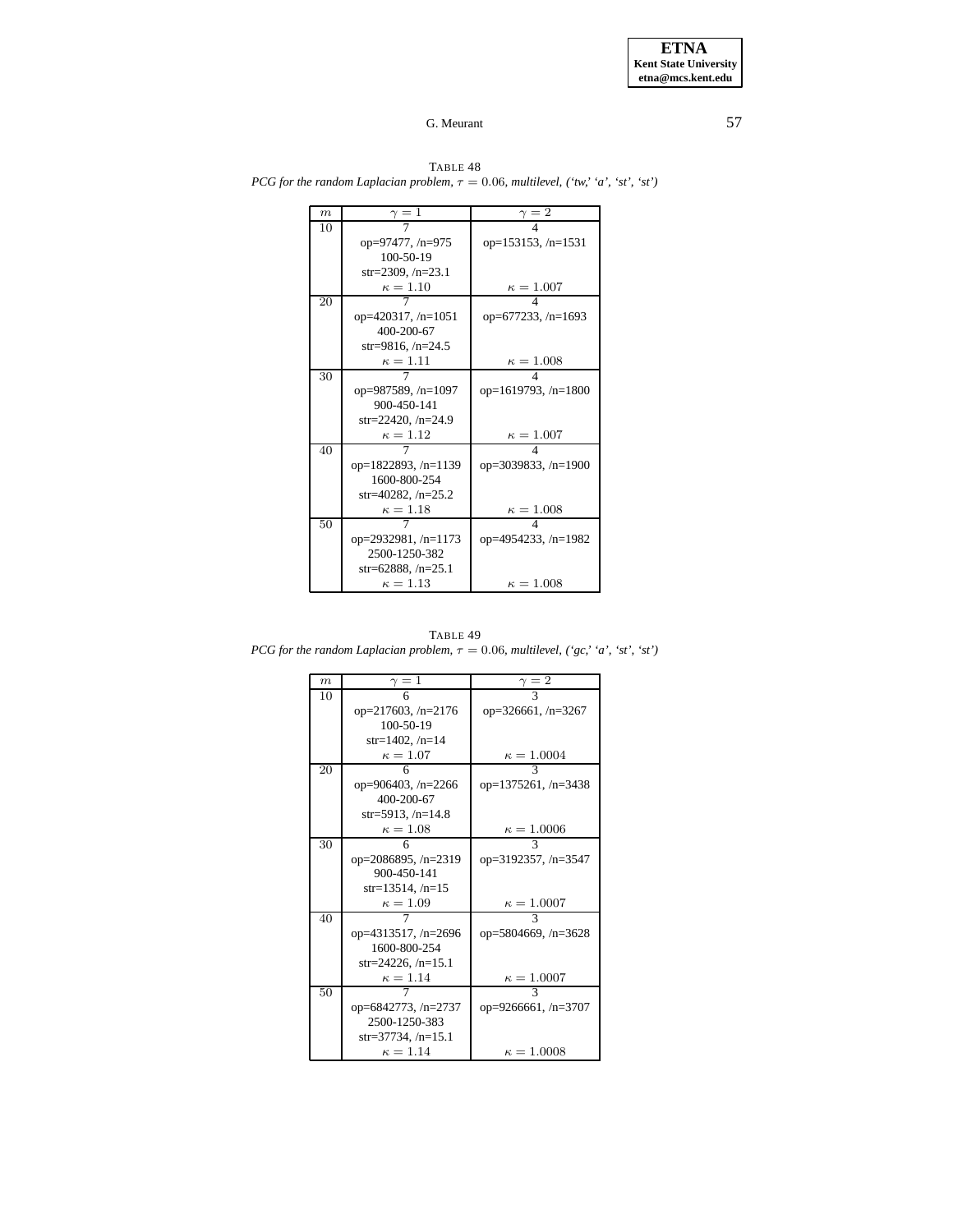| $\boldsymbol{m}$ | $\gamma=1$                | $\gamma=2$            |
|------------------|---------------------------|-----------------------|
| 10               |                           |                       |
|                  | op=97477, /n=975          | op= $153153, /n=1531$ |
|                  | $100 - 50 - 19$           |                       |
|                  | str=2309, $/n=23.1$       |                       |
|                  | $\kappa = 1.10$           | $\kappa = 1.007$      |
| 20               |                           |                       |
|                  | op= $420317$ , /n= $1051$ | op=677233, /n=1693    |
|                  | 400-200-67                |                       |
|                  | str=9816, $/n=24.5$       |                       |
|                  | $\kappa = 1.11$           | $\kappa = 1.008$      |
| 30               |                           |                       |
|                  | op=987589, /n=1097        | op=1619793, /n=1800   |
|                  | 900-450-141               |                       |
|                  | $str=22420, /n=24.9$      |                       |
|                  | $\kappa=1.12$             | $\kappa = 1.007$      |
| 40               |                           |                       |
|                  | op= $1822893, n=1139$     | op=3039833, /n=1900   |
|                  | 1600-800-254              |                       |
|                  | str=40282, $/n=25.2$      |                       |
|                  | $\kappa=1.18$             | $\kappa = 1.008$      |
| 50               |                           |                       |
|                  | op=2932981, $/n=1173$     | op=4954233, /n=1982   |
|                  | 2500-1250-382             |                       |
|                  | str=62888, $/n=25.1$      |                       |
|                  | $\kappa=1.13$             | $\kappa=1.008$        |

TABLE 48 *PCG for the random Laplacian problem,*  $\tau = 0.06$ *, multilevel,*  $('tw,' 'a', 'st', 'st')$ 

TABLE 49 *PCG for the random Laplacian problem*,  $\tau = 0.06$ *, multilevel,*  $({}^{6}gc, {}^{6}a', {}^{6}st', {}^{6}st')$ 

| $\boldsymbol{m}$ | $\gamma=1$            | $\gamma=2$           |
|------------------|-----------------------|----------------------|
| 10               | 6                     | 3                    |
|                  | op=217603, /n=2176    | op= $326661, n=3267$ |
|                  | $100 - 50 - 19$       |                      |
|                  | $str=1402, /n=14$     |                      |
|                  | $\kappa = 1.07$       | $\kappa = 1.0004$    |
| 20               | 6                     | 3                    |
|                  | op=906403, /n=2266    | op=1375261, /n=3438  |
|                  | 400-200-67            |                      |
|                  | $str=5913, /n=14.8$   |                      |
|                  | $\kappa = 1.08$       | $\kappa = 1.0006$    |
| 30               | 6                     | 3                    |
|                  | op=2086895, /n=2319   | op=3192357, /n=3547  |
|                  | 900-450-141           |                      |
|                  | $str=13514, /n=15$    |                      |
|                  | $\kappa = 1.09$       | $\kappa = 1.0007$    |
| 40               |                       | 3                    |
|                  | op=4313517, $/n=2696$ | op=5804669, /n=3628  |
|                  | 1600-800-254          |                      |
|                  | str=24226, /n=15.1    |                      |
|                  | $\kappa = 1.14$       | $\kappa = 1.0007$    |
| 50               |                       | 3                    |
|                  | op=6842773, /n=2737   | $op=9266661, n=3707$ |
|                  | 2500-1250-383         |                      |
|                  | str=37734, /n=15.1    |                      |
|                  | $\kappa = 1.14$       | $\kappa = 1.0008$    |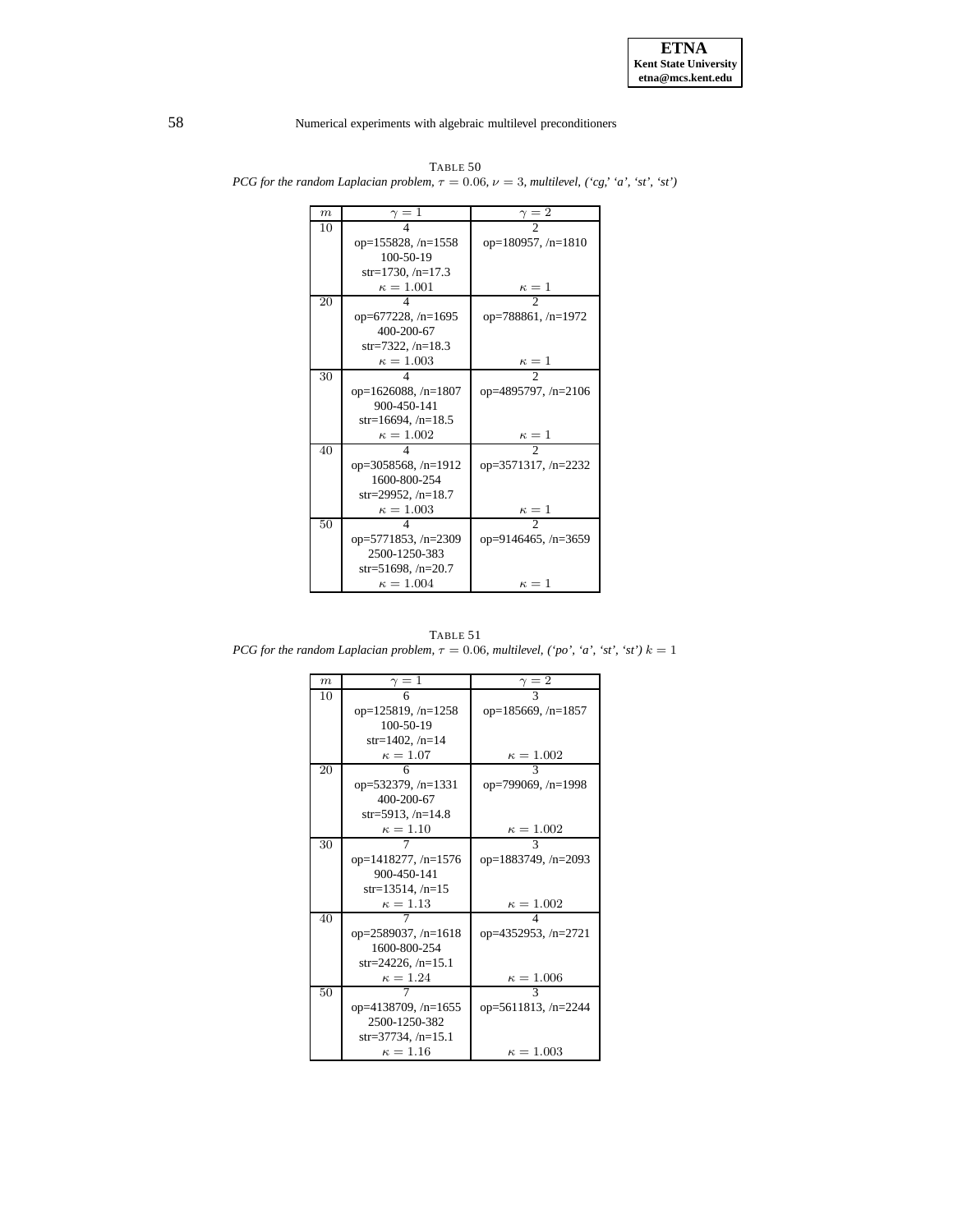| $\boldsymbol{m}$ | $\gamma=1$                 | $\gamma=2$               |
|------------------|----------------------------|--------------------------|
| 10               |                            |                          |
|                  | op= $155828, n=1558$       | op=180957, /n=1810       |
|                  | $100 - 50 - 19$            |                          |
|                  | $str=1730, /n=17.3$        |                          |
|                  | $\kappa=1.001$             | $\kappa=1$               |
| 20               | 4                          | $\overline{\mathcal{L}}$ |
|                  | op=677228, $/n=1695$       | op=788861, /n=1972       |
|                  | 400-200-67                 |                          |
|                  | str=7322. $/n=18.3$        |                          |
|                  | $\kappa = 1.003$           | $\kappa = 1$             |
| 30               |                            |                          |
|                  | op=1626088, $/n=1807$      | op=4895797, /n=2106      |
|                  | 900-450-141                |                          |
|                  | str=16694, $/n=18.5$       |                          |
|                  | $\kappa = 1.002$           | $\kappa=1$               |
| 40               |                            | $\mathfrak{D}$           |
|                  | op= $3058568$ , /n= $1912$ | op=3571317, /n=2232      |
|                  | 1600-800-254               |                          |
|                  | str=29952, $/n=18.7$       |                          |
|                  | $\kappa = 1.003$           | $\kappa=1$               |
| 50               |                            | $\mathfrak{D}$           |
|                  | op=5771853, /n=2309        | op=9146465, /n=3659      |
|                  | 2500-1250-383              |                          |
|                  | str=51698, $/n=20.7$       |                          |
|                  | $\kappa = 1.004$           | $\kappa=1$               |

TABLE 50 *PCG for the random Laplacian problem*,  $\tau = 0.06$ ,  $\nu = 3$ , *multilevel*,  $({}^{\cdot}cg, {}^{\cdot}a', {}^{\cdot}st', {}^{\cdot}st')$ 

TABLE 51 *PCG for the random Laplacian problem,*  $\tau = 0.06$ *, multilevel,* ('po', 'a', 'st', 'st')  $k = 1$ 

| $\boldsymbol{m}$ | $\gamma=1$                 | $\gamma=2$                |
|------------------|----------------------------|---------------------------|
| 10               | 6                          |                           |
|                  | op= $125819$ , /n= $1258$  | op= $185669$ , /n= $1857$ |
|                  | $100 - 50 - 19$            |                           |
|                  | $str=1402, /n=14$          |                           |
|                  | $\kappa = 1.07$            | $\kappa = 1.002$          |
| 20               | 6                          | $\mathcal{R}$             |
|                  | op=532379, /n=1331         | op=799069, /n=1998        |
|                  | 400-200-67                 |                           |
|                  | str=5913, $/n=14.8$        |                           |
|                  | $\kappa = 1.10$            | $\kappa = 1.002$          |
| 30               |                            | 3                         |
|                  | op=1418277, /n=1576        | op=1883749, /n=2093       |
|                  | 900-450-141                |                           |
|                  | $str=13514, /n=15$         |                           |
|                  | $\kappa = 1.13$            | $\kappa = 1.002$          |
| 40               |                            |                           |
|                  | op= $2589037$ , /n= $1618$ | op=4352953, /n=2721       |
|                  | 1600-800-254               |                           |
|                  | str=24226, $/n=15.1$       |                           |
|                  | $\kappa = 1.24$            | $\kappa = 1.006$          |
| 50               |                            | 3                         |
|                  | op=4138709, /n=1655        | op=5611813, /n=2244       |
|                  | 2500-1250-382              |                           |
|                  | str=37734, /n=15.1         |                           |
|                  | $\kappa = 1.16$            | $\kappa=1.003$            |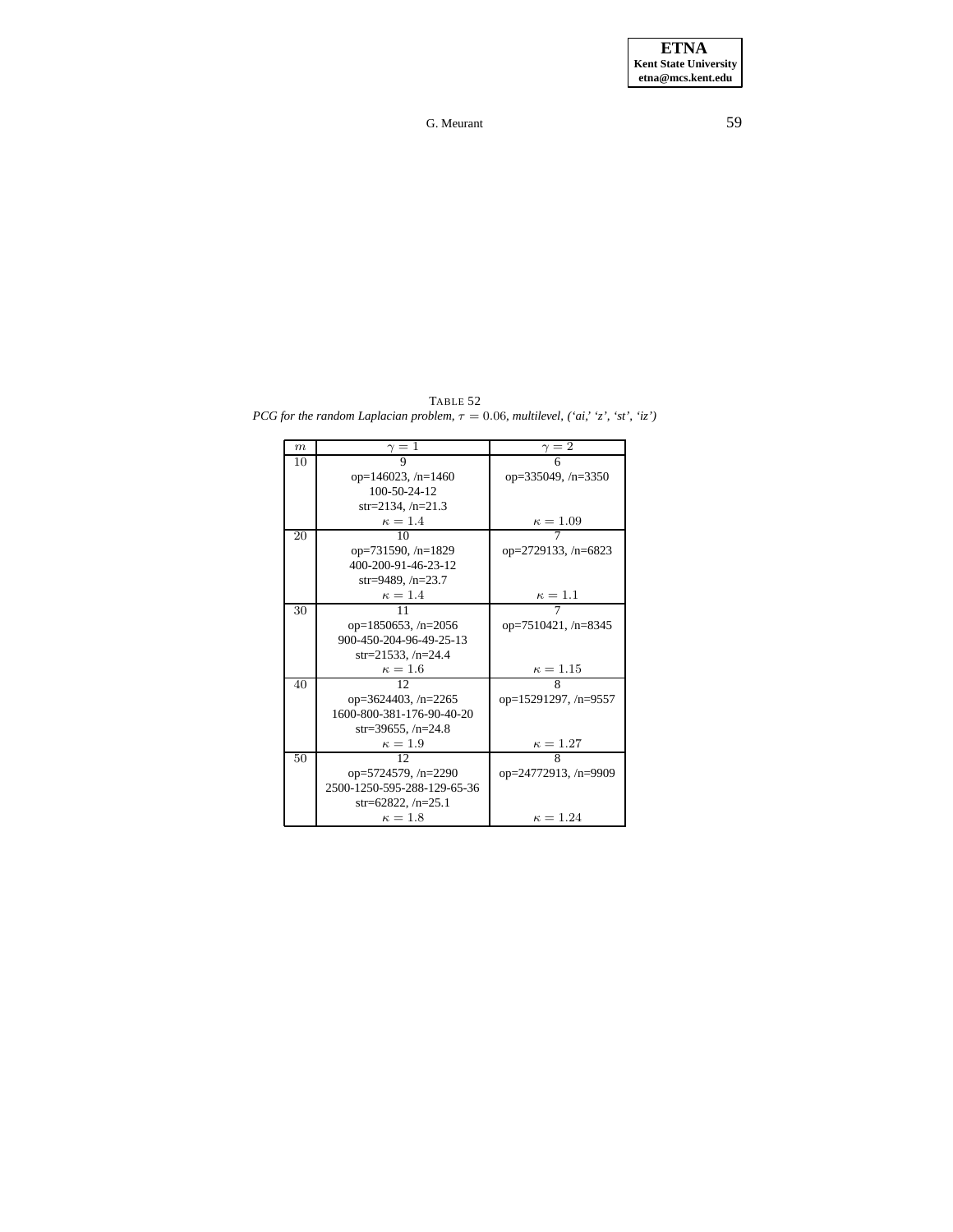$\begin{array}{ccc} m & \gamma = 1 & \gamma = 2 \\ \hline 10 & 9 & 6 \end{array}$ 10 9 6 op=146023, /n=1460 op=335049, /n=3350 100-50-24-12 str=2134, /n=21.3  $\kappa = 1.4$   $\kappa = 1.09$ op=731590, /n=1829 op=2729133, /n=6823 400-200-91-46-23-12 str=9489, /n=23.7  $\kappa = 1.4$   $\kappa = 1.1$ op=1850653, /n=2056 op=7510421, /n=8345

<span id="page-58-0"></span>TABLE 52 *PCG for the random Laplacian problem,*  $\tau = 0.06$ *, multilevel,*  $('ai,' 'z', 'st', 'iz')$ 

| ∸  |                             |                           |
|----|-----------------------------|---------------------------|
|    | op= $146023$ , /n= $1460$   | op= $335049$ , /n= $3350$ |
|    | 100-50-24-12                |                           |
|    | str=2134, $/n=21.3$         |                           |
|    | $\kappa=1.4$                | $\kappa = 1.09$           |
| 20 | 10                          |                           |
|    | op=731590, /n=1829          | op=2729133, /n=6823       |
|    | 400-200-91-46-23-12         |                           |
|    | str=9489, $/n=23.7$         |                           |
|    | $\kappa=1.4$                | $\kappa=1.1$              |
| 30 | 11                          |                           |
|    | op=1850653, $/n=2056$       | op=7510421, /n=8345       |
|    | 900-450-204-96-49-25-13     |                           |
|    | str=21533, $/n=24.4$        |                           |
|    | $\kappa=1.6$                | $\kappa=1.15$             |
| 40 | 12                          | 8                         |
|    | op= $3624403$ , /n= $2265$  | op=15291297, /n=9557      |
|    | 1600-800-381-176-90-40-20   |                           |
|    | str=39655, /n=24.8          |                           |
|    | $\kappa=1.9$                | $\kappa = 1.27$           |
| 50 | 12                          | 8                         |
|    | op=5724579, /n=2290         | op=24772913, /n=9909      |
|    | 2500-1250-595-288-129-65-36 |                           |
|    | str=62822, $/n=25.1$        |                           |
|    | $\kappa=1.8$                | $\kappa = 1.24$           |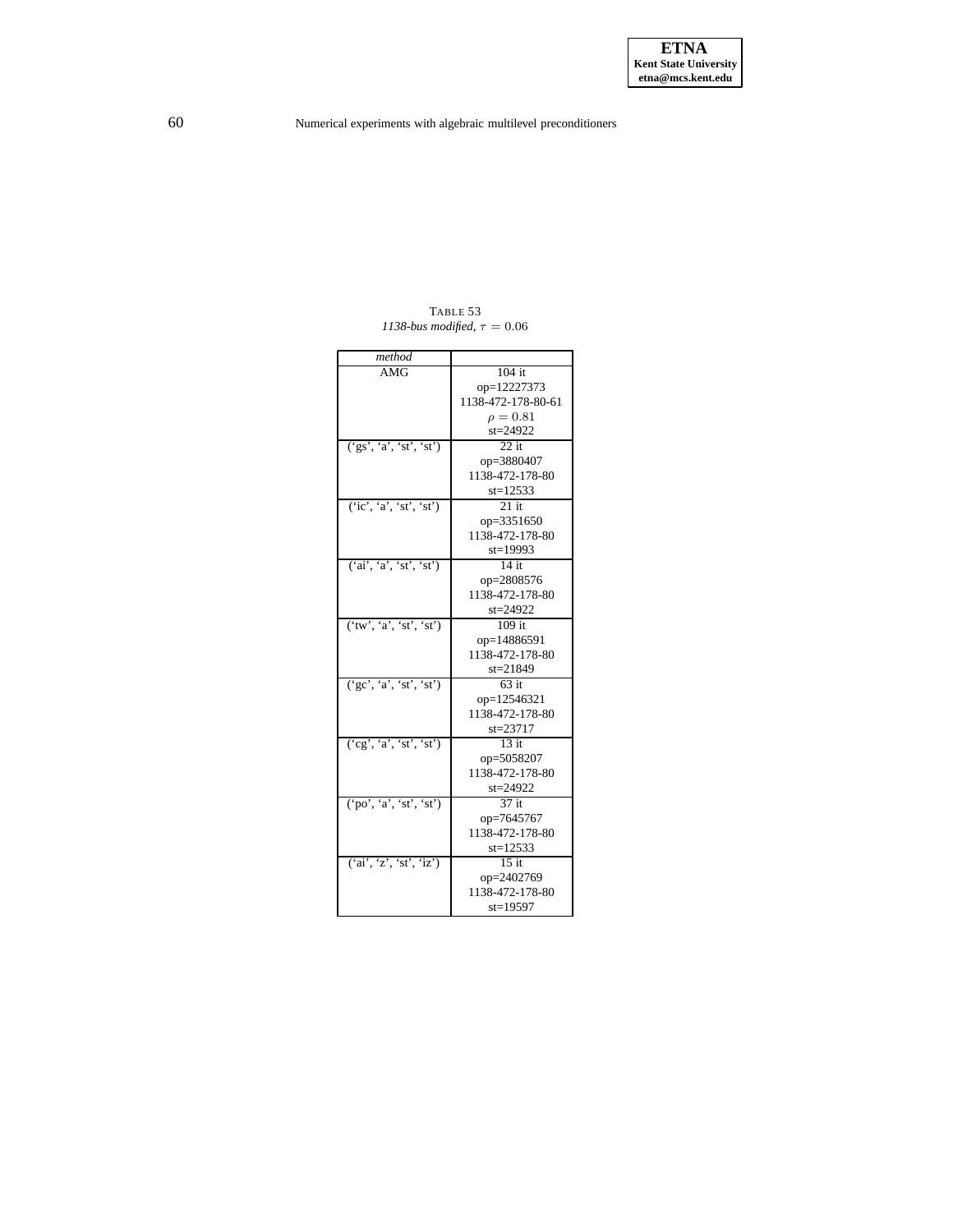<span id="page-59-0"></span>

| method                  |                    |
|-------------------------|--------------------|
| AMG                     | $104$ it           |
|                         | op=12227373        |
|                         | 1138-472-178-80-61 |
|                         | $\rho = 0.81$      |
|                         | st=24922           |
| ('gs', 'a', 'st', 'st') | $22$ it            |
|                         | op=3880407         |
|                         | 1138-472-178-80    |
|                         | $st = 12533$       |
| (ic', 'a', 'st', 'st')  | $21$ it            |
|                         | op=3351650         |
|                         | 1138-472-178-80    |
|                         | st=19993           |
| ('ai', 'a', 'st', 'st') | $14$ it            |
|                         | op=2808576         |
|                         | 1138-472-178-80    |
|                         | st=24922           |
| ('tw', 'a', 'st', 'st') | $109$ it           |
|                         | op=14886591        |
|                         | 1138-472-178-80    |
|                         | st=21849           |
| (yc', 'a', 'st', 'st')  | 63 it              |
|                         | op=12546321        |
|                         | 1138-472-178-80    |
|                         | st=23717           |
| ('cg', 'a', 'st', 'st') | $13$ it            |
|                         | op=5058207         |
|                         | 1138-472-178-80    |
|                         | st=24922           |
| ('po', 'a', 'st', 'st') | 37 it              |
|                         | op=7645767         |
|                         | 1138-472-178-80    |
|                         | $st = 12533$       |
| ('ai', 'z', 'st', 'iz') | $15$ it            |
|                         | op=2402769         |
|                         | 1138-472-178-80    |
|                         | st=19597           |

TABLE 53 *1138-bus modified,*  $\tau = 0.06$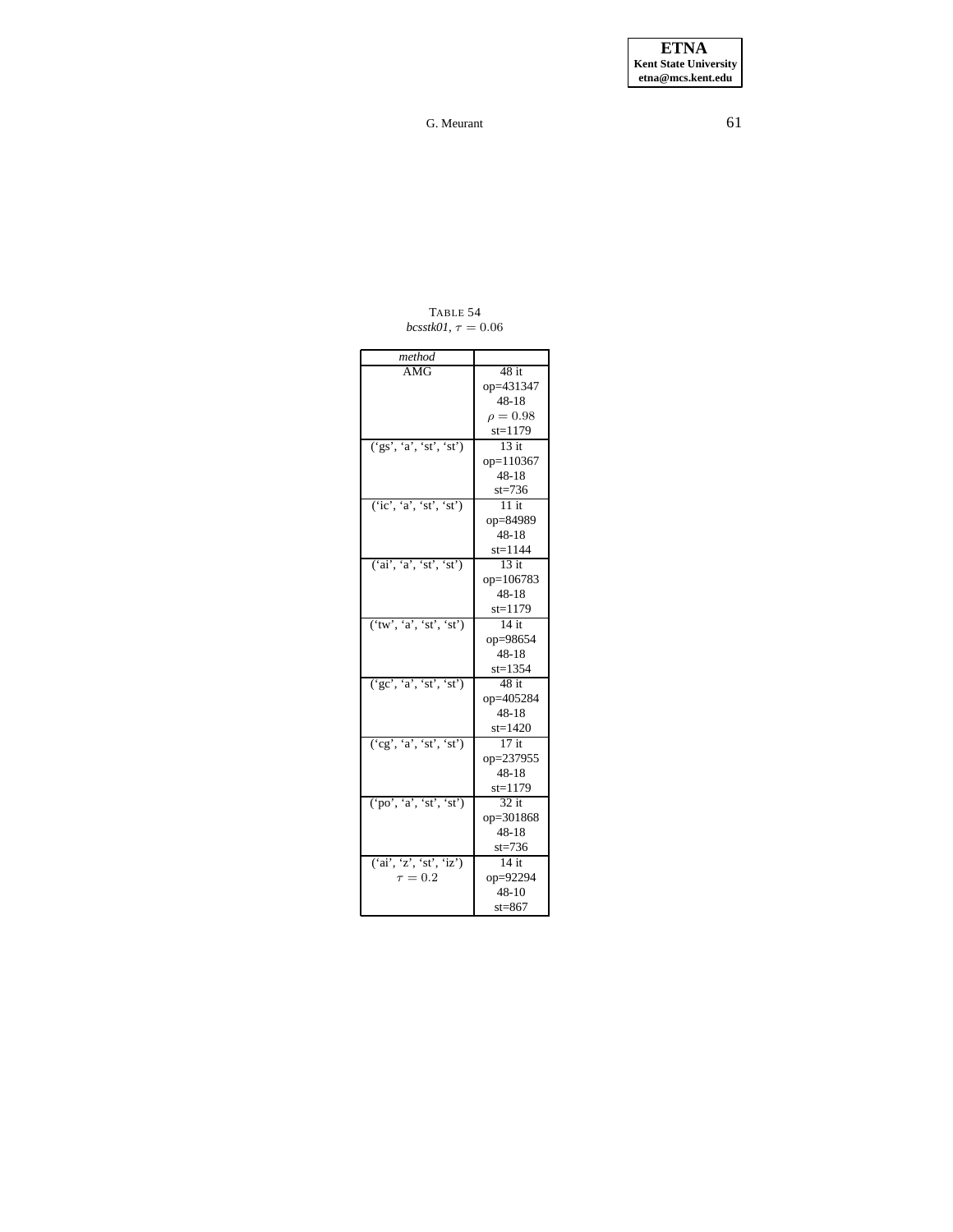**ETNA Kent State University etna@mcs.kent.edu**

G. Meurant 61

TABLE 54  $bcs$ stk01,  $\tau = 0.06$ 

<span id="page-60-0"></span>

| method                  |               |
|-------------------------|---------------|
| AMG                     | $48$ it       |
|                         | op=431347     |
|                         | 48-18         |
|                         | $\rho = 0.98$ |
|                         | $st = 1179$   |
| (s, 'a', 'st', 'st')    | $13$ it       |
|                         | op=110367     |
|                         | $48 - 18$     |
|                         | $st = 736$    |
| (ic', 'a', 'st', 'st')  | $11$ it       |
|                         | op=84989      |
|                         | $48 - 18$     |
|                         | $st = 1144$   |
| ('ai', 'a', 'st', 'st') | $13$ it       |
|                         | op=106783     |
|                         | $48 - 18$     |
|                         | $st = 1179$   |
| ('tw', 'a', 'st', 'st') | $14$ it       |
|                         | op=98654      |
|                         | $48 - 18$     |
|                         | $st = 1354$   |
| ('gc', 'a', 'st', 'st') | $48$ it       |
|                         | op=405284     |
|                         | $48 - 18$     |
|                         | $st = 1420$   |
| ('cg', 'a', 'st', 'st') | $17$ it       |
|                         | op=237955     |
|                         | $48 - 18$     |
|                         | $st = 1179$   |
| ('po', 'a', 'st', 'st') | $32$ it       |
|                         | op=301868     |
|                         | $48 - 18$     |
|                         | $st = 736$    |
| ('ai', 'z', 'st', 'iz') | $14$ it       |
| $\tau = 0.2$            | op=92294      |
|                         | $48 - 10$     |
|                         | $st = 867$    |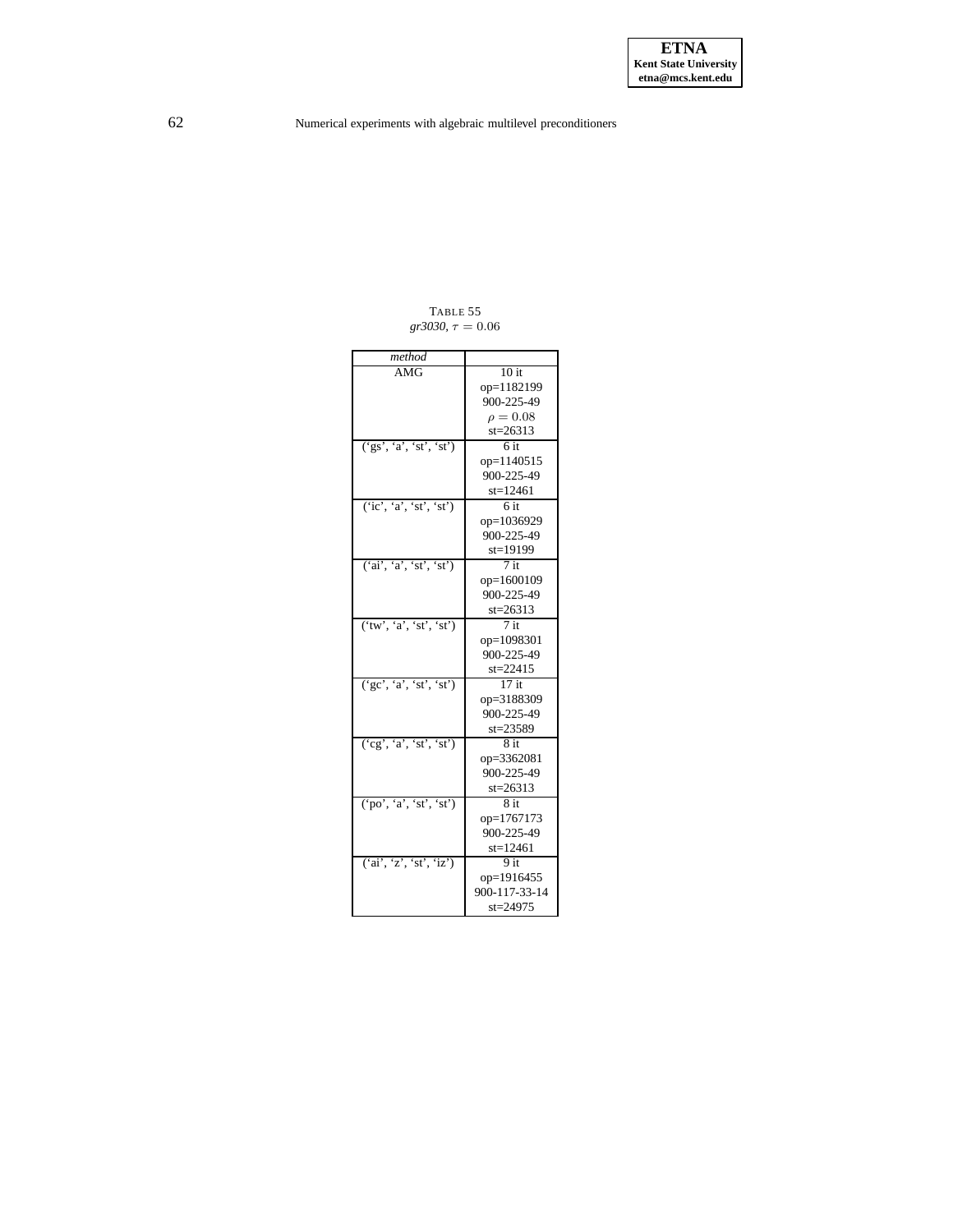<span id="page-61-0"></span>

| method                  |               |
|-------------------------|---------------|
| AMG                     | 10 it         |
|                         | op=1182199    |
|                         | 900-225-49    |
|                         | $\rho = 0.08$ |
|                         | $st = 26313$  |
| ('gs', 'a', 'st', 'st') | 6 it          |
|                         | op=1140515    |
|                         | 900-225-49    |
|                         | $st = 12461$  |
| (ic', 'a', 'st', 'st')  | 6 it          |
|                         | op=1036929    |
|                         | 900-225-49    |
|                         | st=19199      |
| ('ai', 'a', 'st', 'st') | $7$ it        |
|                         | op=1600109    |
|                         | 900-225-49    |
|                         | $st = 26313$  |
| ('tw', 'a', 'st', 'st') | $7$ it        |
|                         | op=1098301    |
|                         | 900-225-49    |
|                         | $st = 22415$  |
| (yc', 'a', 'st', 'st')  | $17$ it       |
|                         | op=3188309    |
|                         | 900-225-49    |
|                         | $st = 23589$  |
| ('cg', 'a', 'st', 'st') | 8 it          |
|                         | op=3362081    |
|                         | 900-225-49    |
|                         | $st = 26313$  |
| ('po', 'a', 'st', 'st') | 8 it          |
|                         | op=1767173    |
|                         | 900-225-49    |
|                         | $st = 12461$  |
| ('ai', 'z', 'st', 'iz') | 9 it          |
|                         | op=1916455    |
|                         | 900-117-33-14 |
|                         | $st = 24975$  |

TABLE 55  $gr3030, \tau = 0.06$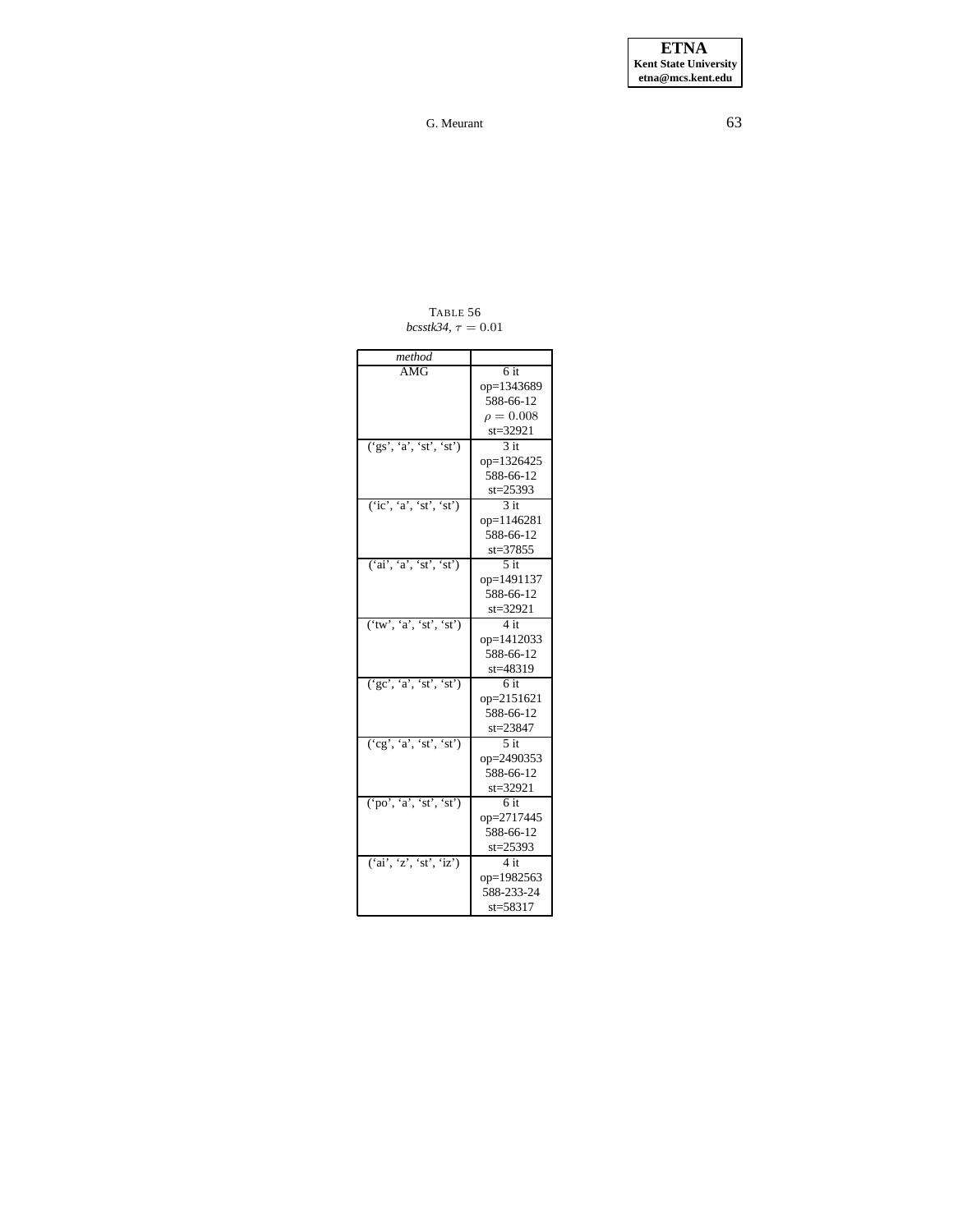**ETNA Kent State University etna@mcs.kent.edu**

G. Meurant 63

TABLE 56  $bcs$ stk34,  $\tau = 0.01$ 

<span id="page-62-0"></span>

| method                                                |                   |
|-------------------------------------------------------|-------------------|
| AMG                                                   | 6 it              |
|                                                       | op=1343689        |
|                                                       | 588-66-12         |
|                                                       | $\rho = 0.008$    |
|                                                       | $st = 32921$      |
| $(\text{`gs'}, \text{`a'}, \text{`st'}, \text{`st'})$ | 3 it              |
|                                                       | op=1326425        |
|                                                       | 588-66-12         |
|                                                       | $st = 25393$      |
| (ic', 'a', 'st', 'st')                                | 3 it              |
|                                                       | op=1146281        |
|                                                       | 588-66-12         |
|                                                       | $st = 37855$      |
| ('ai', 'a', 'st', 'st')                               | $5$ it            |
|                                                       | op=1491137        |
|                                                       | 588-66-12         |
|                                                       | st=32921          |
| ('tw', 'a', 'st', 'st')                               | 4 it              |
|                                                       | op=1412033        |
|                                                       | 588-66-12         |
|                                                       | st=48319          |
| (′gc', 'a', 'st', 'st')                               | 6 it              |
|                                                       | op=2151621        |
|                                                       | 588-66-12         |
|                                                       | $st = 23847$      |
| ('cg', 'a', 'st', 'st')                               | $\overline{5}$ it |
|                                                       | op=2490353        |
|                                                       | 588-66-12         |
|                                                       | $st = 32921$      |
| ('po', 'a', 'st', 'st')                               | 6 it              |
|                                                       | op=2717445        |
|                                                       | 588-66-12         |
|                                                       | $st = 25393$      |
| ('ai', 'z', 'st', 'iz')                               | 4 it              |
|                                                       | op=1982563        |
|                                                       | 588-233-24        |
|                                                       | st=58317          |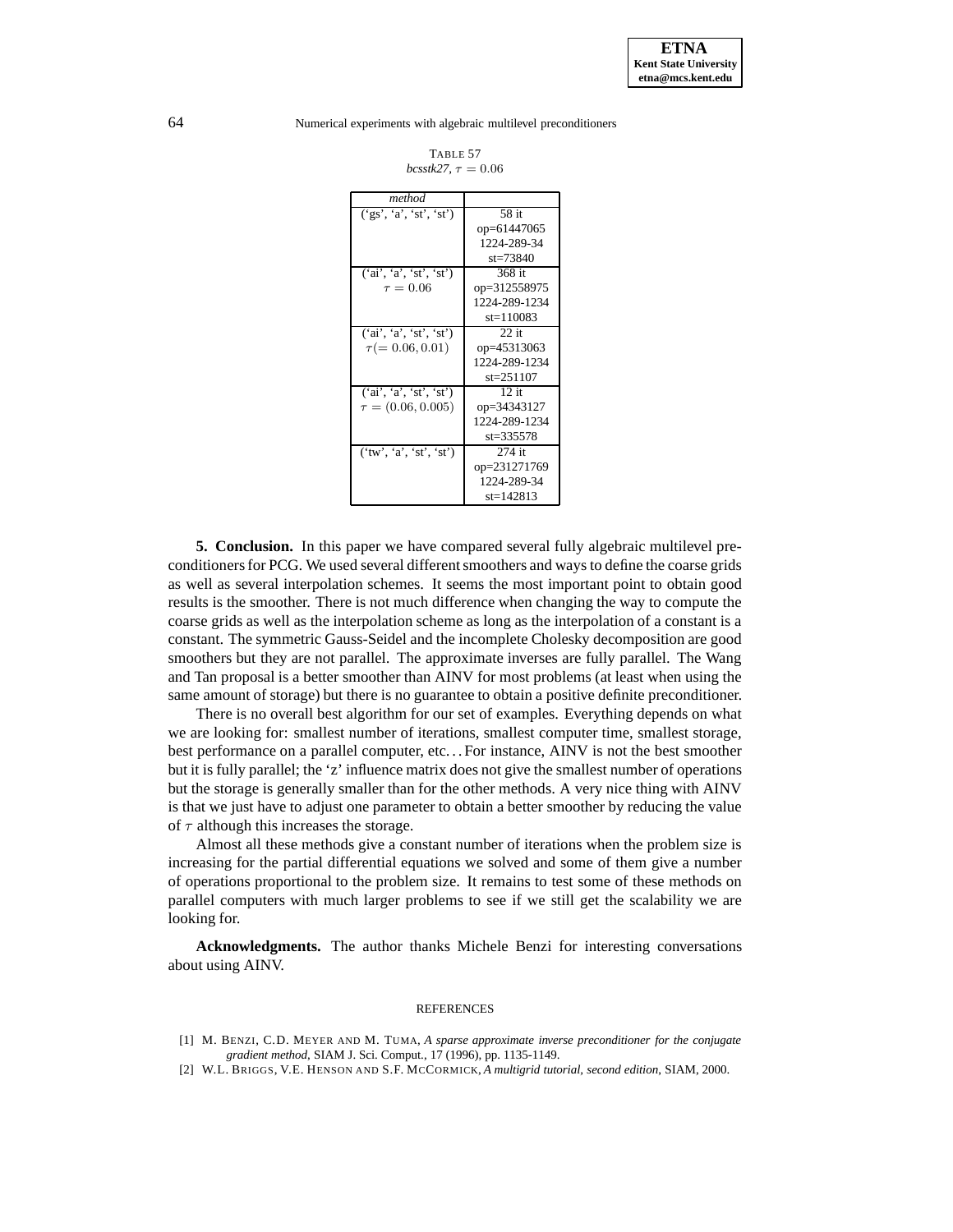| TABLE 57                |  |  |
|-------------------------|--|--|
| bcsstk27. $\tau = 0.06$ |  |  |

| method                              |                 |
|-------------------------------------|-----------------|
| $(\overline{gs', 'a', 'st', 'st'})$ | 58 it           |
|                                     | op=61447065     |
|                                     | 1224-289-34     |
|                                     | $st = 73840$    |
| ('ai', 'a', 'st', 'st')             | 368 it          |
| $\tau = 0.06$                       | op=312558975    |
|                                     | 1224-289-1234   |
|                                     | $st = 110083$   |
| ('ai', 'a', 'st', 'st')             | $22$ it         |
| $\tau(=0.06, 0.01)$                 | op=45313063     |
|                                     | 1224-289-1234   |
|                                     | $st = 251107$   |
| ('ai', 'a', 'st', 'st')             | $12 \text{ if}$ |
| $\tau = (0.06, 0.005)$              | op=34343127     |
|                                     | 1224-289-1234   |
|                                     | $st = 335578$   |
| ('tw', 'a', 'st', 'st')             | 274 it          |
|                                     | op=231271769    |
|                                     | 1224-289-34     |
|                                     | $st = 142813$   |

**5. Conclusion.** In this paper we have compared several fully algebraic multilevel preconditioners for PCG. We used several different smoothers and ways to define the coarse grids as well as several interpolation schemes. It seems the most important point to obtain good results is the smoother. There is not much difference when changing the way to compute the coarse grids as well as the interpolation scheme as long as the interpolation of a constant is a constant. The symmetric Gauss-Seidel and the incomplete Cholesky decomposition are good smoothers but they are not parallel. The approximate inverses are fully parallel. The Wang and Tan proposal is a better smoother than AINV for most problems (at least when using the same amount of storage) but there is no guarantee to obtain a positive definite preconditioner.

There is no overall best algorithm for our set of examples. Everything depends on what we are looking for: smallest number of iterations, smallest computer time, smallest storage, best performance on a parallel computer, etc. . . For instance, AINV is not the best smoother but it is fully parallel; the 'z' influence matrix does not give the smallest number of operations but the storage is generally smaller than for the other methods. A very nice thing with AINV is that we just have to adjust one parameter to obtain a better smoother by reducing the value of  $\tau$  although this increases the storage.

Almost all these methods give a constant number of iterations when the problem size is increasing for the partial differential equations we solved and some of them give a number of operations proportional to the problem size. It remains to test some of these methods on parallel computers with much larger problems to see if we still get the scalability we are looking for.

**Acknowledgments.** The author thanks Michele Benzi for interesting conversations about using AINV.

#### REFERENCES

- <span id="page-63-1"></span><span id="page-63-0"></span>[1] M. BENZI, C.D. MEYER AND M. TUMA, *A sparse approximate inverse preconditioner for the conjugate gradient method*, SIAM J. Sci. Comput., 17 (1996), pp. 1135-1149.
- [2] W.L. BRIGGS, V.E. HENSON AND S.F. MCCORMICK, *A multigrid tutorial, second edition*, SIAM, 2000.